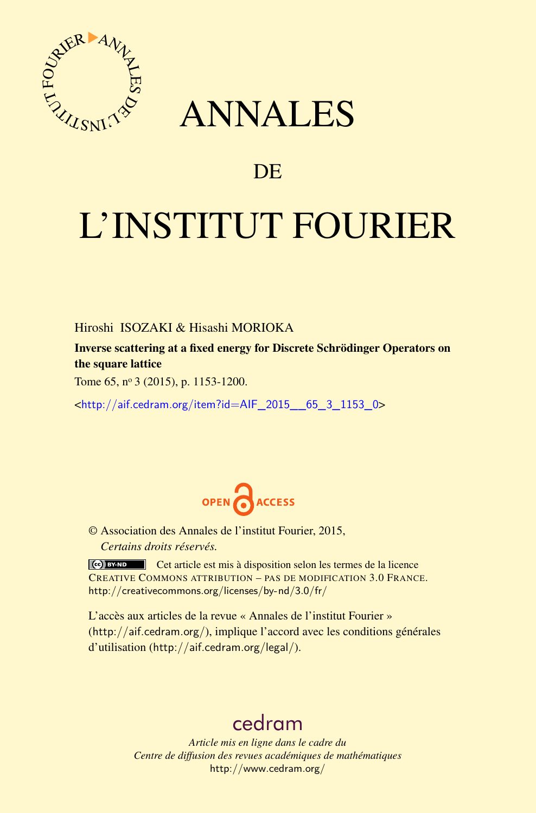

# ANNALES

## **DE**

# L'INSTITUT FOURIER

Hiroshi ISOZAKI & Hisashi MORIOKA

Inverse scattering at a fixed energy for Discrete Schrödinger Operators on the square lattice

Tome 65, nº 3 (2015), p. 1153-1200.

<[http://aif.cedram.org/item?id=AIF\\_2015\\_\\_65\\_3\\_1153\\_0](http://aif.cedram.org/item?id=AIF_2015__65_3_1153_0)>



© Association des Annales de l'institut Fourier, 2015, *Certains droits réservés.*

Cet article est mis à disposition selon les termes de la licence CREATIVE COMMONS ATTRIBUTION – PAS DE MODIFICATION 3.0 FRANCE. <http://creativecommons.org/licenses/by-nd/3.0/fr/>

L'accès aux articles de la revue « Annales de l'institut Fourier » (<http://aif.cedram.org/>), implique l'accord avec les conditions générales d'utilisation (<http://aif.cedram.org/legal/>).

## [cedram](http://www.cedram.org/)

*Article mis en ligne dans le cadre du Centre de diffusion des revues académiques de mathématiques* <http://www.cedram.org/>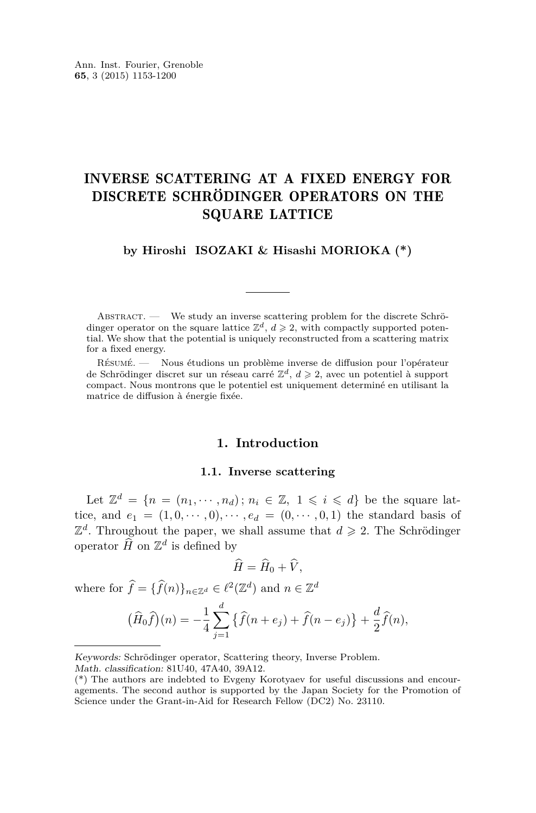### INVERSE SCATTERING AT A FIXED ENERGY FOR DISCRETE SCHRÖDINGER OPERATORS ON THE SQUARE LATTICE

**by Hiroshi ISOZAKI & Hisashi MORIOKA (\*)**

ABSTRACT. — We study an inverse scattering problem for the discrete Schrödinger operator on the square lattice  $\mathbb{Z}^d$ ,  $d \geq 2$ , with compactly supported potential. We show that the potential is uniquely reconstructed from a scattering matrix for a fixed energy.

Résumé. — Nous étudions un problème inverse de diffusion pour l'opérateur de Schrödinger discret sur un réseau carré  $\mathbb{Z}^d$ ,  $d \geqslant 2$ , avec un potentiel à support compact. Nous montrons que le potentiel est uniquement determiné en utilisant la matrice de diffusion à énergie fixée.

#### **1. Introduction**

#### **1.1. Inverse scattering**

Let  $\mathbb{Z}^d = \{n = (n_1, \dots, n_d) ; n_i \in \mathbb{Z}, 1 \leq i \leq d\}$  be the square lattice, and  $e_1 = (1,0,\dots,0), \dots, e_d = (0,\dots,0,1)$  the standard basis of  $\mathbb{Z}^d$ . Throughout the paper, we shall assume that  $d \geq 2$ . The Schrödinger operator  $\widehat{H}$  on  $\mathbb{Z}^d$  is defined by

$$
\widehat{H} = \widehat{H}_0 + \widehat{V},
$$

where for  $\hat{f} = {\{\hat{f}(n)\}_{{n \in \mathbb{Z}^d}} \in \ell^2(\mathbb{Z}^d)}$  and  $n \in \mathbb{Z}^d$ 

$$
(\widehat{H}_0 \widehat{f})(n) = -\frac{1}{4} \sum_{j=1}^d \left\{ \widehat{f}(n+e_j) + \widehat{f}(n-e_j) \right\} + \frac{d}{2} \widehat{f}(n),
$$

Keywords: Schrödinger operator, Scattering theory, Inverse Problem.

Math. classification: 81U40, 47A40, 39A12.

<sup>(\*)</sup> The authors are indebted to Evgeny Korotyaev for useful discussions and encouragements. The second author is supported by the Japan Society for the Promotion of Science under the Grant-in-Aid for Research Fellow (DC2) No. 23110.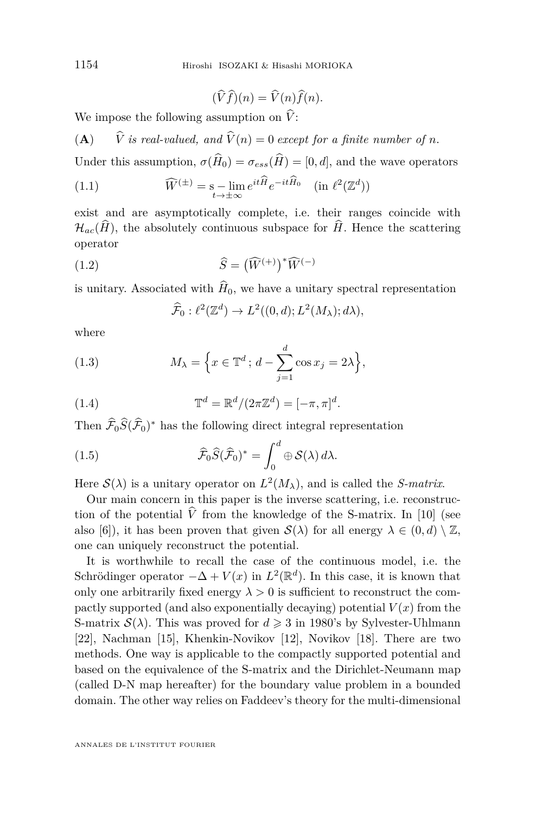$$
(\widehat{V}\widehat{f})(n) = \widehat{V}(n)\widehat{f}(n).
$$

We impose the following assumption on  $V$ :

(**A**)  $\hat{V}$  *is real-valued, and*  $\hat{V}(n) = 0$  *except for a finite number of n.* 

Under this assumption,  $\sigma(\hat{H}_0) = \sigma_{ess}(\hat{H}) = [0, d]$ , and the wave operators

(1.1) 
$$
\widehat{W}^{(\pm)} = \mathop{\rm s-lim}_{t \to \pm \infty} e^{it\widehat{H}} e^{-it\widehat{H}_0} \quad (\text{in } \ell^2(\mathbb{Z}^d))
$$

exist and are asymptotically complete, i.e. their ranges coincide with  $\mathcal{H}_{ac}(\hat{H})$ , the absolutely continuous subspace for  $\hat{H}$ . Hence the scattering operator

(1.2) 
$$
\widehat{S} = (\widehat{W}^{(+)})^* \widehat{W}^{(-)}
$$

is unitary. Associated with  $\hat{H}_0$ , we have a unitary spectral representation

$$
\widehat{\mathcal{F}}_0: \ell^2(\mathbb{Z}^d) \to L^2((0, d); L^2(M_\lambda); d\lambda),
$$

where

(1.3) 
$$
M_{\lambda} = \left\{ x \in \mathbb{T}^d \, ; \, d - \sum_{j=1}^d \cos x_j = 2\lambda \right\},\,
$$

(1.4) 
$$
\mathbb{T}^d = \mathbb{R}^d / (2\pi \mathbb{Z}^d) = [-\pi, \pi]^d.
$$

Then  $\widehat{\mathcal{F}}_0\widehat{S}(\widehat{\mathcal{F}}_0)^*$  has the following direct integral representation

(1.5) 
$$
\widehat{\mathcal{F}}_0\widehat{S}(\widehat{\mathcal{F}}_0)^* = \int_0^d \oplus \mathcal{S}(\lambda) d\lambda.
$$

Here  $\mathcal{S}(\lambda)$  is a unitary operator on  $L^2(M_\lambda)$ , and is called the *S-matrix*.

Our main concern in this paper is the inverse scattering, i.e. reconstruction of the potential  $\hat{V}$  from the knowledge of the S-matrix. In [\[10\]](#page-48-0) (see also [\[6\]](#page-47-0)), it has been proven that given  $\mathcal{S}(\lambda)$  for all energy  $\lambda \in (0, d) \setminus \mathbb{Z}$ , one can uniquely reconstruct the potential.

It is worthwhile to recall the case of the continuous model, i.e. the Schrödinger operator  $-\Delta + V(x)$  in  $L^2(\mathbb{R}^d)$ . In this case, it is known that only one arbitrarily fixed energy  $\lambda > 0$  is sufficient to reconstruct the compactly supported (and also exponentially decaying) potential  $V(x)$  from the S-matrix  $\mathcal{S}(\lambda)$ . This was proved for  $d \geq 3$  in 1980's by Sylvester-Uhlmann [\[22\]](#page-48-0), Nachman [\[15\]](#page-48-0), Khenkin-Novikov [\[12\]](#page-48-0), Novikov [\[18\]](#page-48-0). There are two methods. One way is applicable to the compactly supported potential and based on the equivalence of the S-matrix and the Dirichlet-Neumann map (called D-N map hereafter) for the boundary value problem in a bounded domain. The other way relies on Faddeev's theory for the multi-dimensional

<span id="page-2-0"></span>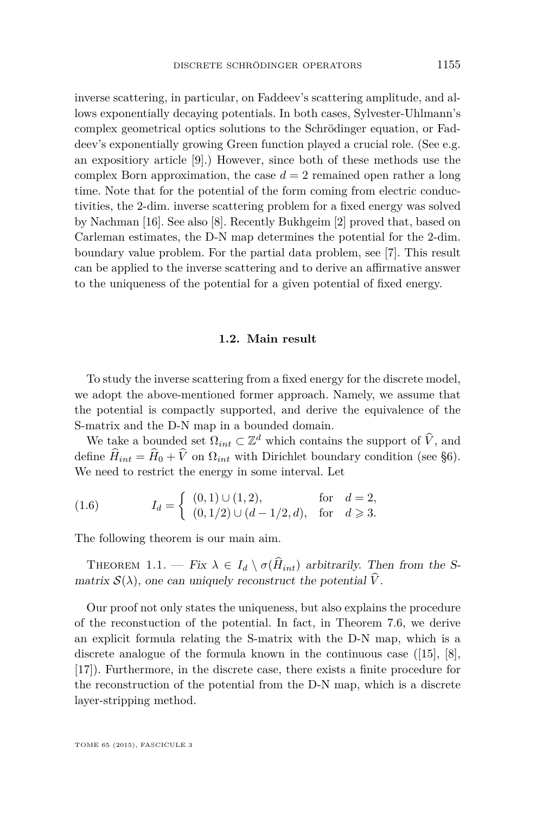<span id="page-3-0"></span>inverse scattering, in particular, on Faddeev's scattering amplitude, and allows exponentially decaying potentials. In both cases, Sylvester-Uhlmann's complex geometrical optics solutions to the Schrödinger equation, or Faddeev's exponentially growing Green function played a crucial role. (See e.g. an expositiory article [\[9\]](#page-47-0).) However, since both of these methods use the complex Born approximation, the case  $d = 2$  remained open rather a long time. Note that for the potential of the form coming from electric conductivities, the 2-dim. inverse scattering problem for a fixed energy was solved by Nachman [\[16\]](#page-48-0). See also [\[8\]](#page-47-0). Recently Bukhgeim [\[2\]](#page-47-0) proved that, based on Carleman estimates, the D-N map determines the potential for the 2-dim. boundary value problem. For the partial data problem, see [\[7\]](#page-47-0). This result can be applied to the inverse scattering and to derive an affirmative answer to the uniqueness of the potential for a given potential of fixed energy.

#### **1.2. Main result**

To study the inverse scattering from a fixed energy for the discrete model, we adopt the above-mentioned former approach. Namely, we assume that the potential is compactly supported, and derive the equivalence of the S-matrix and the D-N map in a bounded domain.

We take a bounded set  $\Omega_{int} \subset \mathbb{Z}^d$  which contains the support of  $\hat{V}$ , and define  $\hat{H}_{int} = \hat{H}_0 + \hat{V}$  on  $\Omega_{int}$  with Dirichlet boundary condition (see §6). We need to restrict the energy in some interval. Let

(1.6) 
$$
I_d = \begin{cases} (0,1) \cup (1,2), & \text{for } d = 2, \\ (0,1/2) \cup (d-1/2,d), & \text{for } d \ge 3. \end{cases}
$$

The following theorem is our main aim.

THEOREM 1.1. — Fix  $\lambda \in I_d \setminus \sigma(\hat{H}_{int})$  arbitrarily. Then from the Smatrix  $\mathcal{S}(\lambda)$ , one can uniquely reconstruct the potential  $\hat{V}$ .

Our proof not only states the uniqueness, but also explains the procedure of the reconstuction of the potential. In fact, in Theorem [7.6,](#page-38-0) we derive an explicit formula relating the S-matrix with the D-N map, which is a discrete analogue of the formula known in the continuous case ([\[15\]](#page-48-0), [\[8\]](#page-47-0), [\[17\]](#page-48-0)). Furthermore, in the discrete case, there exists a finite procedure for the reconstruction of the potential from the D-N map, which is a discrete layer-stripping method.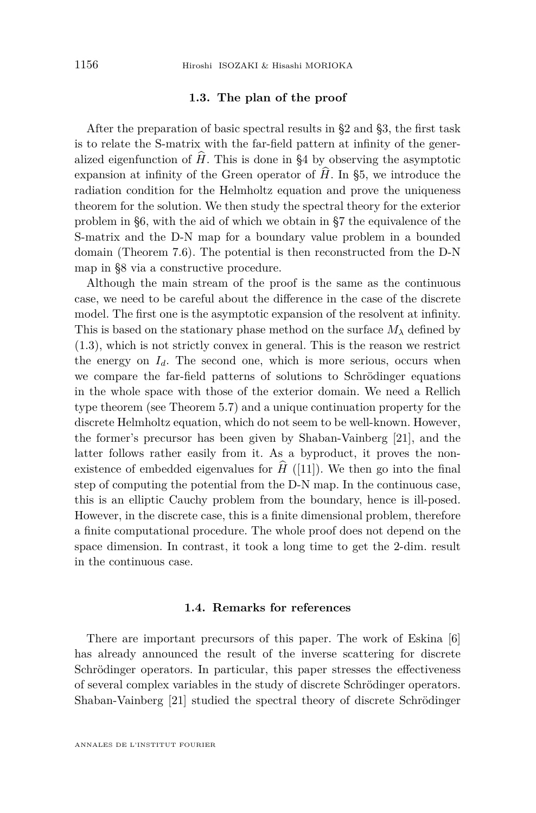#### **1.3. The plan of the proof**

After the preparation of basic spectral results in §2 and §3, the first task is to relate the S-matrix with the far-field pattern at infinity of the generalized eigenfunction of  $\hat{H}$ . This is done in §4 by observing the asymptotic expansion at infinity of the Green operator of  $\hat{H}$ . In §5, we introduce the radiation condition for the Helmholtz equation and prove the uniqueness theorem for the solution. We then study the spectral theory for the exterior problem in §6, with the aid of which we obtain in §7 the equivalence of the S-matrix and the D-N map for a boundary value problem in a bounded domain (Theorem [7.6\)](#page-38-0). The potential is then reconstructed from the D-N map in §8 via a constructive procedure.

Although the main stream of the proof is the same as the continuous case, we need to be careful about the difference in the case of the discrete model. The first one is the asymptotic expansion of the resolvent at infinity. This is based on the stationary phase method on the surface  $M_{\lambda}$  defined by [\(1.3\)](#page-2-0), which is not strictly convex in general. This is the reason we restrict the energy on  $I_d$ . The second one, which is more serious, occurs when we compare the far-field patterns of solutions to Schrödinger equations in the whole space with those of the exterior domain. We need a Rellich type theorem (see Theorem [5.7\)](#page-25-0) and a unique continuation property for the discrete Helmholtz equation, which do not seem to be well-known. However, the former's precursor has been given by Shaban-Vainberg [\[21\]](#page-48-0), and the latter follows rather easily from it. As a byproduct, it proves the nonexistence of embedded eigenvalues for  $\hat{H}$  ([\[11\]](#page-48-0)). We then go into the final step of computing the potential from the D-N map. In the continuous case, this is an elliptic Cauchy problem from the boundary, hence is ill-posed. However, in the discrete case, this is a finite dimensional problem, therefore a finite computational procedure. The whole proof does not depend on the space dimension. In contrast, it took a long time to get the 2-dim. result in the continuous case.

#### **1.4. Remarks for references**

There are important precursors of this paper. The work of Eskina [\[6\]](#page-47-0) has already announced the result of the inverse scattering for discrete Schrödinger operators. In particular, this paper stresses the effectiveness of several complex variables in the study of discrete Schrödinger operators. Shaban-Vainberg [\[21\]](#page-48-0) studied the spectral theory of discrete Schrödinger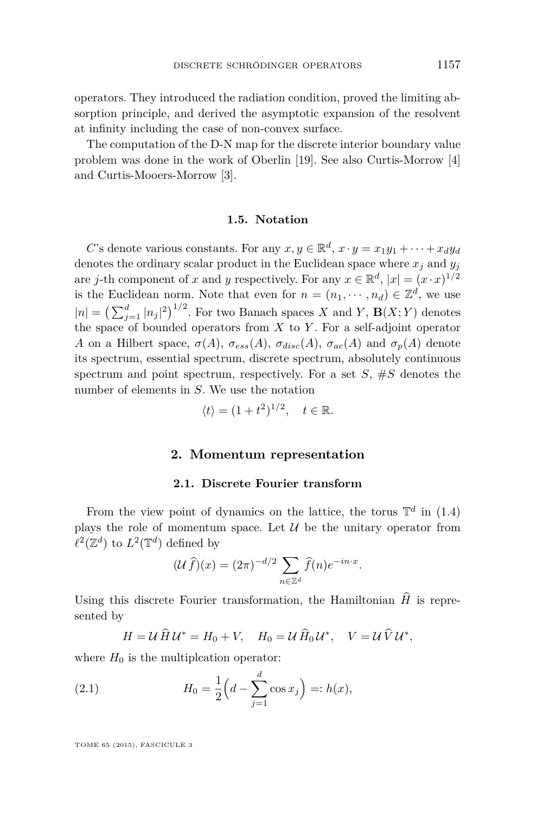<span id="page-5-0"></span>operators. They introduced the radiation condition, proved the limiting absorption principle, and derived the asymptotic expansion of the resolvent at infinity including the case of non-convex surface.

The computation of the D-N map for the discrete interior boundary value problem was done in the work of Oberlin [\[19\]](#page-48-0). See also Curtis-Morrow [\[4\]](#page-47-0) and Curtis-Mooers-Morrow [\[3\]](#page-47-0).

#### **1.5. Notation**

*C*'s denote various constants. For any  $x, y \in \mathbb{R}^d$ ,  $x \cdot y = x_1y_1 + \cdots + x_dy_d$ denotes the ordinary scalar product in the Euclidean space where  $x_j$  and  $y_j$ are *j*-th component of *x* and *y* respectively. For any  $x \in \mathbb{R}^d$ ,  $|x| = (x \cdot x)^{1/2}$ is the Euclidean norm. Note that even for  $n = (n_1, \dots, n_d) \in \mathbb{Z}^d$ , we use  $|n| = \left(\sum_{j=1}^d |n_j|^2\right)^{1/2}$ . For two Banach spaces *X* and *Y*, **B**(*X*; *Y*) denotes the space of bounded operators from *X* to *Y* . For a self-adjoint operator *A* on a Hilbert space,  $\sigma(A)$ ,  $\sigma_{ess}(A)$ ,  $\sigma_{disc}(A)$ ,  $\sigma_{ac}(A)$  and  $\sigma_p(A)$  denote its spectrum, essential spectrum, discrete spectrum, absolutely continuous spectrum and point spectrum, respectively. For a set  $S$ ,  $\#S$  denotes the number of elements in *S*. We use the notation

$$
\langle t \rangle = (1 + t^2)^{1/2}, \quad t \in \mathbb{R}.
$$

#### **2. Momentum representation**

#### **2.1. Discrete Fourier transform**

From the view point of dynamics on the lattice, the torus  $\mathbb{T}^d$  in [\(1.4\)](#page-2-0) plays the role of momentum space. Let  $\mathcal U$  be the unitary operator from  $\ell^2(\mathbb{Z}^d)$  to  $L^2(\mathbb{T}^d)$  defined by

$$
(\mathcal{U}\,\widehat{f})(x) = (2\pi)^{-d/2} \sum_{n \in \mathbb{Z}^d} \widehat{f}(n) e^{-in \cdot x}.
$$

Using this discrete Fourier transformation, the Hamiltonian  $\hat{H}$  is represented by

$$
H = \mathcal{U}\,\widehat{H}\,\mathcal{U}^* = H_0 + V, \quad H_0 = \mathcal{U}\,\widehat{H}_0\,\mathcal{U}^*, \quad V = \mathcal{U}\,\widehat{V}\,\mathcal{U}^*,
$$

where  $H_0$  is the multiplcation operator:

(2.1) 
$$
H_0 = \frac{1}{2} \left( d - \sum_{j=1}^d \cos x_j \right) =: h(x),
$$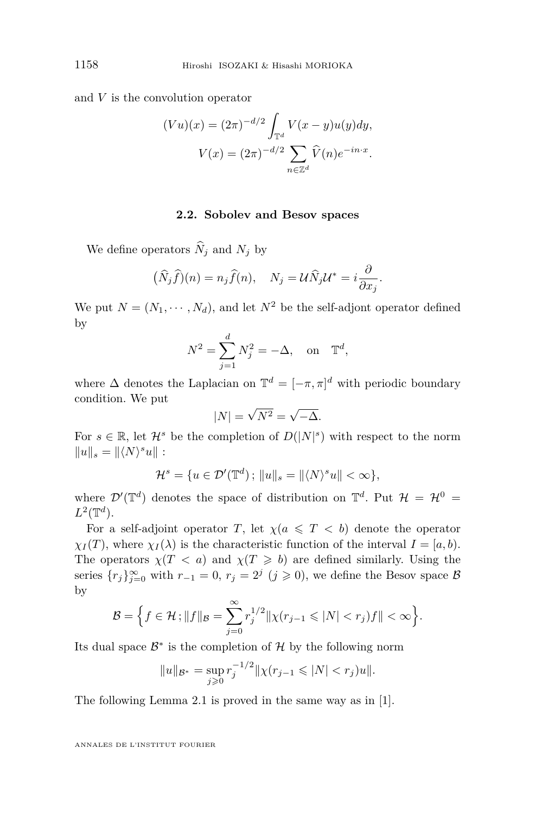and *V* is the convolution operator

$$
(Vu)(x) = (2\pi)^{-d/2} \int_{\mathbb{T}^d} V(x - y)u(y)dy,
$$

$$
V(x) = (2\pi)^{-d/2} \sum_{n \in \mathbb{Z}^d} \widehat{V}(n)e^{-in \cdot x}.
$$

#### **2.2. Sobolev and Besov spaces**

We define operators  $\widehat{N}_j$  and  $N_j$  by

$$
(\widehat{N}_j \widehat{f})(n) = n_j \widehat{f}(n), \quad N_j = \mathcal{U}\widehat{N}_j \mathcal{U}^* = i \frac{\partial}{\partial x_j}.
$$

We put  $N = (N_1, \dots, N_d)$ , and let  $N^2$  be the self-adjont operator defined by

$$
N^2 = \sum_{j=1}^d N_j^2 = -\Delta, \text{ on } \mathbb{T}^d,
$$

where  $\Delta$  denotes the Laplacian on  $\mathbb{T}^d = [-\pi, \pi]^d$  with periodic boundary condition. We put √

$$
|N| = \sqrt{N^2} = \sqrt{-\Delta}.
$$

For  $s \in \mathbb{R}$ , let  $\mathcal{H}^s$  be the completion of  $D(|N|^s)$  with respect to the norm  $||u||_s = ||\langle N \rangle^s u||$ :

$$
\mathcal{H}^s = \{ u \in \mathcal{D}'(\mathbb{T}^d) \, ; \, \|u\|_s = \|\langle N \rangle^s u\| < \infty \},
$$

where  $\mathcal{D}'(\mathbb{T}^d)$  denotes the space of distribution on  $\mathbb{T}^d$ . Put  $\mathcal{H} = \mathcal{H}^0 =$  $L^2(\mathbb{T}^d)$ .

For a self-adjoint operator *T*, let  $\chi(a \leq T \leq b)$  denote the operator  $\chi_I(T)$ , where  $\chi_I(\lambda)$  is the characteristic function of the interval  $I = [a, b)$ . The operators  $\chi(T \le a)$  and  $\chi(T \ge b)$  are defined similarly. Using the series  $\{r_j\}_{j=0}^{\infty}$  with  $r_{-1} = 0$ ,  $r_j = 2^j$   $(j \geq 0)$ , we define the Besov space B by

$$
\mathcal{B} = \Big\{f \in \mathcal{H}; \|f\|_{\mathcal{B}} = \sum_{j=0}^{\infty} r_j^{1/2} \|\chi(r_{j-1} \leqslant |N| < r_j)f\| < \infty\Big\}.
$$

Its dual space  $\mathcal{B}^*$  is the completion of  $\mathcal{H}$  by the following norm

$$
||u||_{\mathcal{B}^*} = \sup_{j\geq 0} r_j^{-1/2} ||\chi(r_{j-1} \leq |N| < r_j)u||.
$$

The following Lemma [2.1](#page-7-0) is proved in the same way as in [\[1\]](#page-47-0).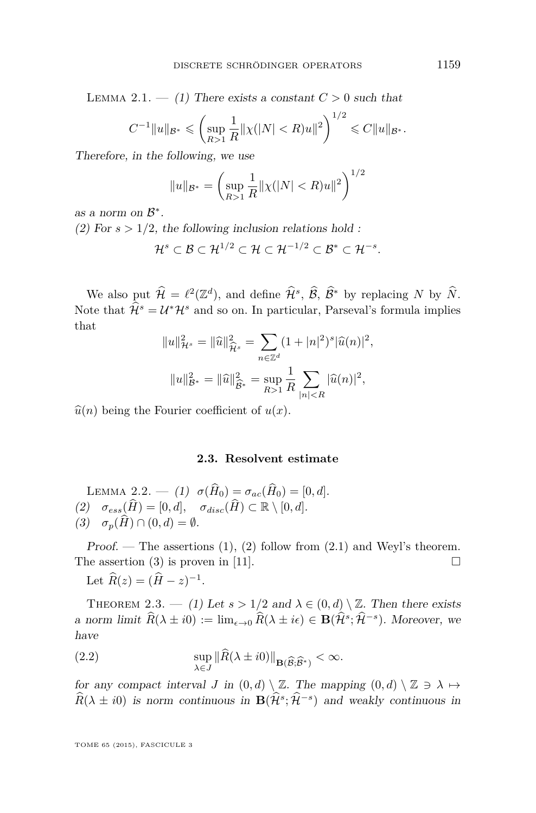<span id="page-7-0"></span>LEMMA 2.1.  $-$  (1) There exists a constant  $C > 0$  such that

$$
C^{-1}||u||_{\mathcal{B}^*} \leqslant \left(\sup_{R>1} \frac{1}{R} ||\chi(|N| < R)u||^2\right)^{1/2} \leqslant C||u||_{\mathcal{B}^*}.
$$

Therefore, in the following, we use

$$
||u||_{\mathcal{B}^*} = \left(\sup_{R>1} \frac{1}{R} ||\chi(|N| < R)u||^2\right)^{1/2}
$$

as a norm on  $\mathcal{B}^*$ .

(2) For  $s > 1/2$ , the following inclusion relations hold :

$$
\mathcal{H}^s \subset \mathcal{B} \subset \mathcal{H}^{1/2} \subset \mathcal{H} \subset \mathcal{H}^{-1/2} \subset \mathcal{B}^* \subset \mathcal{H}^{-s}.
$$

We also put  $\widehat{\mathcal{H}} = \ell^2(\mathbb{Z}^d)$ , and define  $\widehat{\mathcal{H}}^s$ ,  $\widehat{\mathcal{B}}$ ,  $\widehat{\mathcal{B}}^*$  by replacing *N* by  $\widehat{N}$ . Note that  $\hat{\mathcal{H}}^s = \mathcal{U}^* \mathcal{H}^s$  and so on. In particular, Parseval's formula implies that

$$
||u||_{\mathcal{H}^s}^2 = ||\widehat{u}||_{\widehat{\mathcal{H}}^s}^2 = \sum_{n \in \mathbb{Z}^d} (1 + |n|^2)^s |\widehat{u}(n)|^2,
$$
  

$$
||u||_{\mathcal{B}^*}^2 = ||\widehat{u}||_{\widehat{\mathcal{B}}^*}^2 = \sup_{R > 1} \frac{1}{R} \sum_{|n| < R} |\widehat{u}(n)|^2,
$$

 $\hat{u}(n)$  being the Fourier coefficient of  $u(x)$ .

#### **2.3. Resolvent estimate**

LEMMA 2.2. — (1)  $\sigma(\hat{H}_0) = \sigma_{ac}(\hat{H}_0) = [0, d].$ (2)  $\sigma_{ess}(\widehat{H}) = [0, d], \quad \sigma_{disc}(\widehat{H}) \subset \mathbb{R} \setminus [0, d].$  $(3)$   $\sigma_p(\widehat{H}) \cap (0,d) = \emptyset.$ 

Proof. — The assertions  $(1)$ ,  $(2)$  follow from  $(2.1)$  and Weyl's theorem. The assertion (3) is proven in [\[11\]](#page-48-0).  $\square$ 

Let  $\widehat{R}(z) = (\widehat{H} - z)^{-1}$ .

THEOREM 2.3. — (1) Let  $s > 1/2$  and  $\lambda \in (0, d) \setminus \mathbb{Z}$ . Then there exists a norm limit  $\widehat{R}(\lambda \pm i0) := \lim_{\epsilon \to 0} \widehat{R}(\lambda \pm i\epsilon) \in \mathbf{B}(\widehat{\mathcal{H}}^s; \widehat{\mathcal{H}}^{-s})$ . Moreover, we have

(2.2) 
$$
\sup_{\lambda \in J} \|\widehat{R}(\lambda \pm i0)\|_{\mathbf{B}(\widehat{\mathcal{B}}, \widehat{\mathcal{B}}^*)} < \infty.
$$

for any compact interval *J* in  $(0, d) \setminus \mathbb{Z}$ . The mapping  $(0, d) \setminus \mathbb{Z} \ni \lambda \mapsto$  $\widehat{R}(\lambda \pm i0)$  is norm continuous in  $\mathbf{B}(\widehat{\mathcal{H}}^s; \widehat{\mathcal{H}}^{-s})$  and weakly continuous in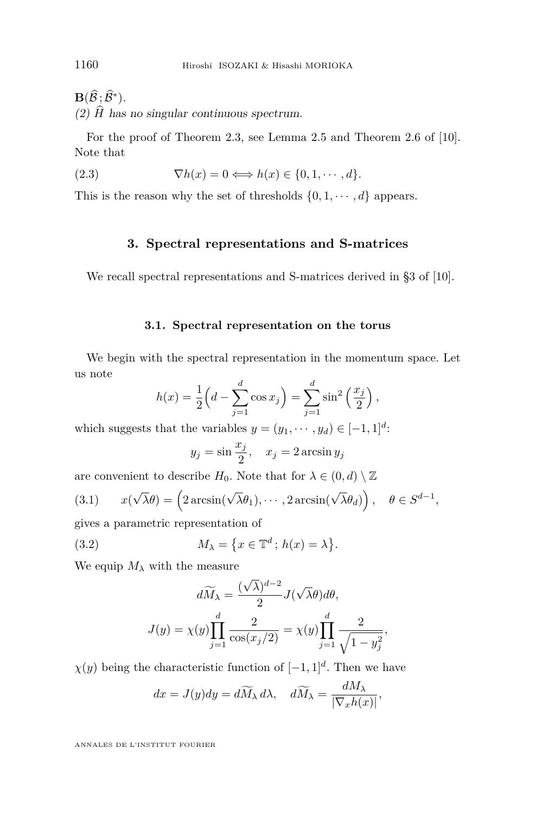<span id="page-8-0"></span> $\mathbf{B}(\widehat{\mathcal{B}}\,;\widehat{\mathcal{B}}^*)$ . (2)  $\hat{H}$  has no singular continuous spectrum.

For the proof of Theorem [2.3,](#page-7-0) see Lemma 2.5 and Theorem 2.6 of [\[10\]](#page-48-0). Note that

(2.3) 
$$
\nabla h(x) = 0 \Longleftrightarrow h(x) \in \{0, 1, \cdots, d\}.
$$

This is the reason why the set of thresholds  $\{0, 1, \dots, d\}$  appears.

#### **3. Spectral representations and S-matrices**

We recall spectral representations and S-matrices derived in §3 of [\[10\]](#page-48-0).

#### **3.1. Spectral representation on the torus**

We begin with the spectral representation in the momentum space. Let us note

$$
h(x) = \frac{1}{2} \left( d - \sum_{j=1}^{d} \cos x_j \right) = \sum_{j=1}^{d} \sin^2 \left( \frac{x_j}{2} \right),
$$

which suggests that the variables  $y = (y_1, \dots, y_d) \in [-1, 1]^d$ :

$$
y_j = \sin \frac{x_j}{2}
$$
,  $x_j = 2 \arcsin y_j$ 

are convenient to describe  $H_0$ . Note that for  $\lambda \in (0, d) \setminus \mathbb{Z}$ 

(3.1) 
$$
x(\sqrt{\lambda}\theta) = (2\arcsin(\sqrt{\lambda}\theta_1), \cdots, 2\arcsin(\sqrt{\lambda}\theta_d)), \quad \theta \in S^{d-1},
$$

gives a parametric representation of

(3.2) 
$$
M_{\lambda} = \{x \in \mathbb{T}^d \, ; \, h(x) = \lambda\}.
$$

We equip  $M_{\lambda}$  with the measure

$$
d\widetilde{M}_{\lambda} = \frac{(\sqrt{\lambda})^{d-2}}{2} J(\sqrt{\lambda}\theta) d\theta,
$$

$$
J(y) = \chi(y) \prod_{j=1}^{d} \frac{2}{\cos(x_j/2)} = \chi(y) \prod_{j=1}^{d} \frac{2}{\sqrt{1 - y_j^2}},
$$

 $\chi(y)$  being the characteristic function of  $[-1, 1]^d$ . Then we have

$$
dx = J(y)dy = d\widetilde{M}_{\lambda} d\lambda, \quad d\widetilde{M}_{\lambda} = \frac{dM_{\lambda}}{|\nabla_x h(x)|},
$$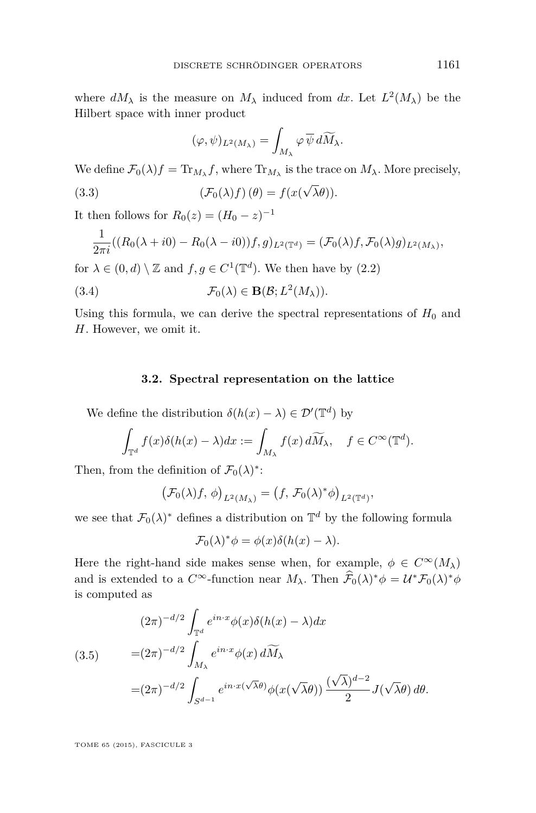<span id="page-9-0"></span>where  $dM_{\lambda}$  is the measure on  $M_{\lambda}$  induced from  $dx$ . Let  $L^2(M_{\lambda})$  be the Hilbert space with inner product

$$
(\varphi,\psi)_{L^2(M_\lambda)}=\int_{M_\lambda}\varphi\,\overline{\psi}\,d\widetilde{M}_\lambda.
$$

We define  $\mathcal{F}_0(\lambda)f = \text{Tr}_{M_\lambda} f$ , where  $\text{Tr}_{M_\lambda}$  is the trace on  $M_\lambda$ . More precisely,

(3.3) 
$$
(\mathcal{F}_0(\lambda)f)(\theta) = f(x(\sqrt{\lambda}\theta)).
$$

It then follows for  $R_0(z) = (H_0 - z)^{-1}$ 

$$
\frac{1}{2\pi i}((R_0(\lambda + i0) - R_0(\lambda - i0))f, g)_{L^2(\mathbb{T}^d)} = (\mathcal{F}_0(\lambda)f, \mathcal{F}_0(\lambda)g)_{L^2(M_\lambda)},
$$

for  $\lambda \in (0, d) \setminus \mathbb{Z}$  and  $f, g \in C^1(\mathbb{T}^d)$ . We then have by  $(2.2)$ 

(3.4) 
$$
\mathcal{F}_0(\lambda) \in \mathbf{B}(\mathcal{B}; L^2(M_\lambda)).
$$

Using this formula, we can derive the spectral representations of  $H_0$  and *H*. However, we omit it.

#### **3.2. Spectral representation on the lattice**

We define the distribution  $\delta(h(x) - \lambda) \in \mathcal{D}'(\mathbb{T}^d)$  by

$$
\int_{\mathbb{T}^d} f(x)\delta(h(x)-\lambda)dx := \int_{M_\lambda} f(x)\,d\widetilde{M}_\lambda, \quad f \in C^\infty(\mathbb{T}^d).
$$

Then, from the definition of  $\mathcal{F}_0(\lambda)^*$ :

$$
\big(\mathcal{F}_0(\lambda)f,\,\phi\big)_{L^2(M_\lambda)}=\big(f,\,\mathcal{F}_0(\lambda)^*\phi\big)_{L^2(\mathbb{T}^d)},
$$

we see that  $\mathcal{F}_0(\lambda)$ <sup>\*</sup> defines a distribution on  $\mathbb{T}^d$  by the following formula

$$
\mathcal{F}_0(\lambda)^* \phi = \phi(x)\delta(h(x) - \lambda).
$$

Here the right-hand side makes sense when, for example,  $\phi \in C^{\infty}(M_{\lambda})$ and is extended to a  $C^{\infty}$ -function near  $M_{\lambda}$ . Then  $\widehat{\mathcal{F}}_0(\lambda)^* \phi = \mathcal{U}^* \mathcal{F}_0(\lambda)^* \phi$ is computed as

(3.5) 
$$
(2\pi)^{-d/2} \int_{\mathbb{T}^d} e^{in \cdot x} \phi(x) \delta(h(x) - \lambda) dx
$$

$$
= (2\pi)^{-d/2} \int_{M_\lambda} e^{in \cdot x} \phi(x) d\widetilde{M}_\lambda
$$

$$
= (2\pi)^{-d/2} \int_{S^{d-1}} e^{in \cdot x(\sqrt{\lambda}\theta)} \phi(x(\sqrt{\lambda}\theta)) \frac{(\sqrt{\lambda})^{d-2}}{2} J(\sqrt{\lambda}\theta) d\theta.
$$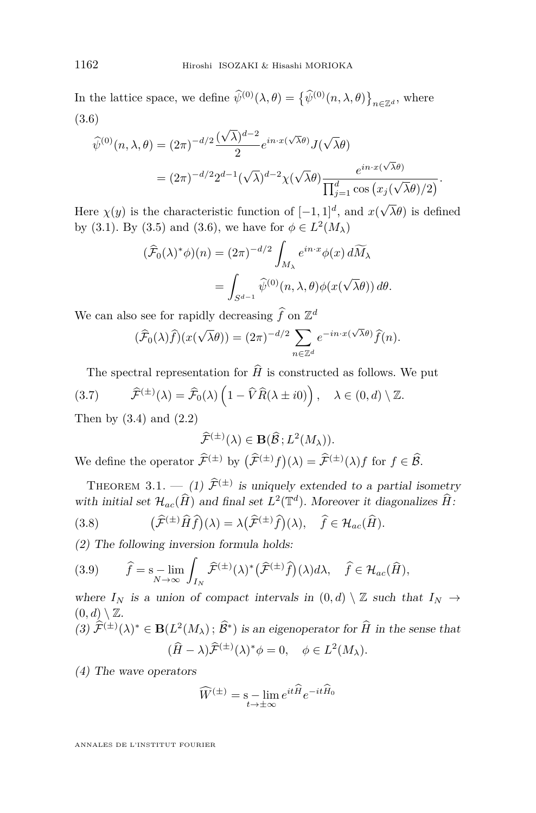<span id="page-10-0"></span>In the lattice space, we define  $\psi^{(0)}(\lambda, \theta) = \{\psi^{(0)}(n, \lambda, \theta)\}_{n \in \mathbb{Z}^d}$ , where √ (3.6)

$$
\widehat{\psi}^{(0)}(n,\lambda,\theta) = (2\pi)^{-d/2} \frac{(\sqrt{\lambda})^{d-2}}{2} e^{in \cdot x(\sqrt{\lambda}\theta)} J(\sqrt{\lambda}\theta)
$$

$$
= (2\pi)^{-d/2} 2^{d-1} (\sqrt{\lambda})^{d-2} \chi(\sqrt{\lambda}\theta) \frac{e^{in \cdot x(\sqrt{\lambda}\theta)}}{\prod_{j=1}^d \cos(x_j(\sqrt{\lambda}\theta)/2)}.
$$

Here  $\chi(y)$  is the characteristic function of  $[-1, 1]^d$ , and x( *λθ*) is defined by [\(3.1\)](#page-8-0). By [\(3.5\)](#page-9-0) and (3.6), we have for  $\phi \in L^2(M_\lambda)$ 

$$
(\widehat{\mathcal{F}}_0(\lambda)^* \phi)(n) = (2\pi)^{-d/2} \int_{M_\lambda} e^{in \cdot x} \phi(x) d\widetilde{M}_\lambda
$$
  
= 
$$
\int_{S^{d-1}} \widehat{\psi}^{(0)}(n, \lambda, \theta) \phi(x(\sqrt{\lambda}\theta)) d\theta.
$$

We can also see for rapidly decreasing  $\hat{f}$  on  $\mathbb{Z}^d$ 

$$
(\widehat{\mathcal{F}}_0(\lambda)\widehat{f})(x(\sqrt{\lambda}\theta)) = (2\pi)^{-d/2} \sum_{n \in \mathbb{Z}^d} e^{-in \cdot x(\sqrt{\lambda}\theta)} \widehat{f}(n).
$$

The spectral representation for  $\widehat{H}$  is constructed as follows. We put (3.7)  $\widehat{\mathcal{F}}^{(\pm)}(\lambda) = \widehat{\mathcal{F}}_0(\lambda) \left(1 - \widehat{V}\widehat{R}(\lambda \pm i0)\right), \quad \lambda \in (0, d) \setminus \mathbb{Z}.$ 

Then by  $(3.4)$  and  $(2.2)$ 

$$
\widehat{\mathcal{F}}^{(\pm)}(\lambda) \in \mathbf{B}(\widehat{\mathcal{B}}; L^2(M_{\lambda})).
$$

We define the operator  $\widehat{\mathcal{F}}^{(\pm)}$  by  $(\widehat{\mathcal{F}}^{(\pm)}f)(\lambda) = \widehat{\mathcal{F}}^{(\pm)}(\lambda)f$  for  $f \in \widehat{\mathcal{B}}$ .

THEOREM 3.1.  $-$ (1)  $\hat{\mathcal{F}}^{(\pm)}$  is uniquely extended to a partial isometry with initial set  $\mathcal{H}_{ac}(\hat{H})$  and final set  $L^2(\mathbb{T}^d)$ . Moreover it diagonalizes  $\hat{H}$ :

(3.8) 
$$
(\widehat{\mathcal{F}}^{(\pm)}\widehat{H}\widehat{f})(\lambda) = \lambda(\widehat{\mathcal{F}}^{(\pm)}\widehat{f})(\lambda), \quad \widehat{f} \in \mathcal{H}_{ac}(\widehat{H}).
$$

(2) The following inversion formula holds:

(3.9) 
$$
\widehat{f} = \mathbf{s} - \lim_{N \to \infty} \int_{I_N} \widehat{\mathcal{F}}^{(\pm)}(\lambda)^* \big(\widehat{\mathcal{F}}^{(\pm)}\widehat{f}\big)(\lambda) d\lambda, \quad \widehat{f} \in \mathcal{H}_{ac}(\widehat{H}),
$$

where  $I_N$  is a union of compact intervals in  $(0,d) \setminus \mathbb{Z}$  such that  $I_N \to$  $(0, d) \setminus \mathbb{Z}$ .

(3) 
$$
\widehat{\mathcal{F}}^{(\pm)}(\lambda)^* \in \mathbf{B}(L^2(M_{\lambda}); \widehat{\mathcal{B}}^*)
$$
 is an eigens operator for  $\widehat{H}$  in the sense that  
\n
$$
(\widehat{H} - \lambda)\widehat{\mathcal{F}}^{(\pm)}(\lambda)^* \phi = 0, \quad \phi \in L^2(M_{\lambda}).
$$

(4) The wave operators

$$
\widehat{W}^{(\pm)} = \operatorname*{sum}_{t \to \pm \infty} e^{it\widehat{H}} e^{-it\widehat{H}_0}
$$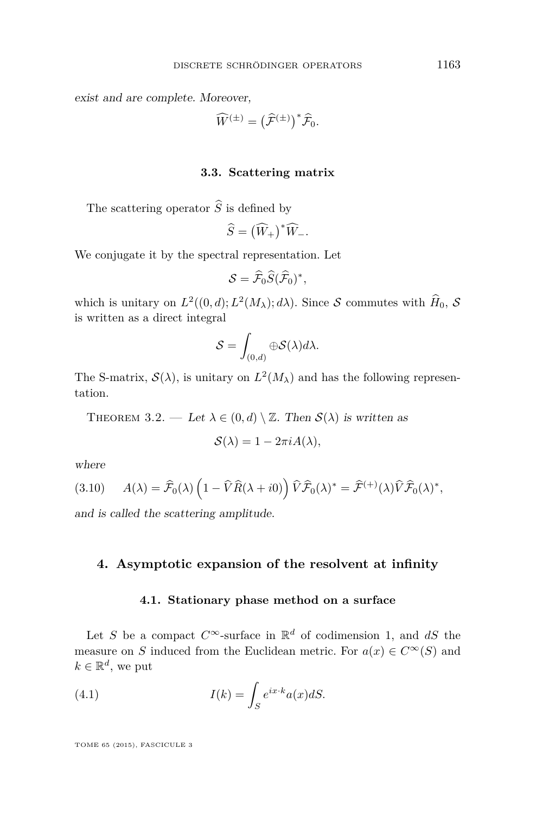<span id="page-11-0"></span>exist and are complete. Moreover,

$$
\widehat{W}^{(\pm)} = \left(\widehat{\mathcal{F}}^{(\pm)}\right)^{*} \widehat{\mathcal{F}}_{0}.
$$

#### **3.3. Scattering matrix**

The scattering operator  $\widehat{S}$  is defined by

$$
\widehat{S} = (\widehat{W}_+)^\ast \widehat{W}_-.
$$

We conjugate it by the spectral representation. Let

$$
S=\widehat{\mathcal{F}}_0\widehat{S}(\widehat{\mathcal{F}}_0)^*,
$$

which is unitary on  $L^2((0, d); L^2(M_\lambda); d\lambda)$ . Since S commutes with  $\hat{H}_0$ , S is written as a direct integral

$$
\mathcal{S} = \int_{(0,d)} \oplus \mathcal{S}(\lambda) d\lambda.
$$

The S-matrix,  $\mathcal{S}(\lambda)$ , is unitary on  $L^2(M_{\lambda})$  and has the following representation.

THEOREM 3.2. — Let  $\lambda \in (0, d) \setminus \mathbb{Z}$ . Then  $\mathcal{S}(\lambda)$  is written as

$$
\mathcal{S}(\lambda) = 1 - 2\pi i A(\lambda),
$$

where

(3.10) 
$$
A(\lambda) = \widehat{\mathcal{F}}_0(\lambda) \left(1 - \widehat{V}\widehat{R}(\lambda + i0)\right) \widehat{V}\widehat{\mathcal{F}}_0(\lambda)^* = \widehat{\mathcal{F}}^{(+)}(\lambda)\widehat{V}\widehat{\mathcal{F}}_0(\lambda)^*,
$$

and is called the scattering amplitude.

#### **4. Asymptotic expansion of the resolvent at infinity**

#### **4.1. Stationary phase method on a surface**

Let *S* be a compact  $C^{\infty}$ -surface in  $\mathbb{R}^d$  of codimension 1, and *dS* the measure on *S* induced from the Euclidean metric. For  $a(x) \in C^{\infty}(S)$  and  $k \in \mathbb{R}^d$ , we put

(4.1) 
$$
I(k) = \int_{S} e^{ix \cdot k} a(x) dS.
$$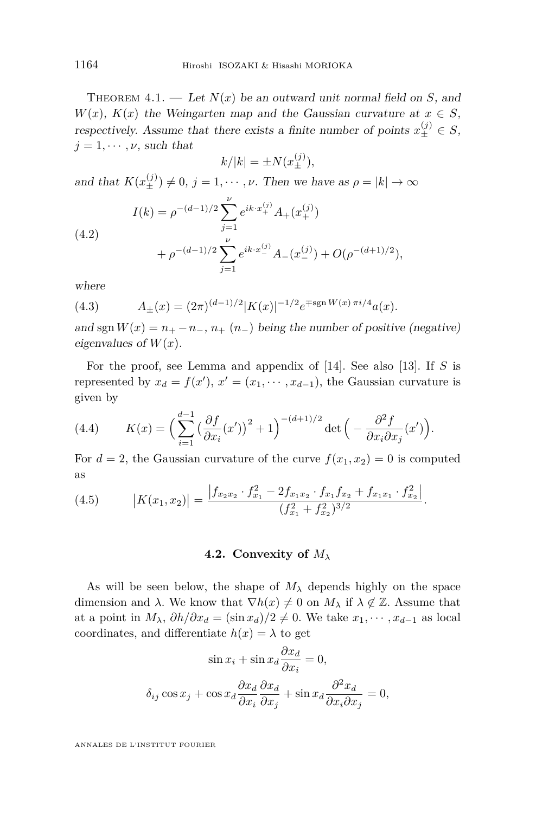<span id="page-12-0"></span>THEOREM  $4.1.$  — Let  $N(x)$  be an outward unit normal field on *S*, and *W*(*x*), *K*(*x*) the Weingarten map and the Gaussian curvature at  $x \in S$ , respectively. Assume that there exists a finite number of points  $x_{\pm}^{(j)} \in S$ ,  $j = 1, \dots, \nu$ , such that

$$
k/|k| = \pm N(x_{\pm}^{(j)}),
$$

and that  $K(x_{\pm}^{(j)}) \neq 0, j = 1, \cdots, \nu$ . Then we have as  $\rho = |k| \to \infty$ 

(4.2)  

$$
I(k) = \rho^{-(d-1)/2} \sum_{j=1}^{\nu} e^{ik \cdot x_+^{(j)}} A_+(x_+^{(j)}) + \rho^{-(d-1)/2} \sum_{j=1}^{\nu} e^{ik \cdot x_+^{(j)}} A_-(x_-^{(j)}) + O(\rho^{-(d+1)/2}),
$$

where

(4.3) 
$$
A_{\pm}(x) = (2\pi)^{(d-1)/2} |K(x)|^{-1/2} e^{\mp \operatorname{sgn} W(x) \pi i/4} a(x).
$$

and sgn  $W(x) = n_+ - n_-, n_+(n_-)$  being the number of positive (negative) eigenvalues of  $W(x)$ .

For the proof, see Lemma and appendix of [\[14\]](#page-48-0). See also [\[13\]](#page-48-0). If *S* is represented by  $x_d = f(x')$ ,  $x' = (x_1, \dots, x_{d-1})$ , the Gaussian curvature is given by

(4.4) 
$$
K(x) = \left(\sum_{i=1}^{d-1} \left(\frac{\partial f}{\partial x_i}(x')\right)^2 + 1\right)^{-(d+1)/2} \det\left(-\frac{\partial^2 f}{\partial x_i \partial x_j}(x')\right).
$$

For  $d = 2$ , the Gaussian curvature of the curve  $f(x_1, x_2) = 0$  is computed as

(4.5) 
$$
|K(x_1,x_2)| = \frac{|f_{x_2x_2} \cdot f_{x_1}^2 - 2f_{x_1x_2} \cdot f_{x_1}f_{x_2} + f_{x_1x_1} \cdot f_{x_2}^2|}{(f_{x_1}^2 + f_{x_2}^2)^{3/2}}.
$$

#### **4.2. Convexity of** *M<sup>λ</sup>*

As will be seen below, the shape of  $M_{\lambda}$  depends highly on the space dimension and *λ*. We know that  $\nabla h(x) \neq 0$  on  $M_\lambda$  if  $\lambda \notin \mathbb{Z}$ . Assume that at a point in  $M_{\lambda}$ ,  $\partial h/\partial x_d = (\sin x_d)/2 \neq 0$ . We take  $x_1, \dots, x_{d-1}$  as local coordinates, and differentiate  $h(x) = \lambda$  to get

$$
\sin x_i + \sin x_d \frac{\partial x_d}{\partial x_i} = 0,
$$
  

$$
\delta_{ij} \cos x_j + \cos x_d \frac{\partial x_d}{\partial x_i} \frac{\partial x_d}{\partial x_j} + \sin x_d \frac{\partial^2 x_d}{\partial x_i \partial x_j} = 0,
$$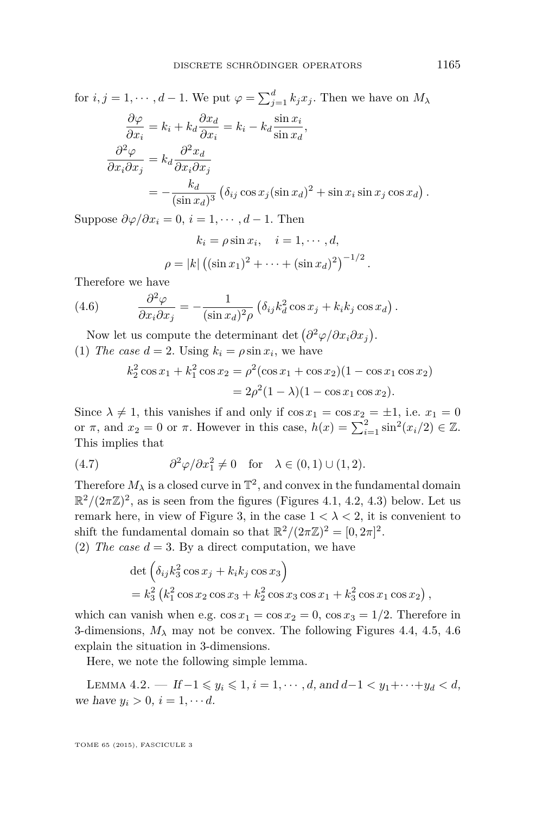<span id="page-13-0"></span>for 
$$
i, j = 1, \dots, d - 1
$$
. We put  $\varphi = \sum_{j=1}^{d} k_j x_j$ . Then we have on  $M_{\lambda}$   
\n
$$
\frac{\partial \varphi}{\partial x_i} = k_i + k_d \frac{\partial x_d}{\partial x_i} = k_i - k_d \frac{\sin x_i}{\sin x_d},
$$
\n
$$
\frac{\partial^2 \varphi}{\partial x_i \partial x_j} = k_d \frac{\partial^2 x_d}{\partial x_i \partial x_j}
$$
\n
$$
= -\frac{k_d}{(\sin x_d)^3} (\delta_{ij} \cos x_j (\sin x_d)^2 + \sin x_i \sin x_j \cos x_d).
$$

Suppose  $\partial \varphi / \partial x_i = 0$ ,  $i = 1, \dots, d - 1$ . Then

$$
k_i = \rho \sin x_i, \quad i = 1, \cdots, d,
$$
  

$$
\rho = |k| ((\sin x_1)^2 + \cdots + (\sin x_d)^2)^{-1/2}
$$

*.*

Therefore we have

(4.6) 
$$
\frac{\partial^2 \varphi}{\partial x_i \partial x_j} = -\frac{1}{(\sin x_d)^2 \rho} \left( \delta_{ij} k_d^2 \cos x_j + k_i k_j \cos x_d \right).
$$

Now let us compute the determinant det  $(\partial^2 \varphi / \partial x_i \partial x_j)$ . (1) *The case*  $d = 2$ . Using  $k_i = \rho \sin x_i$ , we have

$$
k_2^2 \cos x_1 + k_1^2 \cos x_2 = \rho^2 (\cos x_1 + \cos x_2)(1 - \cos x_1 \cos x_2)
$$
  
=  $2\rho^2 (1 - \lambda)(1 - \cos x_1 \cos x_2).$ 

Since  $\lambda \neq 1$ , this vanishes if and only if  $\cos x_1 = \cos x_2 = \pm 1$ , i.e.  $x_1 = 0$ or  $\pi$ , and  $x_2 = 0$  or  $\pi$ . However in this case,  $h(x) = \sum_{i=1}^{2} \sin^2(x_i/2) \in \mathbb{Z}$ . This implies that

(4.7) 
$$
\partial^2 \varphi / \partial x_1^2 \neq 0 \quad \text{for} \quad \lambda \in (0,1) \cup (1,2).
$$

Therefore  $M_{\lambda}$  is a closed curve in  $\mathbb{T}^2$ , and convex in the fundamental domain  $\mathbb{R}^2/(2\pi\mathbb{Z})^2$ , as is seen from the figures (Figures [4.1,](#page-14-0) [4.2,](#page-14-0) [4.3\)](#page-14-0) below. Let us remark here, in view of Figure 3, in the case  $1 < \lambda < 2$ , it is convenient to shift the fundamental domain so that  $\mathbb{R}^2/(2\pi\mathbb{Z})^2 = [0, 2\pi]^2$ .

(2) The case  $d = 3$ . By a direct computation, we have

$$
\det \left( \delta_{ij} k_3^2 \cos x_j + k_i k_j \cos x_3 \right)
$$
  
=  $k_3^2 \left( k_1^2 \cos x_2 \cos x_3 + k_2^2 \cos x_3 \cos x_1 + k_3^2 \cos x_1 \cos x_2 \right)$ ,

which can vanish when e.g.  $\cos x_1 = \cos x_2 = 0$ ,  $\cos x_3 = 1/2$ . Therefore in 3-dimensions,  $M_{\lambda}$  may not be convex. The following Figures [4.4,](#page-14-0) [4.5,](#page-14-0) [4.6](#page-15-0) explain the situation in 3-dimensions.

Here, we note the following simple lemma.

LEMMA 4.2. → If  $-1 \leq y_i \leq 1$ ,  $i = 1, \dots, d$ , and  $d-1 < y_1 + \dots + y_d < d$ , we have  $y_i > 0, i = 1, \dots d$ .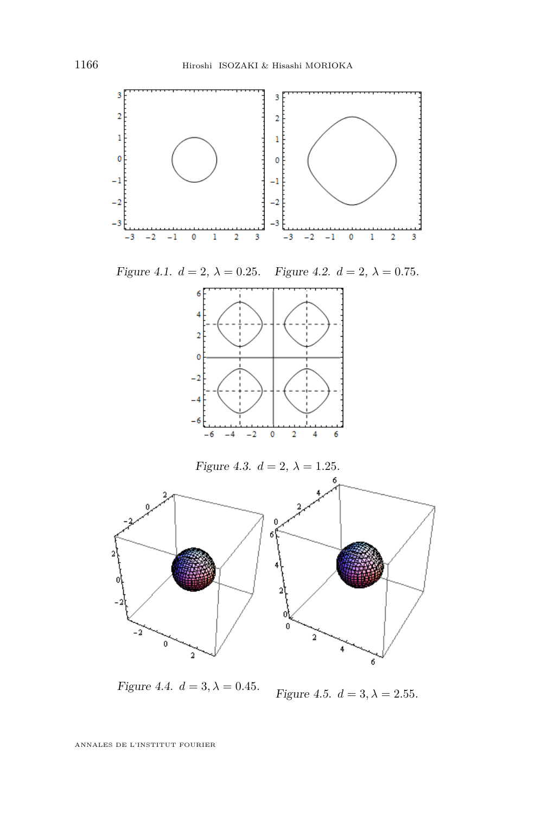<span id="page-14-0"></span>

*Figure 4.4.*  $d = 3, \lambda = 0.45$ .

Figure 4.5.  $d = 3, \lambda = 2.55$ .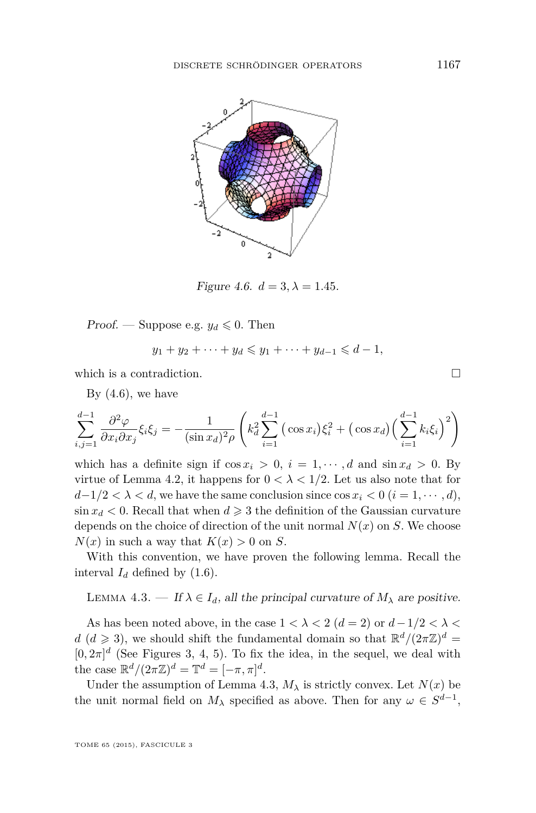<span id="page-15-0"></span>

*Figure 4.6.*  $d = 3, \lambda = 1.45$ .

*Proof.* — Suppose e.g.  $y_d \leq 0$ . Then

$$
y_1 + y_2 + \cdots + y_d \leq y_1 + \cdots + y_{d-1} \leq d-1,
$$

which is a contradiction.  $\Box$ 

By  $(4.6)$ , we have

$$
\sum_{i,j=1}^{d-1} \frac{\partial^2 \varphi}{\partial x_i \partial x_j} \xi_i \xi_j = -\frac{1}{(\sin x_d)^2 \rho} \left( k_d^2 \sum_{i=1}^{d-1} (\cos x_i) \xi_i^2 + (\cos x_d) (\sum_{i=1}^{d-1} k_i \xi_i)^2 \right)
$$

which has a definite sign if  $\cos x_i > 0$ ,  $i = 1, \dots, d$  and  $\sin x_d > 0$ . By virtue of Lemma 4.2, it happens for  $0 < \lambda < 1/2$ . Let us also note that for  $d-1/2 < \lambda < d$ , we have the same conclusion since  $\cos x_i < 0$  ( $i = 1, \dots, d$ ),  $\sin x_d < 0$ . Recall that when  $d \geqslant 3$  the definition of the Gaussian curvature depends on the choice of direction of the unit normal  $N(x)$  on  $S$ . We choose  $N(x)$  in such a way that  $K(x) > 0$  on *S*.

With this convention, we have proven the following lemma. Recall the interval  $I_d$  defined by  $(1.6)$ .

LEMMA 4.3. — If  $\lambda \in I_d$ , all the principal curvature of  $M_\lambda$  are positive.

As has been noted above, in the case  $1 < \lambda < 2$  ( $d = 2$ ) or  $d - 1/2 < \lambda <$  $d$  ( $d \ge 3$ ), we should shift the fundamental domain so that  $\mathbb{R}^d/(2\pi\mathbb{Z})^d$  $[0, 2\pi]^d$  (See Figures 3, 4, 5). To fix the idea, in the sequel, we deal with the case  $\mathbb{R}^d / (2\pi \mathbb{Z})^d = \mathbb{T}^d = [-\pi, \pi]^d$ .

Under the assumption of Lemma 4.3,  $M_{\lambda}$  is strictly convex. Let  $N(x)$  be the unit normal field on  $M_{\lambda}$  specified as above. Then for any  $\omega \in S^{d-1}$ ,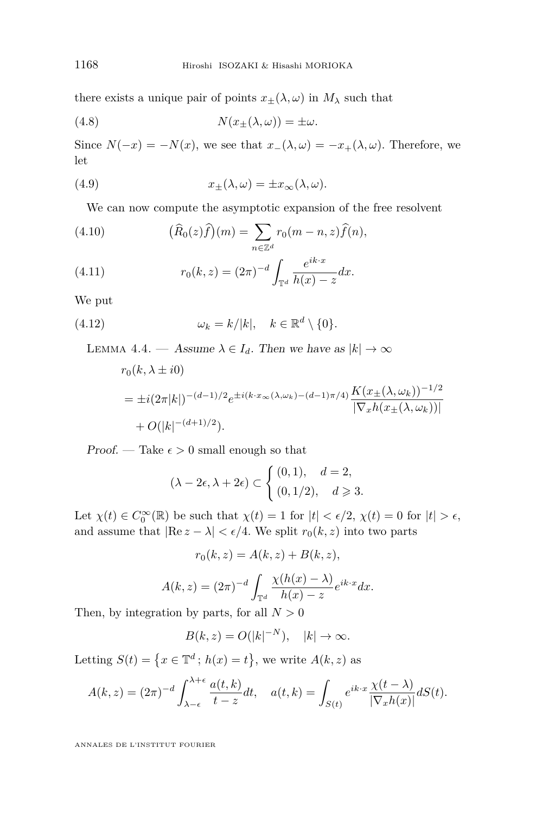<span id="page-16-0"></span>there exists a unique pair of points  $x_{\pm}(\lambda,\omega)$  in  $M_{\lambda}$  such that

(4.8) 
$$
N(x_{\pm}(\lambda,\omega)) = \pm \omega.
$$

Since  $N(-x) = -N(x)$ , we see that  $x-(\lambda, \omega) = -x+(\lambda, \omega)$ . Therefore, we let

(4.9) 
$$
x_{\pm}(\lambda,\omega) = \pm x_{\infty}(\lambda,\omega).
$$

We can now compute the asymptotic expansion of the free resolvent

(4.10) 
$$
(\widehat{R}_0(z)\widehat{f})(m) = \sum_{n \in \mathbb{Z}^d} r_0(m-n, z)\widehat{f}(n),
$$

(4.11) 
$$
r_0(k, z) = (2\pi)^{-d} \int_{\mathbb{T}^d} \frac{e^{ik \cdot x}}{h(x) - z} dx.
$$

We put

(4.12) 
$$
\omega_k = k/|k|, \quad k \in \mathbb{R}^d \setminus \{0\}.
$$

LEMMA 4.4. — Assume  $\lambda \in I_d$ . Then we have as  $|k| \to \infty$ 

$$
r_0(k, \lambda \pm i0)
$$
  
=  $\pm i(2\pi|k|)^{-(d-1)/2}e^{\pm i(k \cdot x_\infty(\lambda, \omega_k) - (d-1)\pi/4)} \frac{K(x_{\pm}(\lambda, \omega_k))^{-1/2}}{|\nabla_x h(x_{\pm}(\lambda, \omega_k))|}$   
+  $O(|k|^{-(d+1)/2}).$ 

Proof. — Take  $\epsilon > 0$  small enough so that

$$
(\lambda - 2\epsilon, \lambda + 2\epsilon) \subset \begin{cases} (0,1), & d = 2, \\ (0,1/2), & d \geqslant 3. \end{cases}
$$

Let  $\chi(t) \in C_0^{\infty}(\mathbb{R})$  be such that  $\chi(t) = 1$  for  $|t| < \epsilon/2$ ,  $\chi(t) = 0$  for  $|t| > \epsilon$ , and assume that  $|\text{Re } z - \lambda| < \epsilon/4$ . We split  $r_0(k, z)$  into two parts

$$
r_0(k, z) = A(k, z) + B(k, z),
$$

$$
A(k, z) = (2\pi)^{-d} \int_{\mathbb{T}^d} \frac{\chi(h(x) - \lambda)}{h(x) - z} e^{ik \cdot x} dx.
$$

Then, by integration by parts, for all  $N > 0$ 

$$
B(k, z) = O(|k|^{-N}), \quad |k| \to \infty.
$$

Letting  $S(t) = \{x \in \mathbb{T}^d : h(x) = t\}$ , we write  $A(k, z)$  as

$$
A(k, z) = (2\pi)^{-d} \int_{\lambda - \epsilon}^{\lambda + \epsilon} \frac{a(t, k)}{t - z} dt, \quad a(t, k) = \int_{S(t)} e^{ik \cdot x} \frac{\chi(t - \lambda)}{|\nabla_x h(x)|} dS(t).
$$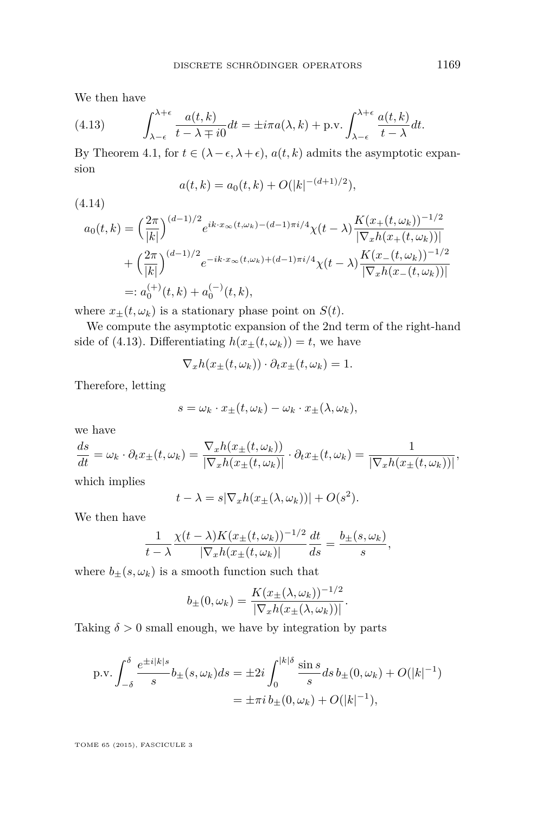<span id="page-17-0"></span>We then have

(4.13) 
$$
\int_{\lambda-\epsilon}^{\lambda+\epsilon} \frac{a(t,k)}{t-\lambda \mp i0} dt = \pm i\pi a(\lambda,k) + \text{p.v.} \int_{\lambda-\epsilon}^{\lambda+\epsilon} \frac{a(t,k)}{t-\lambda} dt.
$$

By Theorem [4.1,](#page-12-0) for  $t \in (\lambda - \epsilon, \lambda + \epsilon)$ ,  $a(t, k)$  admits the asymptotic expansion

$$
a(t,k) = a_0(t,k) + O(|k|^{-(d+1)/2}),
$$

(4.14)

$$
a_0(t,k) = \left(\frac{2\pi}{|k|}\right)^{(d-1)/2} e^{ik \cdot x_{\infty}(t,\omega_k) - (d-1)\pi i/4} \chi(t-\lambda) \frac{K(x_+(t,\omega_k))^{-1/2}}{|\nabla_x h(x_+(t,\omega_k))|} + \left(\frac{2\pi}{|k|}\right)^{(d-1)/2} e^{-ik \cdot x_{\infty}(t,\omega_k) + (d-1)\pi i/4} \chi(t-\lambda) \frac{K(x_-(t,\omega_k))^{-1/2}}{|\nabla_x h(x_-(t,\omega_k))|} =: a_0^{(+)}(t,k) + a_0^{(-)}(t,k),
$$

where  $x_{\pm}(t, \omega_k)$  is a stationary phase point on  $S(t)$ .

We compute the asymptotic expansion of the 2nd term of the right-hand side of (4.13). Differentiating  $h(x+(t,\omega_k))=t$ , we have

$$
\nabla_x h(x_{\pm}(t,\omega_k)) \cdot \partial_t x_{\pm}(t,\omega_k) = 1.
$$

Therefore, letting

$$
s = \omega_k \cdot x_{\pm}(t, \omega_k) - \omega_k \cdot x_{\pm}(\lambda, \omega_k),
$$

we have

$$
\frac{ds}{dt} = \omega_k \cdot \partial_t x_{\pm}(t, \omega_k) = \frac{\nabla_x h(x_{\pm}(t, \omega_k))}{|\nabla_x h(x_{\pm}(t, \omega_k))|} \cdot \partial_t x_{\pm}(t, \omega_k) = \frac{1}{|\nabla_x h(x_{\pm}(t, \omega_k))|},
$$

which implies

$$
t - \lambda = s|\nabla_x h(x_{\pm}(\lambda, \omega_k))| + O(s^2).
$$

We then have

$$
\frac{1}{t-\lambda} \frac{\chi(t-\lambda)K(x_{\pm}(t,\omega_k))^{-1/2}}{|\nabla_x h(x_{\pm}(t,\omega_k)|}\frac{dt}{ds} = \frac{b_{\pm}(s,\omega_k)}{s},
$$

where  $b_{\pm}(s, \omega_k)$  is a smooth function such that

$$
b_{\pm}(0,\omega_k) = \frac{K(x_{\pm}(\lambda,\omega_k))^{-1/2}}{|\nabla_x h(x_{\pm}(\lambda,\omega_k))|}.
$$

Taking  $\delta > 0$  small enough, we have by integration by parts

p.v. 
$$
\int_{-\delta}^{\delta} \frac{e^{\pm i|k|s}}{s} b_{\pm}(s, \omega_k) ds = \pm 2i \int_{0}^{|k|\delta} \frac{\sin s}{s} ds b_{\pm}(0, \omega_k) + O(|k|^{-1})
$$

$$
= \pm \pi i b_{\pm}(0, \omega_k) + O(|k|^{-1}),
$$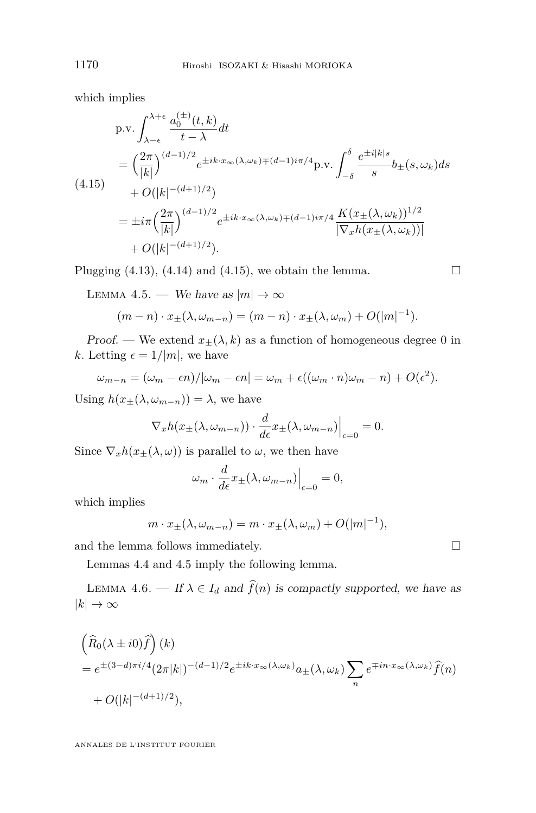<span id="page-18-0"></span>which implies

$$
p.v. \int_{\lambda-\epsilon}^{\lambda+\epsilon} \frac{a_0^{(\pm)}(t,k)}{t-\lambda} dt
$$
  
=  $\left(\frac{2\pi}{|k|}\right)^{(d-1)/2} e^{\pm ik \cdot x_\infty(\lambda,\omega_k) \mp (d-1)i\pi/4} p.v. \int_{-\delta}^{\delta} \frac{e^{\pm i|k|s}}{s} b_{\pm}(s,\omega_k) ds$   
+  $O(|k|^{-(d+1)/2})$   
=  $\pm i\pi \left(\frac{2\pi}{|k|}\right)^{(d-1)/2} e^{\pm ik \cdot x_\infty(\lambda,\omega_k) \mp (d-1)i\pi/4} \frac{K(x_{\pm}(\lambda,\omega_k))^{1/2}}{|\nabla_x h(x_{\pm}(\lambda,\omega_k))|}$   
+  $O(|k|^{-(d+1)/2}).$ 

Plugging  $(4.13)$ ,  $(4.14)$  and  $(4.15)$ , we obtain the lemma.

LEMMA 4.5. — We have as  $|m| \to \infty$ 

$$
(m-n)\cdot x_{\pm}(\lambda,\omega_{m-n})=(m-n)\cdot x_{\pm}(\lambda,\omega_m)+O(|m|^{-1}).
$$

Proof. — We extend  $x_{\pm}(\lambda, k)$  as a function of homogeneous degree 0 in *k*. Letting  $\epsilon = 1/|m|$ , we have

$$
\omega_{m-n} = (\omega_m - \epsilon n)/|\omega_m - \epsilon n| = \omega_m + \epsilon((\omega_m \cdot n)\omega_m - n) + O(\epsilon^2).
$$

Using  $h(x+(\lambda, \omega_{m-n})) = \lambda$ , we have

$$
\nabla_x h(x_\pm(\lambda, \omega_{m-n})) \cdot \frac{d}{d\epsilon} x_\pm(\lambda, \omega_{m-n})\Big|_{\epsilon=0} = 0.
$$

Since  $\nabla_x h(x_\pm(\lambda, \omega))$  is parallel to  $\omega$ , we then have

$$
\omega_m \cdot \frac{d}{d\epsilon} x_\pm(\lambda, \omega_{m-n})\Big|_{\epsilon=0} = 0,
$$

which implies

$$
m \cdot x_{\pm}(\lambda, \omega_{m-n}) = m \cdot x_{\pm}(\lambda, \omega_m) + O(|m|^{-1}),
$$

and the lemma follows immediately.  $\hfill \square$ 

Lemmas [4.4](#page-16-0) and 4.5 imply the following lemma.

LEMMA 4.6. — If  $\lambda \in I_d$  and  $\hat{f}(n)$  is compactly supported, we have as  $|k| \to \infty$ 

$$
\begin{aligned} &\left(\widehat{R}_0(\lambda \pm i0)\widehat{f}\right)(k) \\ &= e^{\pm(3-d)\pi i/4} (2\pi |k|)^{-(d-1)/2} e^{\pm i k \cdot x_\infty(\lambda,\omega_k)} a_\pm(\lambda,\omega_k) \sum_n e^{\mp i n \cdot x_\infty(\lambda,\omega_k)} \widehat{f}(n) \\ &+ O(|k|^{-(d+1)/2}), \end{aligned}
$$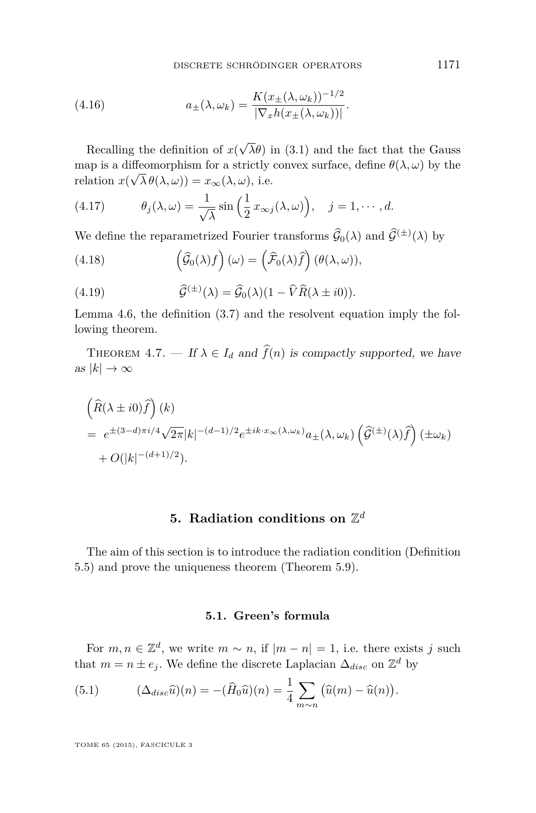DISCRETE SCHRÖDINGER OPERATORS 1171

<span id="page-19-0"></span>(4.16) 
$$
a_{\pm}(\lambda,\omega_k) = \frac{K(x_{\pm}(\lambda,\omega_k))^{-1/2}}{|\nabla_x h(x_{\pm}(\lambda,\omega_k))|}.
$$

Recalling the definition of *x*( √ *λθ*) in [\(3.1\)](#page-8-0) and the fact that the Gauss map is a diffeomorphism for a strictly convex surface, define  $\theta(\lambda, \omega)$  by the  $relation x(\sqrt{\lambda} \theta(\lambda, \omega)) = x_{\infty}(\lambda, \omega),$  i.e.

(4.17) 
$$
\theta_j(\lambda,\omega) = \frac{1}{\sqrt{\lambda}} \sin\left(\frac{1}{2}x_{\infty j}(\lambda,\omega)\right), \quad j=1,\cdots,d.
$$

We define the reparametrized Fourier transforms  $\hat{G}_0(\lambda)$  and  $\hat{G}^{(\pm)}(\lambda)$  by

(4.18) 
$$
\left(\widehat{\mathcal{G}}_0(\lambda)f\right)(\omega) = \left(\widehat{\mathcal{F}}_0(\lambda)\widehat{f}\right)(\theta(\lambda,\omega)),
$$

(4.19) 
$$
\widehat{\mathcal{G}}^{(\pm)}(\lambda) = \widehat{\mathcal{G}}_0(\lambda)(1 - \widehat{V}\widehat{R}(\lambda \pm i0)).
$$

Lemma [4.6,](#page-18-0) the definition [\(3.7\)](#page-10-0) and the resolvent equation imply the following theorem.

THEOREM 4.7. — If  $\lambda \in I_d$  and  $\widehat{f}(n)$  is compactly supported, we have as  $|k| \to \infty$ 

$$
\begin{aligned}\n&\left(\widehat{R}(\lambda \pm i0)\widehat{f}\right)(k) \\
&= e^{\pm(3-d)\pi i/4}\sqrt{2\pi}|k|^{-(d-1)/2}e^{\pm ik\cdot x_{\infty}(\lambda,\omega_k)}a_{\pm}(\lambda,\omega_k)\left(\widehat{\mathcal{G}}^{(\pm)}(\lambda)\widehat{f}\right)(\pm\omega_k) \\
&+ O(|k|^{-(d+1)/2}).\n\end{aligned}
$$

### 5. Radiation conditions on  $\mathbb{Z}^d$

The aim of this section is to introduce the radiation condition (Definition [5.5\)](#page-24-0) and prove the uniqueness theorem (Theorem [5.9\)](#page-26-0).

#### **5.1. Green's formula**

For  $m, n \in \mathbb{Z}^d$ , we write  $m \sim n$ , if  $|m - n| = 1$ , i.e. there exists *j* such that  $m = n \pm e_j$ . We define the discrete Laplacian  $\Delta_{disc}$  on  $\mathbb{Z}^d$  by

(5.1) 
$$
(\Delta_{disc}\widehat{u})(n) = -(\widehat{H}_0\widehat{u})(n) = \frac{1}{4} \sum_{m \sim n} (\widehat{u}(m) - \widehat{u}(n)).
$$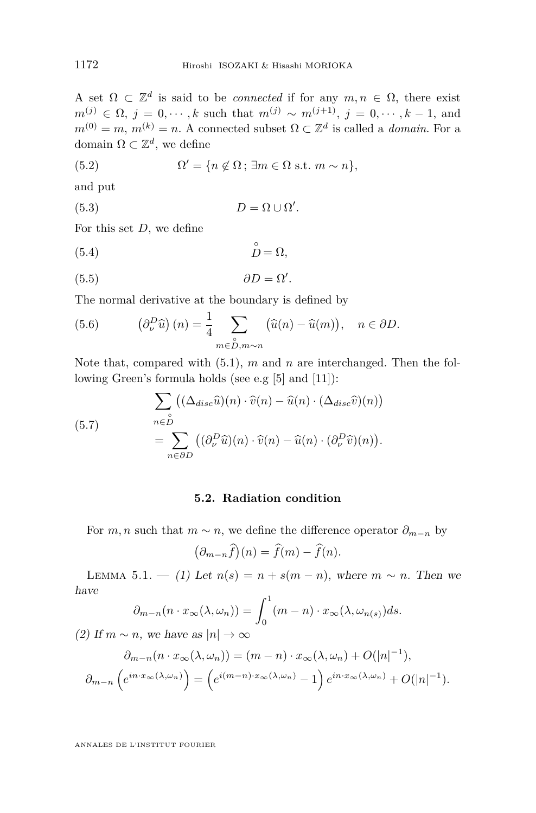<span id="page-20-0"></span>A set  $\Omega \subset \mathbb{Z}^d$  is said to be *connected* if for any  $m, n \in \Omega$ , there exist *m*<sup>(*j*)</sup> ∈ Ω, *j* = 0, · · · , *k* such that *m*<sup>(*j*)</sup> ∼ *m*<sup>(*j*+1)</sup>, *j* = 0, · · · , *k* − 1, and  $m^{(0)} = m$ ,  $m^{(k)} = n$ . A connected subset  $\Omega \subset \mathbb{Z}^d$  is called a *domain*. For a domain  $\Omega \subset \mathbb{Z}^d$ , we define

(5.2) 
$$
\Omega' = \{n \notin \Omega \, ; \, \exists m \in \Omega \text{ s.t. } m \sim n\},
$$

and put

$$
(5.3) \t\t D = \Omega \cup \Omega'.
$$

For this set *D*, we define

(5.4) ◦ *D* = Ω*,*

$$
(5.5) \t\t \t\partial D = \Omega'.
$$

The normal derivative at the boundary is defined by

(5.6) 
$$
\left(\partial_{\nu}^{D}\hat{u}\right)(n) = \frac{1}{4} \sum_{m \in \stackrel{\circ}{D}, m \sim n} \left(\hat{u}(n) - \hat{u}(m)\right), \quad n \in \partial D.
$$

Note that, compared with [\(5.1\)](#page-19-0), *m* and *n* are interchanged. Then the following Green's formula holds (see e.g [\[5\]](#page-47-0) and [\[11\]](#page-48-0)):

(5.7)  
\n
$$
\sum_{n \in \mathring{D}} ((\Delta_{disc}\widehat{u})(n) \cdot \widehat{v}(n) - \widehat{u}(n) \cdot (\Delta_{disc}\widehat{v})(n))
$$
\n
$$
= \sum_{n \in \partial D} ((\partial_{\nu}^{D}\widehat{u})(n) \cdot \widehat{v}(n) - \widehat{u}(n) \cdot (\partial_{\nu}^{D}\widehat{v})(n)).
$$

#### **5.2. Radiation condition**

For *m, n* such that  $m \sim n$ , we define the difference operator  $\partial_{m-n}$  by

$$
(\partial_{m-n}\widehat{f})(n)=\widehat{f}(m)-\widehat{f}(n).
$$

LEMMA 5.1. — (1) Let  $n(s) = n + s(m - n)$ , where  $m \sim n$ . Then we have

$$
\partial_{m-n}(n \cdot x_{\infty}(\lambda, \omega_n)) = \int_0^1 (m-n) \cdot x_{\infty}(\lambda, \omega_{n(s)}) ds.
$$

(2) If  $m \sim n$ , we have as  $|n| \to \infty$ 

$$
\partial_{m-n}(n \cdot x_{\infty}(\lambda, \omega_n)) = (m-n) \cdot x_{\infty}(\lambda, \omega_n) + O(|n|^{-1}),
$$
  

$$
\partial_{m-n}\left(e^{in \cdot x_{\infty}(\lambda, \omega_n)}\right) = \left(e^{i(m-n)\cdot x_{\infty}(\lambda, \omega_n)} - 1\right)e^{in \cdot x_{\infty}(\lambda, \omega_n)} + O(|n|^{-1}).
$$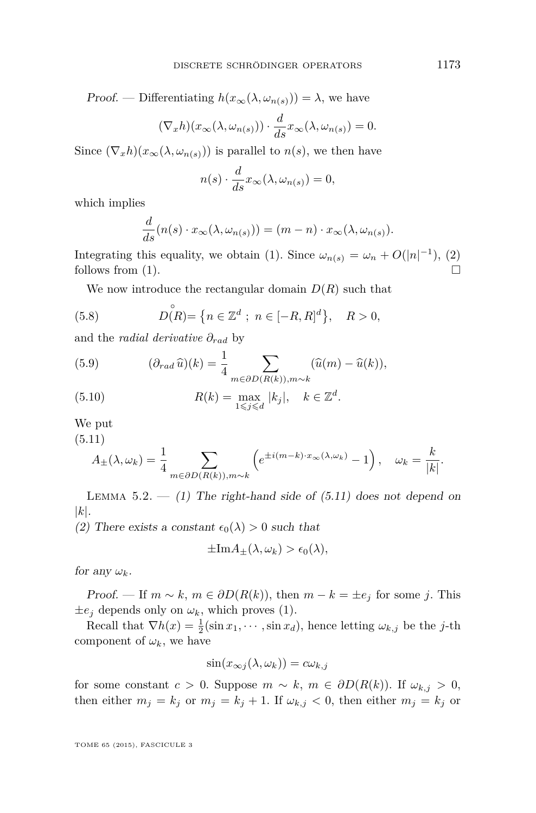<span id="page-21-0"></span>Proof. — Differentiating  $h(x_{\infty}(\lambda, \omega_{n(s)})) = \lambda$ , we have

$$
(\nabla_x h)(x_\infty(\lambda, \omega_{n(s)})) \cdot \frac{d}{ds} x_\infty(\lambda, \omega_{n(s)}) = 0.
$$

Since  $(\nabla_x h)(x_\infty(\lambda, \omega_{n(s)}))$  is parallel to  $n(s)$ , we then have

$$
n(s) \cdot \frac{d}{ds} x_{\infty}(\lambda, \omega_{n(s)}) = 0,
$$

which implies

$$
\frac{d}{ds}(n(s) \cdot x_{\infty}(\lambda, \omega_{n(s)})) = (m - n) \cdot x_{\infty}(\lambda, \omega_{n(s)}).
$$

Integrating this equality, we obtain (1). Since  $\omega_{n(s)} = \omega_n + O(|n|^{-1})$ , (2) follows from (1).  $\Box$ 

We now introduce the rectangular domain  $D(R)$  such that

(5.8) 
$$
D(R) = \{ n \in \mathbb{Z}^d ; n \in [-R, R]^d \}, \quad R > 0,
$$

and the *radial derivative ∂rad* by

(5.9) 
$$
(\partial_{rad}\,\widehat{u})(k) = \frac{1}{4} \sum_{m \in \partial D(R(k)), m \sim k} (\widehat{u}(m) - \widehat{u}(k)),
$$

(5.10) 
$$
R(k) = \max_{1 \leq j \leq d} |k_j|, \quad k \in \mathbb{Z}^d.
$$

We put

(5.11)

$$
A_{\pm}(\lambda,\omega_k) = \frac{1}{4} \sum_{m \in \partial D(R(k)), m \sim k} \left( e^{\pm i(m-k) \cdot x_{\infty}(\lambda,\omega_k)} - 1 \right), \quad \omega_k = \frac{k}{|k|}.
$$

LEMMA  $5.2. - (1)$  The right-hand side of  $(5.11)$  does not depend on |*k*|.

(2) There exists a constant  $\epsilon_0(\lambda) > 0$  such that

$$
\pm \text{Im}A_{\pm}(\lambda,\omega_k) > \epsilon_0(\lambda),
$$

for any  $\omega_k$ .

Proof. — If  $m \sim k$ ,  $m \in \partial D(R(k))$ , then  $m - k = \pm e_j$  for some *j*. This  $\pm e_j$  depends only on  $\omega_k$ , which proves (1).

Recall that  $\nabla h(x) = \frac{1}{2}(\sin x_1, \dots, \sin x_d)$ , hence letting  $\omega_{k,j}$  be the *j*-th component of  $\omega_k$ , we have

$$
\sin(x_{\infty j}(\lambda, \omega_k)) = c\omega_{k,j}
$$

for some constant  $c > 0$ . Suppose  $m \sim k$ ,  $m \in \partial D(R(k))$ . If  $\omega_{k,j} > 0$ , then either  $m_j = k_j$  or  $m_j = k_j + 1$ . If  $\omega_{k,j} < 0$ , then either  $m_j = k_j$  or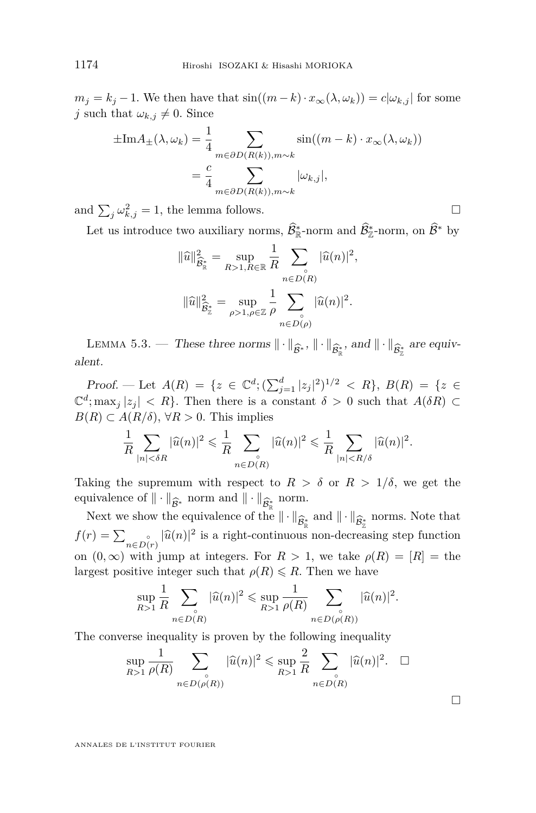<span id="page-22-0"></span> $m_j = k_j - 1$ . We then have that  $\sin((m - k) \cdot x_\infty(\lambda, \omega_k)) = c | \omega_{k,j} |$  for some *j* such that  $\omega_{k,j} \neq 0$ . Since

$$
\pm Im A_{\pm}(\lambda, \omega_k) = \frac{1}{4} \sum_{m \in \partial D(R(k)), m \sim k} \sin((m - k) \cdot x_{\infty}(\lambda, \omega_k))
$$

$$
= \frac{c}{4} \sum_{m \in \partial D(R(k)), m \sim k} |\omega_{k,j}|,
$$

and  $\sum_{j} \omega_{k,j}^2 = 1$ , the lemma follows.

Let us introduce two auxiliary norms,  $\hat{\mathcal{B}}_{\mathbb{R}}^*$ -norm and  $\hat{\mathcal{B}}_{\mathbb{Z}}^*$ -norm, on  $\hat{\mathcal{B}}^*$  by

$$
\|\widehat{u}\|_{\widehat{B}^*_{\mathbb{R}}}^2 = \sup_{R>1, R\in\mathbb{R}} \frac{1}{R} \sum_{n\in D(R)} |\widehat{u}(n)|^2,
$$
  

$$
\|\widehat{u}\|_{\widehat{B}^*_{\mathbb{Z}}}^2 = \sup_{\rho>1, \rho\in\mathbb{Z}} \frac{1}{\rho} \sum_{n\in D(\rho)} |\widehat{u}(n)|^2.
$$

LEMMA 5.3. — These three norms  $\|\cdot\|_{\widehat{\mathcal{B}}^*}$ ,  $\|\cdot\|_{\widehat{\mathcal{B}}^*_{\mathbb{R}}}$ , and  $\|\cdot\|_{\widehat{\mathcal{B}}^*_{\mathbb{Z}}}$  are equivent alent.

Proof. — Let  $A(R) = \{z \in \mathbb{C}^d; (\sum_{j=1}^d |z_j|^2)^{1/2} < R\}, B(R) = \{z \in \mathbb{C}^d; (\sum_{j=1}^d |z_j|^2)^{1/2} < R\}$  $\mathbb{C}^d$ ; max<sub>*j*</sub> |*z*<sub>j</sub> | *< R*}. Then there is a constant  $\delta > 0$  such that  $A(\delta R) \subset$  $B(R)$  ⊂  $A(R/δ)$ , ∀ $R > 0$ . This implies

$$
\frac{1}{R}\sum_{|n|<\delta R}|\widehat{u}(n)|^2\leqslant \frac{1}{R}\sum_{n\in D(R)}|\widehat{u}(n)|^2\leqslant \frac{1}{R}\sum_{|n|< R/\delta}|\widehat{u}(n)|^2.
$$

Taking the supremum with respect to  $R > \delta$  or  $R > 1/\delta$ , we get the equivalence of  $\|\cdot\|_{\widehat{\mathcal{B}}_{\widehat{\Phi}}}$  norm and  $\|\cdot\|_{\widehat{\mathcal{B}}_{\widehat{\Phi}}}$  norm.<br>Next we show the equivalence of the  $\|\cdot\|_{\infty}$ 

Next we show the equivalence of the  $\|\cdot\|_{\widehat{\mathcal{B}}_{\widehat{\mathbb{R}}}}$  and  $\|\cdot\|_{\widehat{\mathcal{B}}_{\widehat{\mathbb{R}}}}$  norms. Note that  $x \geq \frac{|\widehat{\mathcal{B}}(x)|^2}{2}$  is a right continuous non-degreesing step function  $f(r) = \sum_{n \in D(r)} |\hat{u}(n)|^2$  is a right-continuous non-decreasing step function on  $(0, \infty)$  with jump at integers. For  $R > 1$ , we take  $\rho(R) = [R] =$  the largest positive integer such that  $\rho(R) \leq R$ . Then we have

$$
\sup_{R>1} \frac{1}{R} \sum_{n \in D(R)} |\widehat{u}(n)|^2 \leq \sup_{R>1} \frac{1}{\rho(R)} \sum_{n \in D(\rho(R))} |\widehat{u}(n)|^2.
$$

The converse inequality is proven by the following inequality

$$
\sup_{R>1} \frac{1}{\rho(R)} \sum_{n \in D(\rho(R))} |\widehat{u}(n)|^2 \le \sup_{R>1} \frac{2}{R} \sum_{n \in D(R)} |\widehat{u}(n)|^2. \quad \Box
$$

 $\Box$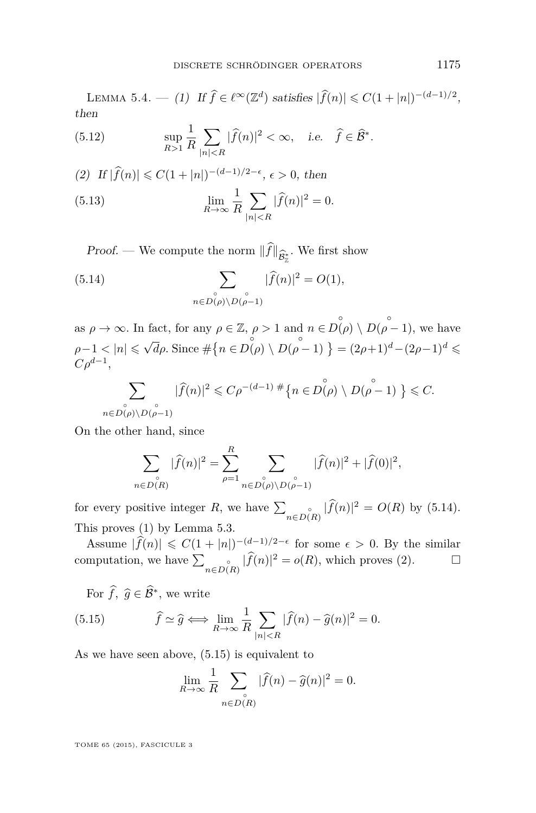<span id="page-23-0"></span>LEMMA 5.4. — (1) If  $\hat{f} \in \ell^{\infty}(\mathbb{Z}^d)$  satisfies  $|\hat{f}(n)| \leq C(1+|n|)^{-(d-1)/2}$ , then

(5.12) 
$$
\sup_{R>1} \frac{1}{R} \sum_{|n|
$$

(2) If 
$$
|\hat{f}(n)| \le C(1+|n|)^{-(d-1)/2-\epsilon}
$$
,  $\epsilon > 0$ , then  
\n(5.13) 
$$
\lim_{R \to \infty} \frac{1}{R} \sum_{|n| < R} |\hat{f}(n)|^2 = 0.
$$

*Proof.* — We compute the norm  $||f||_{\widehat{\mathcal{B}}_{\mathbb{Z}}^*}$ . We first show

(5.14) 
$$
\sum_{\substack{\circ \\ n \in D(\rho) \setminus D(\rho-1)}} |\widehat{f}(n)|^2 = O(1),
$$

as  $\rho \to \infty$ . In fact, for any  $\rho \in \mathbb{Z}$ ,  $\rho > 1$  and  $n \in D(\rho) \setminus D(\rho - 1)$ , we have *ρ*−1 < |*n*| ≤ √  $\overline{d}\rho$ . Since  $\#\{n \in D(\rho) \setminus D(\rho - 1)\} = (2\rho + 1)^d - (2\rho - 1)^d \leq$  $C\rho^{d-1}$ 

$$
\sum_{n\in D(\rho)\backslash D(\stackrel{\circ}{\rho}-1)}|\widehat{f}(n)|^2\leqslant C\rho^{-(d-1)}*\big\{n\in D(\stackrel{\circ}{\rho})\backslash D(\stackrel{\circ}{\rho}-1)\big\}\leqslant C.
$$

On the other hand, since

$$
\sum_{n \in D(R)} |\widehat{f}(n)|^2 = \sum_{\rho=1}^R \sum_{\substack{n \in D(\rho) \setminus D(\rho-1) \\ n \in D(\rho) \setminus D(\rho-1)}} |\widehat{f}(n)|^2 + |\widehat{f}(0)|^2,
$$

for every positive integer *R*, we have  $\sum_{n \in D(R)} |\hat{f}(n)|^2 = O(R)$  by (5.14). This proves (1) by Lemma [5.3.](#page-22-0)

Assume  $|\widehat{f}(n)| \leq C(1+|n|)^{-(d-1)/2-\epsilon}$  for some  $\epsilon > 0$ . By the similar computation, we have  $\sum_{n \in D(R)} |\widehat{f}(n)|^2 = o(R)$ , which proves (2).

For  $\widehat{f}, \widehat{g} \in \widehat{\mathcal{B}}^*$ , we write

(5.15) 
$$
\hat{f} \simeq \hat{g} \Longleftrightarrow \lim_{R \to \infty} \frac{1}{R} \sum_{|n| < R} |\hat{f}(n) - \hat{g}(n)|^2 = 0.
$$

As we have seen above, (5.15) is equivalent to

$$
\lim_{R \to \infty} \frac{1}{R} \sum_{\substack{\circ \\ n \in D(R)}} |\widehat{f}(n) - \widehat{g}(n)|^2 = 0.
$$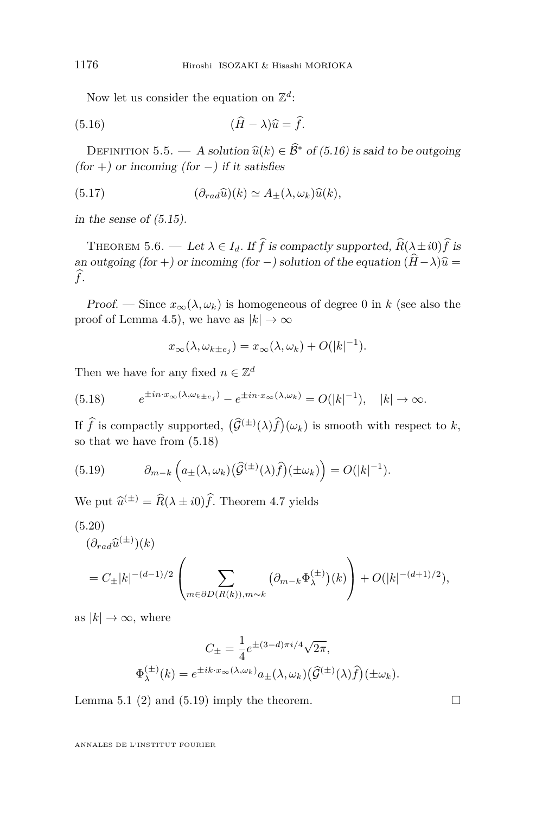<span id="page-24-0"></span>Now let us consider the equation on  $\mathbb{Z}^d$ :

(5.16) 
$$
(\widehat{H} - \lambda)\widehat{u} = \widehat{f}.
$$

DEFINITION 5.5. — A solution  $\widehat{u}(k) \in \widehat{B}^*$  of (5.16) is said to be outgoing  $(for +)$  or incoming  $(for -)$  if it satisfies

(5.17) 
$$
(\partial_{rad}\widehat{u})(k) \simeq A_{\pm}(\lambda, \omega_k)\widehat{u}(k),
$$

in the sense of  $(5.15)$ .

THEOREM 5.6. — Let  $\lambda \in I_d$ . If  $\hat{f}$  is compactly supported,  $\hat{R}(\lambda \pm i0)\hat{f}$  is an outgoing (for +) or incoming (for −) solution of the equation  $(\hat{H} - \lambda)\hat{u} =$ *f*b.

Proof. — Since  $x_{\infty}(\lambda, \omega_k)$  is homogeneous of degree 0 in *k* (see also the proof of Lemma 4.5), we have as  $|k| \to \infty$ 

$$
x_{\infty}(\lambda, \omega_{k \pm e_j}) = x_{\infty}(\lambda, \omega_k) + O(|k|^{-1}).
$$

Then we have for any fixed  $n \in \mathbb{Z}^d$ 

(5.18) 
$$
e^{\pm in \cdot x_{\infty}(\lambda, \omega_{k \pm e_j})} - e^{\pm in \cdot x_{\infty}(\lambda, \omega_k)} = O(|k|^{-1}), \quad |k| \to \infty.
$$

If  $\hat{f}$  is compactly supported,  $(\hat{G}^{(\pm)}(\lambda)\hat{f})(\omega_k)$  is smooth with respect to *k*, so that we have from (5.18)

(5.19) 
$$
\partial_{m-k}\left(a_{\pm}(\lambda,\omega_k)(\widehat{\mathcal{G}}^{(\pm)}(\lambda)\widehat{f})(\pm\omega_k)\right) = O(|k|^{-1}).
$$

We put  $\hat{u}^{(\pm)} = \hat{R}(\lambda \pm i0)\hat{f}$ . Theorem [4.7](#page-19-0) yields

$$
(5.20)
$$
  
\n
$$
(\partial_{rad}\hat{u}^{(\pm)})(k)
$$
  
\n
$$
= C_{\pm}|k|^{-(d-1)/2} \left( \sum_{m \in \partial D(R(k)), m \sim k} (\partial_{m-k} \Phi_{\lambda}^{(\pm)}) (k) \right) + O(|k|^{-(d+1)/2}),
$$

as  $|k| \to \infty$ , where

$$
C_{\pm} = \frac{1}{4} e^{\pm (3-d)\pi i/4} \sqrt{2\pi},
$$
  

$$
\Phi_{\lambda}^{(\pm)}(k) = e^{\pm i k \cdot x_{\infty}(\lambda, \omega_k)} a_{\pm}(\lambda, \omega_k) (\widehat{\mathcal{G}}^{(\pm)}(\lambda)\widehat{f}) (\pm \omega_k).
$$

Lemma [5.1](#page-20-0) (2) and (5.19) imply the theorem.  $\Box$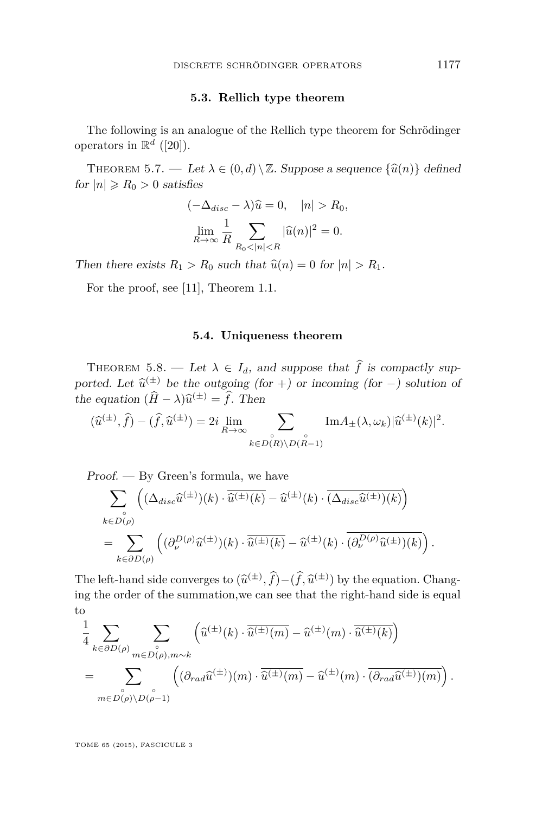#### **5.3. Rellich type theorem**

<span id="page-25-0"></span>The following is an analogue of the Rellich type theorem for Schrödinger operators in  $\mathbb{R}^d$  ([\[20\]](#page-48-0)).

THEOREM 5.7. — Let  $\lambda \in (0, d) \setminus \mathbb{Z}$ . Suppose a sequence  $\{\hat{u}(n)\}\$  defined for  $|n| \ge R_0 > 0$  satisfies

$$
(-\Delta_{disc} - \lambda)\widehat{u} = 0, \quad |n| > R_0,
$$
  

$$
\lim_{R \to \infty} \frac{1}{R} \sum_{R_0 < |n| < R} |\widehat{u}(n)|^2 = 0.
$$

Then there exists  $R_1 > R_0$  such that  $\hat{u}(n) = 0$  for  $|n| > R_1$ .

For the proof, see [\[11\]](#page-48-0), Theorem 1.1.

#### **5.4. Uniqueness theorem**

THEOREM 5.8. — Let  $\lambda \in I_d$ , and suppose that  $\hat{f}$  is compactly supported. Let  $\hat{u}^{(\pm)}$  be the outgoing (for +) or incoming (for -) solution of the equation  $(\hat{H} - \lambda)\hat{u}^{(\pm)} = \hat{f}$ . Then

$$
(\widehat{u}^{(\pm)},\widehat{f}) - (\widehat{f},\widehat{u}^{(\pm)}) = 2i \lim_{R \to \infty} \sum_{\substack{\circ \\ k \in D(R) \setminus D(R-1)}} \text{Im} A_{\pm}(\lambda,\omega_k) |\widehat{u}^{(\pm)}(k)|^2.
$$

 $Proof.$  — By Green's formula, we have

$$
\sum_{\substack{\mathbf{c}\\k\in D(\rho)}} \left( (\Delta_{disc}\widehat{u}^{(\pm)})(k)\cdot \overline{\widehat{u}^{(\pm)}(k)} - \widehat{u}^{(\pm)}(k)\cdot \overline{(\Delta_{disc}\widehat{u}^{(\pm)})(k)} \right)
$$
  
= 
$$
\sum_{k\in \partial D(\rho)} \left( (\partial_{\nu}^{D(\rho)}\widehat{u}^{(\pm)})(k)\cdot \overline{\widehat{u}^{(\pm)}(k)} - \widehat{u}^{(\pm)}(k)\cdot \overline{(\partial_{\nu}^{D(\rho)}\widehat{u}^{(\pm)})(k)} \right).
$$

The left-hand side converges to  $(\hat{u}^{(\pm)}, \hat{f}) - (\hat{f}, \hat{u}^{(\pm)})$  by the equation. Chang-<br>ing the endanger is the summation we can get that the wight hand side is cause ing the order of the summation,we can see that the right-hand side is equal to

$$
\frac{1}{4} \sum_{k \in \partial D(\rho)} \sum_{m \in D(\rho), m \sim k} \left( \widehat{u}^{(\pm)}(k) \cdot \overline{\widehat{u}^{(\pm)}(m)} - \widehat{u}^{(\pm)}(m) \cdot \overline{\widehat{u}^{(\pm)}(k)} \right)
$$
\n
$$
= \sum_{m \in D(\rho) \backslash D(\rho-1)} \left( (\partial_{rad} \widehat{u}^{(\pm)})(m) \cdot \overline{\widehat{u}^{(\pm)}(m)} - \widehat{u}^{(\pm)}(m) \cdot \overline{(\partial_{rad} \widehat{u}^{(\pm)})(m)} \right).
$$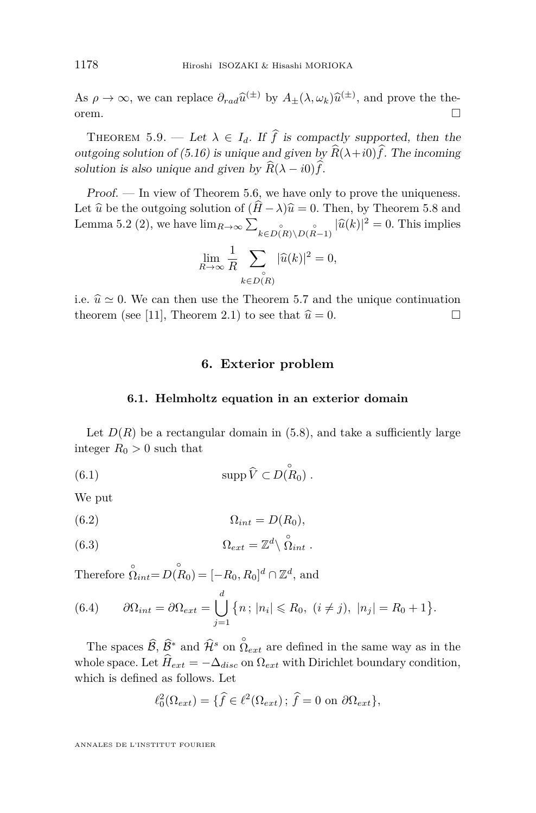<span id="page-26-0"></span>As  $\rho \to \infty$ , we can replace  $\partial_{rad} \hat{u}^{(\pm)}$  by  $A_{\pm}(\lambda, \omega_k) \hat{u}^{(\pm)}$ , and prove the theorem.  $\Box$ 

THEOREM 5.9. — Let  $\lambda \in I_d$ . If  $\hat{f}$  is compactly supported, then the outgoing solution of [\(5.16\)](#page-24-0) is unique and given by  $\widehat{R}(\lambda + i0)\widehat{f}$ . The incoming solution is also unique and given by  $\widehat{R}(\lambda - i0)\widehat{f}$ .

Proof. — In view of Theorem [5.6,](#page-24-0) we have only to prove the uniqueness. Let  $\hat{u}$  be the outgoing solution of  $(\hat{H} - \lambda)\hat{u} = 0$ . Then, by Theorem [5.8](#page-25-0) and Lemma [5.2](#page-21-0) (2), we have  $\lim_{R\to\infty} \sum_{k \in D(R) \setminus D(R-1)} |\hat{u}(k)|^2 = 0$ . This implies

$$
\lim_{R \to \infty} \frac{1}{R} \sum_{\substack{\circ \\ k \in D(R)}} |\widehat{u}(k)|^2 = 0,
$$

i.e.  $\hat{u} \simeq 0$ . We can then use the Theorem [5.7](#page-25-0) and the unique continuation theorem (see [11] Theorem 2.1) to see that  $\hat{u} = 0$ theorem (see [\[11\]](#page-48-0), Theorem 2.1) to see that  $\hat{u} = 0$ .

#### **6. Exterior problem**

#### **6.1. Helmholtz equation in an exterior domain**

Let  $D(R)$  be a rectangular domain in [\(5.8\)](#page-21-0), and take a sufficiently large integer  $R_0 > 0$  such that

(6.1) 
$$
\operatorname{supp} \widehat{V} \subset D(R_0) .
$$

We put

$$
(6.2) \t\t \t\t \Omega_{int} = D(R_0),
$$

(6.3) 
$$
\Omega_{ext} = \mathbb{Z}^d \setminus \mathring{\Omega}_{int}.
$$

Therefore  $\hat{\Omega}_{int} = D(\mathring{R}_0) = [-R_0, R_0]^d \cap \mathbb{Z}^d$ , and

(6.4) 
$$
\partial\Omega_{int} = \partial\Omega_{ext} = \bigcup_{j=1}^d \{n \, ; \, |n_i| \le R_0, \, (i \ne j), \, |n_j| = R_0 + 1 \}.
$$

The spaces  $\widehat{\mathcal{B}}, \widehat{\mathcal{B}}^*$  and  $\widehat{\mathcal{H}}^s$  on  $\Omega_{ext}$  are defined in the same way as in the whole space. Let  $\hat{H}_{ext} = -\Delta_{disc}$  on  $\Omega_{ext}$  with Dirichlet boundary condition, which is defined as follows. Let

$$
\ell_0^2(\Omega_{ext}) = \{ \widehat{f} \in \ell^2(\Omega_{ext}) ; \widehat{f} = 0 \text{ on } \partial \Omega_{ext} \},
$$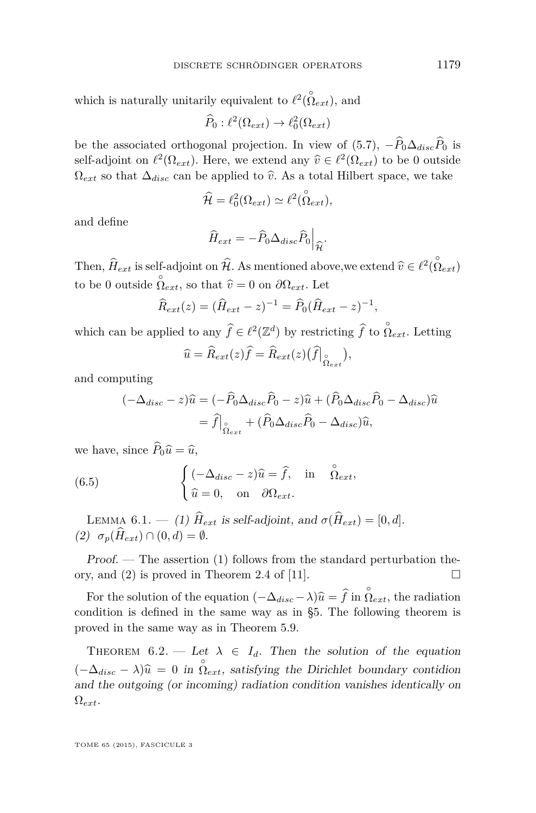<span id="page-27-0"></span>which is naturally unitarily equivalent to  $\ell^2(\stackrel{\circ}{\Omega}_{ext})$ , and

 $\widehat{P}_0 : \ell^2(\Omega_{ext}) \to \ell^2_0(\Omega_{ext})$ 

be the associated orthogonal projection. In view of [\(5.7\)](#page-20-0),  $-\widehat{P}_0\Delta_{disc}\widehat{P}_0$  is self-adjoint on  $\ell^2(\Omega_{ext})$ . Here, we extend any  $\hat{v} \in \ell^2(\Omega_{ext})$  to be 0 outside<br>Only a that  $\Lambda$  can be applied to  $\hat{v}$ ,  $\Lambda$ s a total Hilbert grass, we take  $\Omega_{ext}$  so that  $\Delta_{disc}$  can be applied to  $\hat{v}$ . As a total Hilbert space, we take

$$
\widehat{\mathcal{H}} = \ell_0^2(\Omega_{ext}) \simeq \ell^2(\stackrel{\circ}{\Omega}_{ext}),
$$

and define

$$
\widehat{H}_{ext} = -\widehat{P}_0 \Delta_{disc} \widehat{P}_0 \Big|_{\widehat{\mathcal{H}}}.
$$

Then,  $\hat{H}_{ext}$  is self-adjoint on  $\hat{\mathcal{H}}$ . As mentioned above, we extend  $\hat{v} \in \ell^2(\hat{\Omega}_{ext})$ to be 0 outside  $\hat{\Omega}_{ext}$ , so that  $\hat{v} = 0$  on  $\partial \Omega_{ext}$ . Let

$$
\widehat{R}_{ext}(z) = (\widehat{H}_{ext} - z)^{-1} = \widehat{P}_0(\widehat{H}_{ext} - z)^{-1},
$$

which can be applied to any  $\hat{f} \in \ell^2(\mathbb{Z}^d)$  by restricting  $\hat{f}$  to  $\stackrel{\circ}{\Omega}_{ext}$ . Letting

$$
\widehat{u} = \widehat{R}_{ext}(z)\widehat{f} = \widehat{R}_{ext}(z)(\widehat{f}|_{\stackrel{\circ}{\Omega}_{ext}}),
$$

and computing

$$
(-\Delta_{disc} - z)\hat{u} = (-\hat{P}_0 \Delta_{disc}\hat{P}_0 - z)\hat{u} + (\hat{P}_0 \Delta_{disc}\hat{P}_0 - \Delta_{disc})\hat{u}
$$

$$
= \hat{f}|_{\hat{\Omega}_{ext}} + (\hat{P}_0 \Delta_{disc}\hat{P}_0 - \Delta_{disc})\hat{u},
$$

we have, since  $\widehat{P}_0\widehat{u} = \widehat{u}$ ,

(6.5) 
$$
\begin{cases} (-\Delta_{disc} - z)\hat{u} = \hat{f}, & \text{in} \quad \overset{\circ}{\Omega}_{ext}, \\ \hat{u} = 0, & \text{on} \quad \partial \Omega_{ext}. \end{cases}
$$

LEMMA 6.1. — (1)  $\hat{H}_{ext}$  is self-adjoint, and  $\sigma(\hat{H}_{ext}) = [0, d]$ .  $(2)$   $\sigma_p(\widehat{H}_{ext}) \cap (0,d) = \emptyset.$ 

Proof. — The assertion (1) follows from the standard perturbation theory, and (2) is proved in Theorem 2.4 of [\[11\]](#page-48-0).

For the solution of the equation  $(-\Delta_{disc} - \lambda)\hat{u} = \hat{f}$  in  $\stackrel{\circ}{\Omega}_{ext}$ , the radiation relation is defined in the same way as in  $\stackrel{\circ}{\delta}^E$ . The following theorem is condition is defined in the same way as in §5. The following theorem is proved in the same way as in Theorem [5.9.](#page-26-0)

THEOREM 6.2. — Let  $\lambda \in I_d$ . Then the solution of the equation  $(-\Delta_{disc} - \lambda)\hat{u} = 0$  in  $\stackrel{\circ}{\Omega}_{ext}$ , satisfying the Dirichlet boundary contidion and the outgoing (or incoming) radiation condition vanishes identically on  $\Omega_{ext}$ .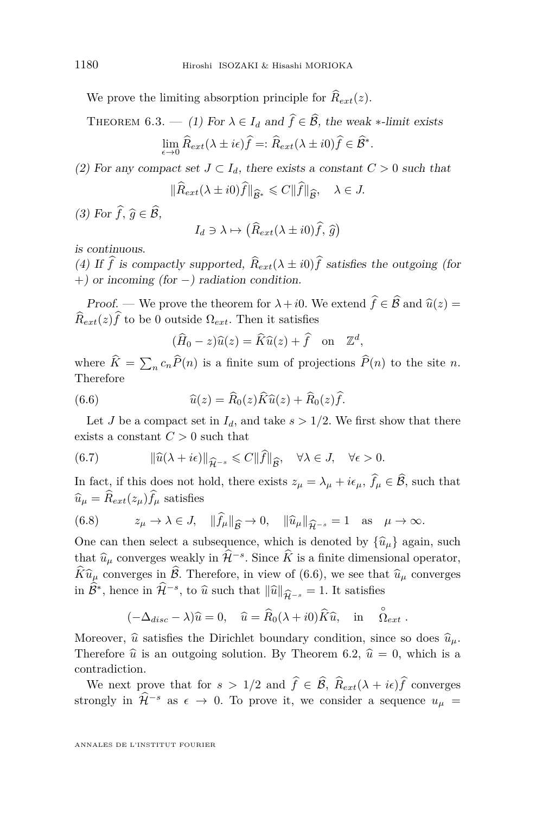We prove the limiting absorption principle for  $\hat{R}_{ext}(z)$ .

THEOREM 6.3. — (1) For  $\lambda \in I_d$  and  $\hat{f} \in \hat{\mathcal{B}}$ , the weak  $*$ -limit exists  $\lim_{\epsilon \to 0} \widehat{R}_{ext}(\lambda \pm i\epsilon) f =: \widehat{R}_{ext}(\lambda \pm i0) f \in \widehat{\mathcal{B}}^*.$ 

(2) For any compact set  $J \subset I_d$ , there exists a constant  $C > 0$  such that

$$
\|\widehat{R}_{ext}(\lambda \pm i0)\widehat{f}\|_{\widehat{\mathcal{B}}^*} \leqslant C\|\widehat{f}\|_{\widehat{\mathcal{B}}}, \quad \lambda \in J.
$$

(3) For  $\widehat{f}, \widehat{g} \in \widehat{\mathcal{B}}$ ,

$$
I_d \ni \lambda \mapsto \left(\widehat{R}_{ext}(\lambda \pm i0)\widehat{f}, \,\widehat{g}\right)
$$

is continuous.

(4) If  $\hat{f}$  is compactly supported,  $\hat{R}_{ext}(\lambda \pm i0)\hat{f}$  satisfies the outgoing (for +) or incoming (for −) radiation condition.

*Proof.* — We prove the theorem for  $\lambda + i0$ . We extend  $\hat{f} \in \hat{\mathcal{B}}$  and  $\hat{u}(z) =$  $\widehat{R}_{ext}(z)\widehat{f}$  to be 0 outside  $\Omega_{ext}$ . Then it satisfies

$$
(\widehat{H}_0 - z)\widehat{u}(z) = \widehat{K}\widehat{u}(z) + \widehat{f} \quad \text{on} \quad \mathbb{Z}^d,
$$

where  $K = \sum_n c_n P(n)$  is a finite sum of projections  $P(n)$  to the site *n*. Therefore

(6.6) 
$$
\widehat{u}(z) = \widehat{R}_0(z)\widehat{K}\widehat{u}(z) + \widehat{R}_0(z)\widehat{f}.
$$

Let *J* be a compact set in  $I_d$ , and take  $s > 1/2$ . We first show that there exists a constant  $C > 0$  such that

(6.7) 
$$
\|\widehat{u}(\lambda + i\epsilon)\|_{\widehat{\mathcal{H}}^{-s}} \leqslant C \|\widehat{f}\|_{\widehat{\mathcal{B}}}, \quad \forall \lambda \in J, \quad \forall \epsilon > 0.
$$

In fact, if this does not hold, there exists  $z_{\mu} = \lambda_{\mu} + i\epsilon_{\mu}$ ,  $f_{\mu} \in \mathcal{B}$ , such that  $\widehat{u}_{\mu} = \widehat{R}_{ext}(z_{\mu}) \widehat{f}_{\mu}$  satisfies

(6.8) 
$$
z_{\mu} \to \lambda \in J, \quad \|\widehat{f}_{\mu}\|_{\widehat{\mathcal{B}}} \to 0, \quad \|\widehat{u}_{\mu}\|_{\widehat{\mathcal{H}}^{-s}} = 1 \quad \text{as} \quad \mu \to \infty.
$$

One can then select a subsequence, which is denoted by  $\{\hat{u}_{\mu}\}\$  again, such that  $\hat{v}$  assumes such that  $\hat{u} = \hat{u}$ that  $\hat{u}_{\mu}$  converges weakly in  $\hat{\mathcal{H}}^{-s}$ . Since  $\hat{K}$  is a finite dimensional operator,  $\widehat{K} \widehat{u}_{\mu}$  converges in  $\widehat{\mathcal{B}}$ . Therefore, in view of (6.6), we see that  $\widehat{u}_{\mu}$  converges in  $\widehat{\mathcal{B}}^*$ , hence in  $\widehat{\mathcal{H}}^{-s}$ , to  $\widehat{u}$  such that  $\|\widehat{u}\|_{\widehat{\mathcal{H}}^{-s}} = 1$ . It satisfies

$$
(-\Delta_{disc} - \lambda)\hat{u} = 0, \quad \hat{u} = \hat{R}_0(\lambda + i0)\hat{K}\hat{u}, \text{ in } \hat{\Omega}_{ext}.
$$

Moreover,  $\hat{u}$  satisfies the Dirichlet boundary condition, since so does  $\hat{u}_{\mu}$ . Therefore  $\hat{u}$  is an outgoing solution. By Theorem [6.2,](#page-27-0)  $\hat{u} = 0$ , which is a contradiction.

We next prove that for  $s > 1/2$  and  $\hat{f} \in \hat{\mathcal{B}}$ ,  $\hat{R}_{ext}(\lambda + i\epsilon)\hat{f}$  converges strongly in  $\hat{\mathcal{H}}^{-s}$  as  $\epsilon \to 0$ . To prove it, we consider a sequence  $u_{\mu} =$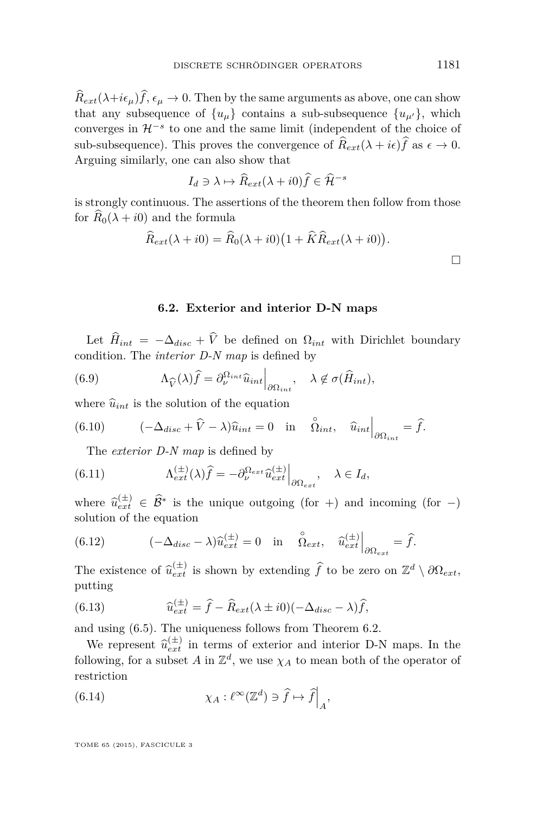<span id="page-29-0"></span> $\widehat{R}_{ext}(\lambda + i\epsilon_\mu)\widehat{f}, \epsilon_\mu \to 0$ . Then by the same arguments as above, one can show that any subsequence of  $\{u_{\mu}\}\$  contains a sub-subsequence  $\{u_{\mu'}\}\$ , which converges in H<sup>−</sup>*<sup>s</sup>* to one and the same limit (independent of the choice of sub-subsequence). This proves the convergence of  $\hat{R}_{ext}(\lambda + i\epsilon)\hat{f}$  as  $\epsilon \to 0$ . Arguing similarly, one can also show that

$$
I_d \ni \lambda \mapsto \widehat{R}_{ext}(\lambda + i0)\widehat{f} \in \widehat{\mathcal{H}}^{-s}
$$

is strongly continuous. The assertions of the theorem then follow from those for  $\widehat{R}_0(\lambda + i0)$  and the formula

$$
\widehat{R}_{ext}(\lambda + i0) = \widehat{R}_0(\lambda + i0) \big(1 + \widehat{K}\widehat{R}_{ext}(\lambda + i0)\big).
$$

#### **6.2. Exterior and interior D-N maps**

Let  $\hat{H}_{int} = -\Delta_{disc} + \hat{V}$  be defined on  $\Omega_{int}$  with Dirichlet boundary condition. The *interior D-N map* is defined by

(6.9) 
$$
\Lambda_{\widehat{V}}(\lambda)\widehat{f} = \partial_{\nu}^{\Omega_{int}}\widehat{u}_{int}\Big|_{\partial\Omega_{int}}, \quad \lambda \notin \sigma(\widehat{H}_{int}),
$$

where  $\hat{u}_{int}$  is the solution of the equation

(6.10) 
$$
(-\Delta_{disc} + \widehat{V} - \lambda)\widehat{u}_{int} = 0 \quad \text{in} \quad \widehat{\Omega}_{int}, \quad \widehat{u}_{int}\Big|_{\partial \Omega_{int}} = \widehat{f}.
$$

The *exterior D-N map* is defined by

(6.11) 
$$
\Lambda_{ext}^{(\pm)}(\lambda)\widehat{f} = -\partial_{\nu}^{\Omega_{ext}}\widehat{u}_{ext}^{(\pm)}\Big|_{\partial\Omega_{ext}}, \quad \lambda \in I_d,
$$

where  $\hat{u}_{\text{ext}}^{(\pm)} \in \hat{B}^*$  is the unique outgoing (for +) and incoming (for -) solution of the equation

(6.12) 
$$
(-\Delta_{disc} - \lambda)\widehat{u}_{ext}^{(\pm)} = 0 \quad \text{in} \quad \widehat{\Omega}_{ext}, \quad \widehat{u}_{ext}^{(\pm)}\Big|_{\partial\Omega_{ext}} = \widehat{f}.
$$

The existence of  $\hat{u}_{ext}^{(\pm)}$  is shown by extending  $\hat{f}$  to be zero on  $\mathbb{Z}^d \setminus \partial \Omega_{ext}$ , putting

(6.13) 
$$
\widehat{u}_{ext}^{(\pm)} = \widehat{f} - \widehat{R}_{ext}(\lambda \pm i0)(-\Delta_{disc} - \lambda)\widehat{f},
$$

and using [\(6.5\)](#page-27-0). The uniqueness follows from Theorem [6.2.](#page-27-0)

We represent  $\hat{u}_{ext}^{(\pm)}$  in terms of exterior and interior D-N maps. In the following, for a subset  $A$  in  $\mathbb{Z}^d$ , we use  $\chi_A$  to mean both of the operator of restriction

(6.14) 
$$
\chi_A: \ell^{\infty}(\mathbb{Z}^d) \ni \widehat{f} \mapsto \widehat{f}\Big|_A,
$$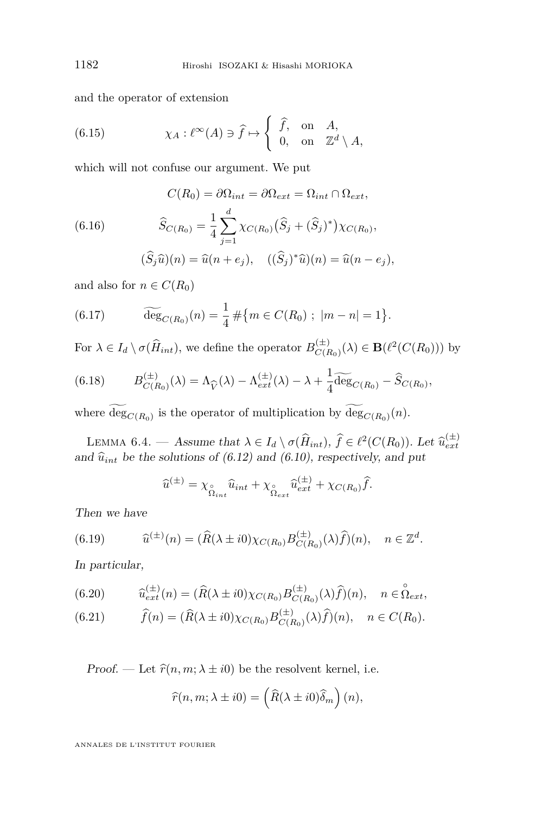<span id="page-30-0"></span>and the operator of extension

(6.15) 
$$
\chi_A: \ell^{\infty}(A) \ni \hat{f} \mapsto \begin{cases} \hat{f}, & \text{on } A, \\ 0, & \text{on } \mathbb{Z}^d \setminus A, \end{cases}
$$

which will not confuse our argument. We put

(6.16)  
\n
$$
C(R_0) = \partial \Omega_{int} = \partial \Omega_{ext} = \Omega_{int} \cap \Omega_{ext},
$$
\n
$$
\widehat{S}_{C(R_0)} = \frac{1}{4} \sum_{j=1}^d \chi_{C(R_0)} (\widehat{S}_j + (\widehat{S}_j)^*) \chi_{C(R_0)},
$$
\n
$$
(\widehat{S}_j \widehat{u})(n) = \widehat{u}(n + e_j), \quad ((\widehat{S}_j)^* \widehat{u})(n) = \widehat{u}(n - e_j),
$$

and also for  $n \in C(R_0)$ 

(6.17) 
$$
\widetilde{\deg}_{C(R_0)}(n) = \frac{1}{4} \# \{ m \in C(R_0) ; |m - n| = 1 \}.
$$

For  $\lambda \in I_d \setminus \sigma(\widehat{H}_{int})$ , we define the operator  $B_{C(F)}^{(\pm)}$  $C(E_0)(\lambda) \in \mathbf{B}(\ell^2(C(R_0)))$  by

(6.18) 
$$
B_{C(R_0)}^{(\pm)}(\lambda) = \Lambda_{\widehat{V}}(\lambda) - \Lambda_{ext}^{(\pm)}(\lambda) - \lambda + \frac{1}{4} \widetilde{\deg}_{C(R_0)} - \widehat{S}_{C(R_0)},
$$

where  $deg_{C(R_0)}$  is the operator of multiplication by  $deg_{C(R_0)}(n)$ .

LEMMA 6.4. — Assume that  $\lambda \in I_d \setminus \sigma(\hat{H}_{int}), \hat{f} \in \ell^2(C(R_0))$ . Let  $\hat{u}_{ext}^{(\pm)}$ and  $\hat{u}_{int}$  be the solutions of [\(6.12\)](#page-29-0) and [\(6.10\)](#page-29-0), respectively, and put

$$
\widehat{u}^{(\pm)} = \chi_{\stackrel{\circ}{\Omega}_{int}} \widehat{u}_{int} + \chi_{\stackrel{\circ}{\Omega}_{ext}} \widehat{u}_{ext}^{(\pm)} + \chi_{C(R_0)} \widehat{f}.
$$

Then we have

(6.19) 
$$
\widehat{u}^{(\pm)}(n) = (\widehat{R}(\lambda \pm i0)\chi_{C(R_0)}B_{C(R_0)}^{(\pm)}(\lambda)\widehat{f})(n), \quad n \in \mathbb{Z}^d.
$$

In particular,

(6.20) 
$$
\widehat{u}_{ext}^{(\pm)}(n) = (\widehat{R}(\lambda \pm i0)\chi_{C(R_0)}B_{C(R_0)}^{(\pm)}(\lambda)\widehat{f})(n), \quad n \in \stackrel{\circ}{\Omega}_{ext},
$$

(6.21) 
$$
\widehat{f}(n) = (\widehat{R}(\lambda \pm i0)\chi_{C(R_0)}B_{C(R_0)}^{(\pm)}(\lambda)\widehat{f})(n), \quad n \in C(R_0).
$$

Proof. — Let  $\hat{r}(n, m; \lambda \pm i0)$  be the resolvent kernel, i.e.

$$
\widehat{r}(n,m;\lambda \pm i0) = \left(\widehat{R}(\lambda \pm i0)\widehat{\delta}_m\right)(n),
$$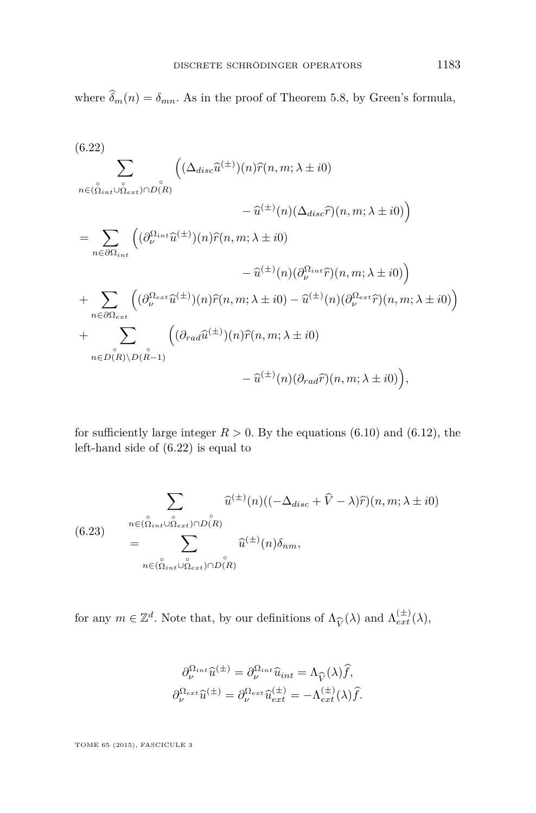<span id="page-31-0"></span>where  $\hat{\delta}_m(n) = \delta_{mn}$ . As in the proof of Theorem [5.8,](#page-25-0) by Green's formula,

(6.22)  
\n
$$
\sum_{n \in (\hat{\Omega}_{int} \cup \hat{\Omega}_{ext}) \cap D(R)} \left( (\Delta_{disc}\hat{u}^{(\pm)}) (n) \hat{r}(n, m; \lambda \pm i0) - \hat{u}^{(\pm)}(n) (\Delta_{disc}\hat{r}) (n, m; \lambda \pm i0) \right)
$$
\n
$$
= \sum_{n \in \partial \Omega_{int}} \left( (\partial_{\nu}^{\Omega_{int}}\hat{u}^{(\pm)}) (n) \hat{r}(n, m; \lambda \pm i0) - \hat{u}^{(\pm)}(n) (\partial_{\nu}^{\Omega_{int}}\hat{r}) (n, m; \lambda \pm i0) \right)
$$
\n
$$
+ \sum_{n \in \partial \Omega_{ext}} \left( (\partial_{\nu}^{\Omega_{ext}}\hat{u}^{(\pm)}) (n) \hat{r}(n, m; \lambda \pm i0) - \hat{u}^{(\pm)}(n) (\partial_{\nu}^{\Omega_{ext}}\hat{r}) (n, m; \lambda \pm i0) \right)
$$
\n
$$
+ \sum_{n \in D(R) \backslash D(\stackrel{\circ}{n}-1)} \left( (\partial_{rad}\hat{u}^{(\pm)}) (n) \hat{r}(n, m; \lambda \pm i0) - \hat{u}^{(\pm)}(n) (\partial_{rad}\hat{r}) (n, m; \lambda \pm i0) \right)
$$
\n
$$
- \hat{u}^{(\pm)}(n) (\partial_{rad}\hat{r}) (n, m; \lambda \pm i0) \right),
$$

for sufficiently large integer  $R > 0$ . By the equations [\(6.10\)](#page-29-0) and [\(6.12\)](#page-29-0), the left-hand side of (6.22) is equal to

$$
\sum_{n \in (\stackrel{\circ}{\Omega}_{int} \cup \stackrel{\circ}{\Omega}_{ext}) \cap D(R)} \hat{u}^{(\pm)}(n)((-\Delta_{disc} + \widehat{V} - \lambda)\widehat{r})(n, m; \lambda \pm i0)
$$
\n
$$
= \sum_{n \in (\stackrel{\circ}{\Omega}_{int} \cup \stackrel{\circ}{\Omega}_{ext}) \cap D(R)} \hat{u}^{(\pm)}(n)\delta_{nm},
$$

for any  $m \in \mathbb{Z}^d$ . Note that, by our definitions of  $\Lambda_{\widehat{V}}(\lambda)$  and  $\Lambda_{ext}^{(\pm)}(\lambda)$ ,

$$
\partial_{\nu}^{\Omega_{int}} \widehat{u}^{(\pm)} = \partial_{\nu}^{\Omega_{int}} \widehat{u}_{int} = \Lambda_{\widehat{V}}(\lambda) \widehat{f},
$$

$$
\partial_{\nu}^{\Omega_{ext}} \widehat{u}^{(\pm)} = \partial_{\nu}^{\Omega_{ext}} \widehat{u}^{(\pm)}_{ext} = -\Lambda_{ext}^{(\pm)}(\lambda) \widehat{f}.
$$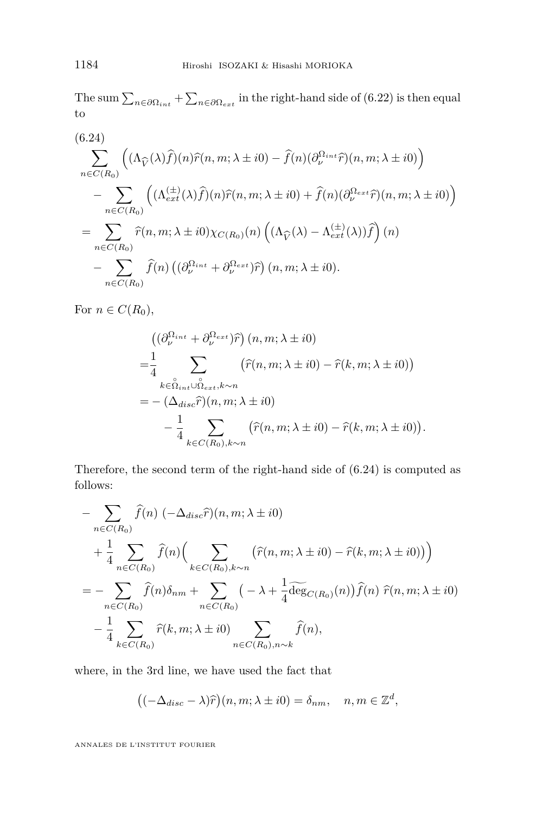The sum  $\sum_{n \in \partial \Omega_{int}} + \sum_{n \in \partial \Omega_{ext}}$  in the right-hand side of [\(6.22\)](#page-31-0) is then equal to

(6.24)  
\n
$$
\sum_{n \in C(R_0)} \left( (\Lambda_{\widehat{V}}(\lambda)\widehat{f})(n)\widehat{r}(n, m; \lambda \pm i0) - \widehat{f}(n)(\partial_{\nu}^{\Omega_{int}}\widehat{r})(n, m; \lambda \pm i0) \right)
$$
\n
$$
- \sum_{n \in C(R_0)} \left( (\Lambda_{ext}^{(\pm)}(\lambda)\widehat{f})(n)\widehat{r}(n, m; \lambda \pm i0) + \widehat{f}(n)(\partial_{\nu}^{\Omega_{ext}}\widehat{r})(n, m; \lambda \pm i0) \right)
$$
\n
$$
= \sum_{n \in C(R_0)} \widehat{r}(n, m; \lambda \pm i0) \chi_{C(R_0)}(n) \left( (\Lambda_{\widehat{V}}(\lambda) - \Lambda_{ext}^{(\pm)}(\lambda))\widehat{f} \right)(n)
$$
\n
$$
- \sum_{n \in C(R_0)} \widehat{f}(n) \left( (\partial_{\nu}^{\Omega_{int}} + \partial_{\nu}^{\Omega_{ext}})\widehat{r} \right)(n, m; \lambda \pm i0).
$$

For  $n \in C(R_0)$ ,

$$
\begin{split}\n&\left(\left(\partial_{\nu}^{\Omega_{int}} + \partial_{\nu}^{\Omega_{ext}}\right)\hat{r}\right)(n, m; \lambda \pm i0) \\
&= \frac{1}{4} \sum_{k \in \hat{\Omega}_{int} \cup \hat{\Omega}_{ext}, k \sim n} \left(\hat{r}(n, m; \lambda \pm i0) - \hat{r}(k, m; \lambda \pm i0)\right) \\
&= -\left(\Delta_{disc}\hat{r}\right)(n, m; \lambda \pm i0) \\
&- \frac{1}{4} \sum_{k \in C(R_0), k \sim n} \left(\hat{r}(n, m; \lambda \pm i0) - \hat{r}(k, m; \lambda \pm i0)\right).\n\end{split}
$$

Therefore, the second term of the right-hand side of (6.24) is computed as follows:

$$
- \sum_{n \in C(R_0)} \widehat{f}(n) \left( -\Delta_{disc} \widehat{r} \right)(n, m; \lambda \pm i0)
$$
  
+ 
$$
\frac{1}{4} \sum_{n \in C(R_0)} \widehat{f}(n) \left( \sum_{k \in C(R_0), k \sim n} \left( \widehat{r}(n, m; \lambda \pm i0) - \widehat{r}(k, m; \lambda \pm i0) \right) \right)
$$
  
= 
$$
- \sum_{n \in C(R_0)} \widehat{f}(n) \delta_{nm} + \sum_{n \in C(R_0)} \left( -\lambda + \frac{1}{4} \widehat{\deg}_{C(R_0)}(n) \right) \widehat{f}(n) \widehat{r}(n, m; \lambda \pm i0)
$$
  
- 
$$
\frac{1}{4} \sum_{k \in C(R_0)} \widehat{r}(k, m; \lambda \pm i0) \sum_{n \in C(R_0), n \sim k} \widehat{f}(n),
$$

where, in the 3rd line, we have used the fact that

$$
((-\Delta_{disc} - \lambda)\widehat{r})(n, m; \lambda \pm i0) = \delta_{nm}, \quad n, m \in \mathbb{Z}^d,
$$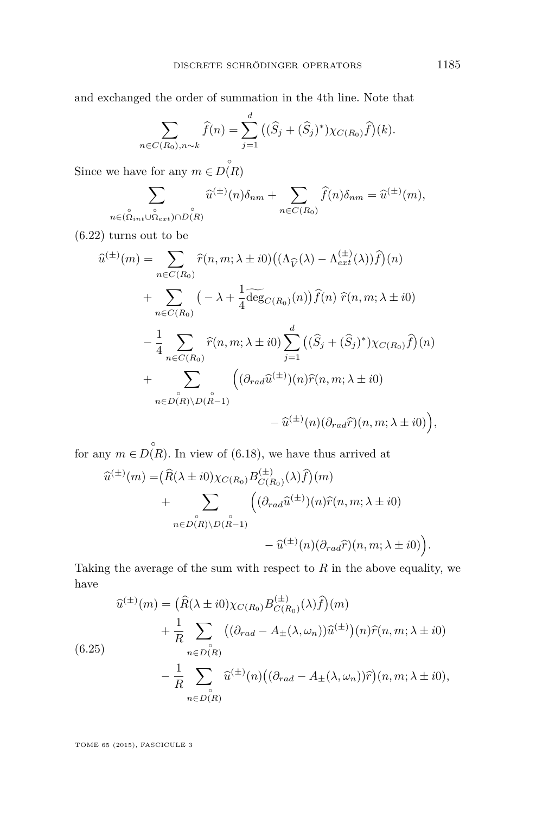<span id="page-33-0"></span>and exchanged the order of summation in the 4th line. Note that

$$
\sum_{n \in C(R_0), n \sim k} \hat{f}(n) = \sum_{j=1}^d ((\hat{S}_j + (\hat{S}_j)^*) \chi_{C(R_0)} \hat{f})(k).
$$

Since we have for any  $m \in D(R)$ 

$$
\sum_{n\in (\stackrel{\circ}{\Omega}_{int}\cup\stackrel{\circ}{\Omega}_{ext})\cap D(R)}\widehat{u}^{(\pm)}(n)\delta_{nm}+\sum_{n\in C(R_0)}\widehat{f}(n)\delta_{nm}=\widehat{u}^{(\pm)}(m),
$$

[\(6.22\)](#page-31-0) turns out to be

$$
\hat{u}^{(\pm)}(m) = \sum_{n \in C(R_0)} \hat{r}(n, m; \lambda \pm i0) ((\Lambda_{\hat{V}}(\lambda) - \Lambda_{ext}^{(\pm)}(\lambda))\hat{f})(n)
$$
  
+ 
$$
\sum_{n \in C(R_0)} (-\lambda + \frac{1}{4} \widehat{\deg}_{C(R_0)}(n)) \hat{f}(n) \ \hat{r}(n, m; \lambda \pm i0)
$$
  
- 
$$
\frac{1}{4} \sum_{n \in C(R_0)} \hat{r}(n, m; \lambda \pm i0) \sum_{j=1}^d ((\hat{S}_j + (\hat{S}_j)^*) \chi_{C(R_0)} \hat{f})(n)
$$
  
+ 
$$
\sum_{n \in D(R) \backslash D(\stackrel{\circ}{R}-1)} ((\partial_{rad}\hat{u}^{(\pm)})(n)\hat{r}(n, m; \lambda \pm i0))
$$
  
- 
$$
\hat{u}^{(\pm)}(n) (\partial_{rad}\hat{r})(n, m; \lambda \pm i0)),
$$

for any  $m \in D(R)$ . In view of [\(6.18\)](#page-30-0), we have thus arrived at

$$
\hat{u}^{(\pm)}(m) = (\hat{R}(\lambda \pm i0)\chi_{C(R_0)}B_{C(R_0)}^{(\pm)}(\lambda)\hat{f})(m) \n+ \sum_{n \in D(R)\backslash D(\stackrel{\circ}{R}-1)} \left( (\partial_{rad}\hat{u}^{(\pm)})(n)\hat{r}(n, m; \lambda \pm i0) - \hat{u}^{(\pm)}(n)(\partial_{rad}\hat{r})(n, m; \lambda \pm i0) \right).
$$

Taking the average of the sum with respect to  $R$  in the above equality, we have

$$
\widehat{u}^{(\pm)}(m) = (\widehat{R}(\lambda \pm i0)\chi_{C(R_0)}B_{C(R_0)}^{(\pm)}(\lambda)\widehat{f})(m) \n+ \frac{1}{R}\sum_{n \in D(R)}((\partial_{rad} - A_{\pm}(\lambda, \omega_n))\widehat{u}^{(\pm)})(n)\widehat{r}(n, m; \lambda \pm i0) \n- \frac{1}{R}\sum_{n \in D(R)}\widehat{u}^{(\pm)}(n)((\partial_{rad} - A_{\pm}(\lambda, \omega_n))\widehat{r})(n, m; \lambda \pm i0),
$$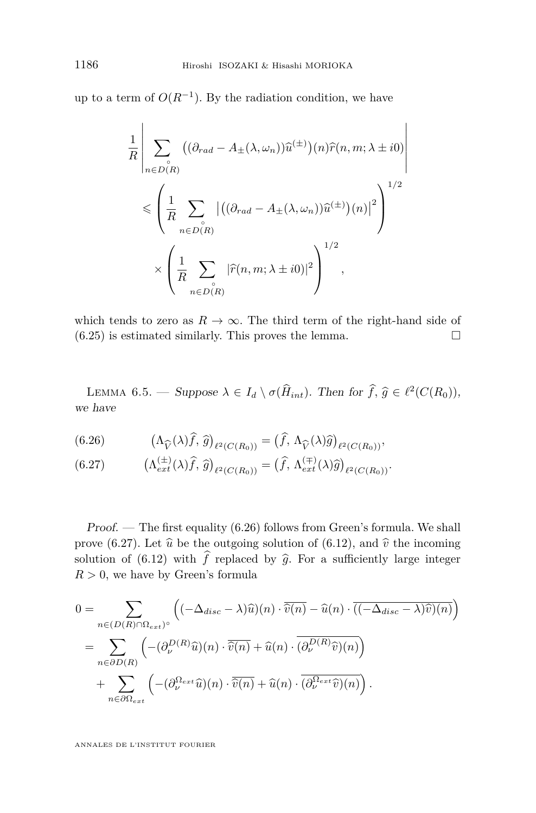<span id="page-34-0"></span>up to a term of  $O(R^{-1})$ . By the radiation condition, we have

$$
\frac{1}{R} \left| \sum_{n \in D(R)} \left( (\partial_{rad} - A_{\pm}(\lambda, \omega_n)) \widehat{u}^{(\pm)} \right) (n) \widehat{r}(n, m; \lambda \pm i0) \right|
$$
  

$$
\leqslant \left( \frac{1}{R} \sum_{n \in D(R)} \left| \left( (\partial_{rad} - A_{\pm}(\lambda, \omega_n)) \widehat{u}^{(\pm)} \right) (n) \right|^2 \right)^{1/2}
$$
  

$$
\times \left( \frac{1}{R} \sum_{n \in D(R)} |\widehat{r}(n, m; \lambda \pm i0)|^2 \right)^{1/2},
$$

which tends to zero as  $R \to \infty$ . The third term of the right-hand side of  $(6.25)$  is estimated similarly. This proves the lemma.

LEMMA 6.5. — Suppose  $\lambda \in I_d \setminus \sigma(\hat{H}_{int})$ . Then for  $\hat{f}, \hat{g} \in \ell^2(C(R_0))$ , we have

(6.26) 
$$
\left(\Lambda_{\widehat{V}}(\lambda)\widehat{f},\widehat{g}\right)_{\ell^2(C(R_0))} = \left(\widehat{f},\Lambda_{\widehat{V}}(\lambda)\widehat{g}\right)_{\ell^2(C(R_0))},
$$

(6.27) 
$$
\left(\Lambda_{ext}^{(\pm)}(\lambda)\widehat{f},\,\widehat{g}\right)_{\ell^2(C(R_0))} = \left(\widehat{f},\,\Lambda_{ext}^{(\mp)}(\lambda)\widehat{g}\right)_{\ell^2(C(R_0))}.
$$

Proof. — The first equality (6.26) follows from Green's formula. We shall prove (6.27). Let  $\hat{u}$  be the outgoing solution of [\(6.12\)](#page-29-0), and  $\hat{v}$  the incoming solution of [\(6.12\)](#page-29-0) with  $\hat{f}$  replaced by  $\hat{g}$ . For a sufficiently large integer  $R > 0$ , we have by Green's formula

$$
0 = \sum_{n \in (D(R) \cap \Omega_{ext})^{\circ}} \left( (-\Delta_{disc} - \lambda)\widehat{u})(n) \cdot \overline{\widehat{v}(n)} - \widehat{u}(n) \cdot \overline{((-\Delta_{disc} - \lambda)\widehat{v})(n)} \right)
$$
  
= 
$$
\sum_{n \in \partial D(R)} \left( -(\partial_{\nu}^{D(R)}\widehat{u})(n) \cdot \overline{\widehat{v}(n)} + \widehat{u}(n) \cdot \overline{(\partial_{\nu}^{D(R)}\widehat{v})(n)} \right)
$$
  
+ 
$$
\sum_{n \in \partial \Omega_{ext}} \left( -(\partial_{\nu}^{\Omega_{ext}}\widehat{u})(n) \cdot \overline{\widehat{v}(n)} + \widehat{u}(n) \cdot \overline{(\partial_{\nu}^{\Omega_{ext}}\widehat{v})(n)} \right).
$$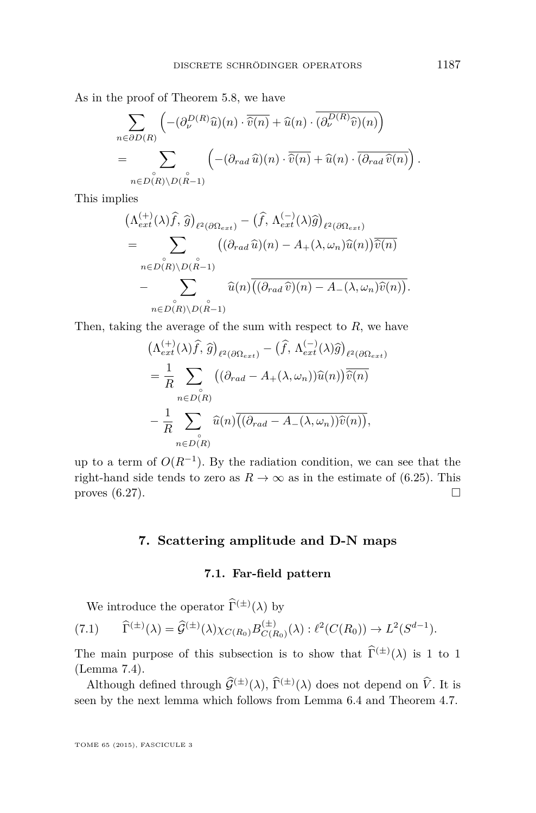As in the proof of Theorem [5.8,](#page-25-0) we have

$$
\sum_{n \in \partial D(R)} \left( -(\partial_{\nu}^{D(R)}\widehat{u})(n) \cdot \overline{\widehat{v}(n)} + \widehat{u}(n) \cdot \overline{(\partial_{\nu}^{D(R)}\widehat{v})(n)} \right)
$$
  
= 
$$
\sum_{n \in D(R) \backslash D(\stackrel{\circ}{R}-1)} \left( -(\partial_{rad}\widehat{u})(n) \cdot \overline{\widehat{v}(n)} + \widehat{u}(n) \cdot \overline{(\partial_{rad}\widehat{v}(n))} \right).
$$

This implies

$$
\begin{split}\n&\left(\Lambda_{ext}^{(+)}(\lambda)\widehat{f},\,\widehat{g}\right)_{\ell^2(\partial\Omega_{ext})} - \left(\widehat{f},\,\Lambda_{ext}^{(-)}(\lambda)\widehat{g}\right)_{\ell^2(\partial\Omega_{ext})} \\
&= \sum_{n\in D(R)\backslash D(\stackrel{\circ}{R}-1)} \left((\partial_{rad}\,\widehat{u})(n) - A_+(\lambda,\omega_n)\widehat{u}(n)\right)\overline{\widehat{v}(n)} \\
&- \sum_{n\in D(R)\backslash D(\stackrel{\circ}{R}-1)} \widehat{u}(n)\overline{\left((\partial_{rad}\,\widehat{v})(n) - A_-(\lambda,\omega_n)\widehat{v}(n)\right)}.\n\end{split}
$$

Then, taking the average of the sum with respect to *R*, we have

$$
\begin{split}\n&\left(\Lambda_{ext}^{(+)}(\lambda)\widehat{f},\,\widehat{g}\right)_{\ell^2(\partial\Omega_{ext})} - \left(\widehat{f},\,\Lambda_{ext}^{(-)}(\lambda)\widehat{g}\right)_{\ell^2(\partial\Omega_{ext})} \\
&= \frac{1}{R} \sum_{n \in D(R)} \left( (\partial_{rad} - A_+(\lambda,\omega_n))\widehat{u}(n)\right) \overline{\widehat{v}(n)} \\
&- \frac{1}{R} \sum_{n \in D(R)} \widehat{u}(n) \overline{((\partial_{rad} - A_-(\lambda,\omega_n))\widehat{v}(n))},\n\end{split}
$$

up to a term of  $O(R^{-1})$ . By the radiation condition, we can see that the right-hand side tends to zero as  $R \to \infty$  as in the estimate of [\(6.25\)](#page-33-0). This proves  $(6.27)$ .

#### **7. Scattering amplitude and D-N maps**

#### **7.1. Far-field pattern**

We introduce the operator  $\widehat{\Gamma}^{(\pm)}(\lambda)$  by

$$
(7.1) \qquad \widehat{\Gamma}^{(\pm)}(\lambda) = \widehat{\mathcal{G}}^{(\pm)}(\lambda) \chi_{C(R_0)} B_{C(R_0)}^{(\pm)}(\lambda) : \ell^2(C(R_0)) \to L^2(S^{d-1}).
$$

The main purpose of this subsection is to show that  $\widehat{\Gamma}^{(\pm)}(\lambda)$  is 1 to 1 (Lemma [7.4\)](#page-37-0).

Although defined through  $\widehat{\mathcal{G}}^{(\pm)}(\lambda)$ ,  $\widehat{\Gamma}^{(\pm)}(\lambda)$  does not depend on  $\widehat{V}$ . It is seen by the next lemma which follows from Lemma [6.4](#page-30-0) and Theorem [4.7.](#page-19-0)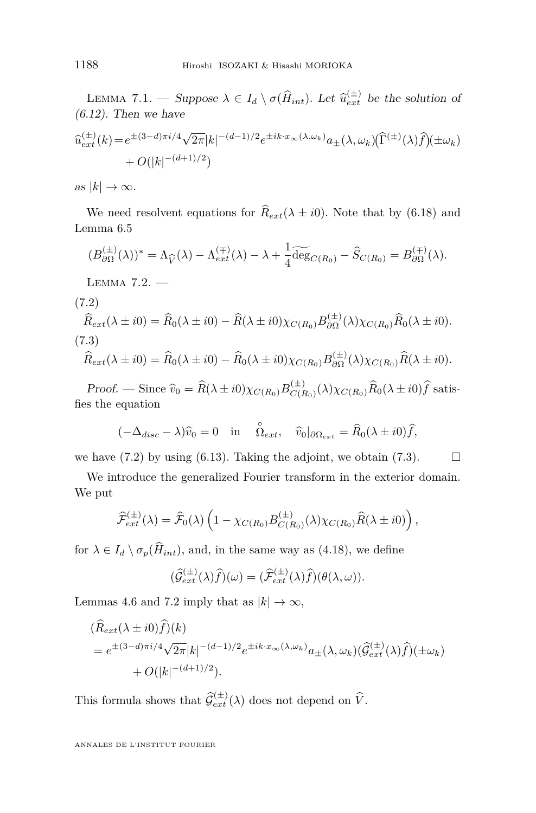<span id="page-36-0"></span>LEMMA 7.1. — Suppose  $\lambda \in I_d \setminus \sigma(\hat{H}_{int})$ . Let  $\hat{u}_{ext}^{(\pm)}$  be the solution of  $(6.12)$ . Then we have

$$
\hat{u}_{ext}^{(\pm)}(k) = e^{\pm (3-d)\pi i/4} \sqrt{2\pi} |k|^{-(d-1)/2} e^{\pm i k \cdot x_\infty(\lambda, \omega_k)} a_{\pm}(\lambda, \omega_k) (\widehat{\Gamma}^{(\pm)}(\lambda) \widehat{f}) (\pm \omega_k) + O(|k|^{-(d+1)/2})
$$

as  $|k| \to \infty$ .

We need resolvent equations for  $\hat{R}_{ext}(\lambda \pm i0)$ . Note that by [\(6.18\)](#page-30-0) and Lemma [6.5](#page-34-0)

$$
(B_{\partial\Omega}^{(\pm)}(\lambda))^* = \Lambda_{\widehat{V}}(\lambda) - \Lambda_{ext}^{(\mp)}(\lambda) - \lambda + \frac{1}{4}\widetilde{\deg}_{C(R_0)} - \widehat{S}_{C(R_0)} = B_{\partial\Omega}^{(\mp)}(\lambda).
$$

Lemma 7.2. —

(7.2)

$$
\widehat{R}_{ext}(\lambda \pm i0) = \widehat{R}_0(\lambda \pm i0) - \widehat{R}(\lambda \pm i0)\chi_{C(R_0)}B_{\partial\Omega}^{(\pm)}(\lambda)\chi_{C(R_0)}\widehat{R}_0(\lambda \pm i0).
$$
\n(7.3)

$$
\widehat{R}_{ext}(\lambda \pm i0) = \widehat{R}_0(\lambda \pm i0) - \widehat{R}_0(\lambda \pm i0)\chi_{C(R_0)}B_{\partial\Omega}^{(\pm)}(\lambda)\chi_{C(R_0)}\widehat{R}(\lambda \pm i0).
$$

Proof. — Since  $\widehat{v}_0 = \widehat{R}(\lambda \pm i0)\chi_{C(R_0)}B_{C(R_0)}^{(\pm)}$  $\chi_{C(R_0)}^{(\pm)}(\lambda)\chi_{C(R_0)}R_0(\lambda \pm i0)f$  satisfies the equation

$$
(-\Delta_{disc} - \lambda)\hat{v}_0 = 0
$$
 in  $\hat{\Omega}_{ext}$ ,  $\hat{v}_0|_{\partial \Omega_{ext}} = \hat{R}_0(\lambda \pm i0)\hat{f}$ ,

we have  $(7.2)$  by using  $(6.13)$ . Taking the adjoint, we obtain  $(7.3)$ .

We introduce the generalized Fourier transform in the exterior domain. We put

$$
\widehat{\mathcal{F}}_{ext}^{(\pm)}(\lambda) = \widehat{\mathcal{F}}_0(\lambda) \left(1 - \chi_{C(R_0)} B_{C(R_0)}^{(\pm)}(\lambda) \chi_{C(R_0)} \widehat{R}(\lambda \pm i0)\right),
$$

for  $\lambda \in I_d \setminus \sigma_p(\hat{H}_{int})$ , and, in the same way as [\(4.18\)](#page-19-0), we define

$$
(\widehat{\mathcal{G}}_{ext}^{(\pm)}(\lambda)\widehat{f})(\omega) = (\widehat{\mathcal{F}}_{ext}^{(\pm)}(\lambda)\widehat{f})(\theta(\lambda,\omega)).
$$

Lemmas [4.6](#page-18-0) and 7.2 imply that as  $|k| \to \infty$ ,

$$
\begin{aligned} & (\widehat{R}_{ext}(\lambda \pm i0)\widehat{f})(k) \\ &= e^{\pm(3-d)\pi i/4}\sqrt{2\pi}|k|^{-(d-1)/2}e^{\pm ik\cdot x_{\infty}(\lambda,\omega_k)}a_{\pm}(\lambda,\omega_k)(\widehat{\mathcal{G}}_{ext}^{(\pm)}(\lambda)\widehat{f})(\pm\omega_k) \\ &+ O(|k|^{-(d+1)/2}). \end{aligned}
$$

This formula shows that  $\hat{g}^{(\pm)}_{ext}(\lambda)$  does not depend on  $\hat{V}$ .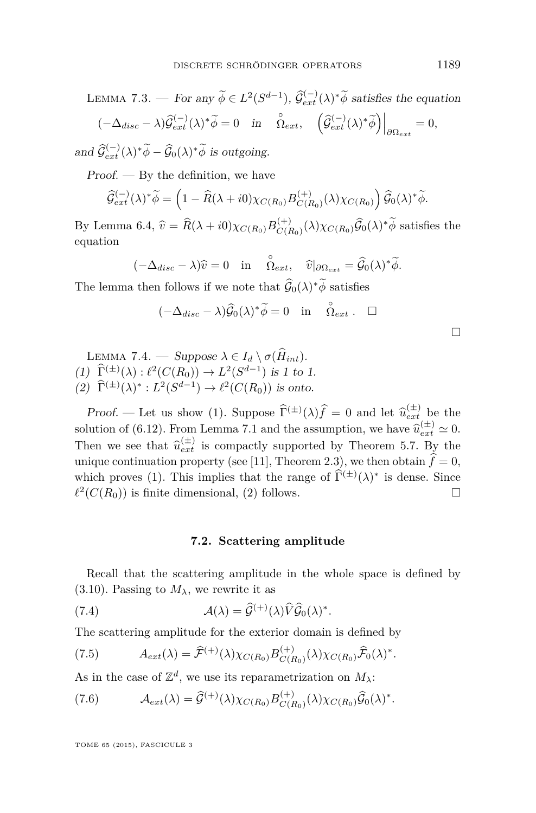<span id="page-37-0"></span>LEMMA 7.3. — For any 
$$
\widetilde{\phi} \in L^2(S^{d-1})
$$
,  $\widehat{\mathcal{G}}_{ext}^{(-)}(\lambda)^* \widetilde{\phi}$  satisfies the equation  
\n
$$
(-\Delta_{disc} - \lambda) \widehat{\mathcal{G}}_{ext}^{(-)}(\lambda)^* \widetilde{\phi} = 0 \quad \text{in} \quad \widehat{\Omega}_{ext}, \quad \left(\widehat{\mathcal{G}}_{ext}^{(-)}(\lambda)^* \widetilde{\phi}\right)\Big|_{\partial \Omega_{ext}} = 0,
$$
\nand  $\widehat{\mathcal{G}}_{ext}^{(-)}(\lambda)^* \widetilde{\phi}$ ,  $\widehat{\mathcal{G}}_{ext}^{(-)}(\lambda)^* \widetilde{\phi}$  is outgoing.

and  $\widehat{\mathcal{G}}_{ext}^{(-)}(\lambda)^* \widetilde{\phi} - \widehat{\mathcal{G}}_0(\lambda)^* \widetilde{\phi}$  is outgoing.

 $Proof.$  — By the definition, we have

$$
\widehat{\mathcal{G}}_{ext}^{(-)}(\lambda)^* \widetilde{\phi} = \left(1 - \widehat{R}(\lambda + i0)\chi_{C(R_0)} B_{C(R_0)}^{(+)}(\lambda)\chi_{C(R_0)}\right) \widehat{\mathcal{G}}_0(\lambda)^* \widetilde{\phi}.
$$

By Lemma [6.4,](#page-30-0)  $\hat{v} = \hat{R}(\lambda + i0)\chi_{C(R_0)}B_{C(R_0)}^{(+)}$  $C(R_0)(\lambda)\chi_{C(R_0)}\tilde{G}_0(\lambda)^*\tilde{\phi}$  satisfies the equation

$$
(-\Delta_{disc} - \lambda)\widehat{v} = 0 \quad \text{in} \quad \stackrel{\circ}{\Omega_{ext}}, \quad \widehat{v}|_{\partial \Omega_{ext}} = \widehat{\mathcal{G}}_0(\lambda)^* \widetilde{\phi}.
$$

The lemma then follows if we note that  $\widehat{G}_0(\lambda)^* \phi$  satisfies

$$
(-\Delta_{disc} - \lambda)\widehat{\mathcal{G}}_0(\lambda)^* \widetilde{\phi} = 0 \quad \text{in} \quad \stackrel{\circ}{\Omega}_{ext} . \quad \Box
$$

| LEMMA 7.4. — Suppose $\lambda \in I_d \setminus \sigma(H_{int})$ .                                                                                                          |
|-----------------------------------------------------------------------------------------------------------------------------------------------------------------------------|
| (1) $\widehat{\Gamma}^{(\pm)}(\lambda) : \ell^2(C(R_0)) \to L^2(S^{d-1})$ is 1 to 1.<br>(2) $\widehat{\Gamma}^{(\pm)}(\lambda)^*: L^2(S^{d-1}) \to \ell^2(C(R_0))$ is onto. |

**Proof.** — Let us show (1). Suppose  $\widehat{\Gamma}^{(\pm)}(\lambda)\widehat{f} = 0$  and let  $\widehat{u}_{ext}^{(\pm)}$  be the letting of (6.19). From Laurence 7.1 and the commuting and heavy  $\widehat{\gamma}^{(\pm)}(x,0)$ solution of [\(6.12\)](#page-29-0). From Lemma [7.1](#page-36-0) and the assumption, we have  $\hat{u}_{ext}^{(\pm)} \approx 0$ . Then we see that  $\hat{u}_{ext}^{(\pm)}$  is compactly supported by Theorem [5.7.](#page-25-0) By the unique continuation property (see [\[11\]](#page-48-0), Theorem 2.3), we then obtain  $\hat{f} = 0$ , which proves (1). This implies that the range of  $\hat{\Gamma}^{(\pm)}(\lambda)^*$  is dense. Since  $\ell^2(C(R_0))$  is finite dimensional, (2) follows.

#### **7.2. Scattering amplitude**

Recall that the scattering amplitude in the whole space is defined by [\(3.10\)](#page-11-0). Passing to  $M_{\lambda}$ , we rewrite it as

(7.4) 
$$
\mathcal{A}(\lambda) = \widehat{\mathcal{G}}^{(+)}(\lambda)\widehat{V}\widehat{\mathcal{G}}_{0}(\lambda)^{*}.
$$

The scattering amplitude for the exterior domain is defined by

(7.5) 
$$
A_{ext}(\lambda) = \widehat{\mathcal{F}}^{(+)}(\lambda) \chi_{C(R_0)} B_{C(R_0)}^{(+)}(\lambda) \chi_{C(R_0)} \widehat{\mathcal{F}}_0(\lambda)^*.
$$

As in the case of  $\mathbb{Z}^d$ , we use its reparametrization on  $M_\lambda$ :

(7.6) 
$$
\mathcal{A}_{ext}(\lambda) = \widehat{\mathcal{G}}^{(+)}(\lambda) \chi_{C(R_0)} B_{C(R_0)}^{(+)}(\lambda) \chi_{C(R_0)} \widehat{\mathcal{G}}_0(\lambda)^*.
$$

TOME 65 (2015), FASCICULE 3

 $\Box$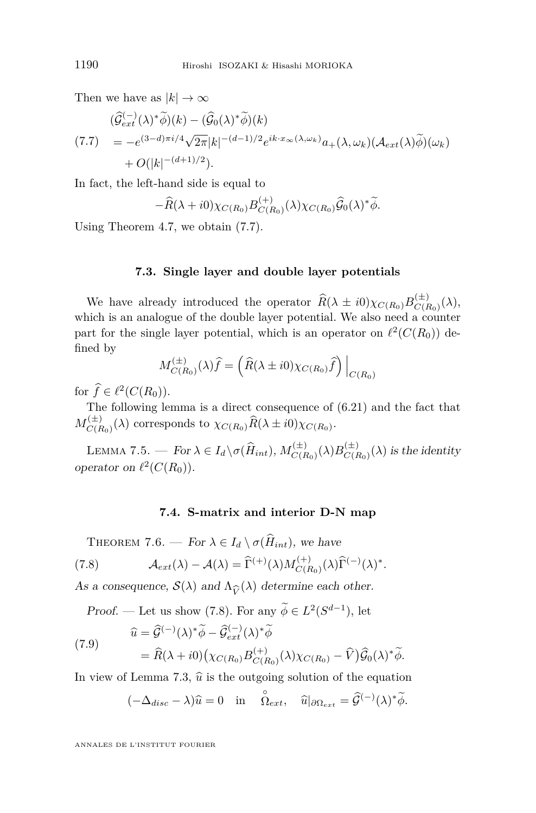<span id="page-38-0"></span>Then we have as  $|k| \to \infty$ 

$$
\begin{split} ( \widehat{\mathcal{G}}_{ext}^{(-)}(\lambda)^{*}\widetilde{\phi})(k) - (\widehat{\mathcal{G}}_{0}(\lambda)^{*}\widetilde{\phi})(k) \\ &= -e^{(3-d)\pi i/4} \sqrt{2\pi}|k|^{-(d-1)/2} e^{ik \cdot x_{\infty}(\lambda,\omega_{k})} a_{+}(\lambda,\omega_{k}) (\mathcal{A}_{ext}(\lambda)\widetilde{\phi})(\omega_{k}) \\ &+ O(|k|^{-(d+1)/2}). \end{split}
$$

In fact, the left-hand side is equal to

$$
-\widehat{R}(\lambda + i0)\chi_{C(R_0)}B_{C(R_0)}^{(+)}(\lambda)\chi_{C(R_0)}\widehat{G}_0(\lambda)^*\widetilde{\phi}.
$$

Using Theorem [4.7,](#page-19-0) we obtain (7.7).

#### **7.3. Single layer and double layer potentials**

We have already introduced the operator  $\widehat{R}(\lambda \pm i0)\chi_{C(R_0)}B_{C(R_0)}^{(\pm)}$  $C(E_0)(\lambda),$ which is an analogue of the double layer potential. We also need a counter part for the single layer potential, which is an operator on  $\ell^2(C(R_0))$  defined by

$$
M_{C(R_0)}^{(\pm)}(\lambda)\hat{f} = \left(\hat{R}(\lambda \pm i0)\chi_{C(R_0)}\hat{f}\right)\Big|_{C(R_0)}
$$

for  $\hat{f} \in \ell^2(C(R_0)).$ 

The following lemma is a direct consequence of [\(6.21\)](#page-30-0) and the fact that  $M_{CIE}^{(\pm)}$  $\chi_{C(R_0)}(X)$  corresponds to  $\chi_{C(R_0)}R(\lambda \pm i0)\chi_{C(R_0)}$ .

LEMMA 7.5. — For  $\lambda \in I_d \setminus \sigma(\widehat{H}_{int}), M_{C(F)}^{(\pm)}$  $\frac{d^{(+)}}{C(R_0)}(\lambda)B_{C(I)}^{(\pm)}$  $C(E_0)(\lambda)$  is the identity operator on  $\ell^2(C(R_0))$ .

#### **7.4. S-matrix and interior D-N map**

THEOREM 7.6. — For  $\lambda \in I_d \setminus \sigma(\widehat{H}_{int})$ , we have (7.8)  $\mathcal{A}_{ext}(\lambda) - \mathcal{A}(\lambda) = \widehat{\Gamma}^{(+)}(\lambda) M_{C(F)}^{(+)}$  $C(R_0)$   $(\lambda)$  $\widehat{\Gamma}^{(-)}(\lambda)^*.$ 

As a consequence,  $S(\lambda)$  and  $\Lambda_{\widehat{V}}(\lambda)$  determine each other.

Proof. — Let us show (7.8). For any  $\phi \in L^2(S^{d-1})$ , let

(7.9)  
\n
$$
\hat{u} = \hat{\mathcal{G}}^{(-)}(\lambda)^* \tilde{\phi} - \hat{\mathcal{G}}_{ext}^{(-)}(\lambda)^* \tilde{\phi}
$$
\n
$$
= \hat{R}(\lambda + i0) \big( \chi_{C(R_0)} B_{C(R_0)}^{(+)}(\lambda) \chi_{C(R_0)} - \hat{V} \big) \hat{\mathcal{G}}_0(\lambda)^* \tilde{\phi}.
$$

In view of Lemma [7.3,](#page-37-0)  $\hat{u}$  is the outgoing solution of the equation

$$
(-\Delta_{disc} - \lambda)\widehat{u} = 0
$$
 in  $\stackrel{\circ}{\Omega}_{ext}$ ,  $\widehat{u}|_{\partial \Omega_{ext}} = \widehat{\mathcal{G}}^{(-)}(\lambda)^* \widetilde{\phi}$ .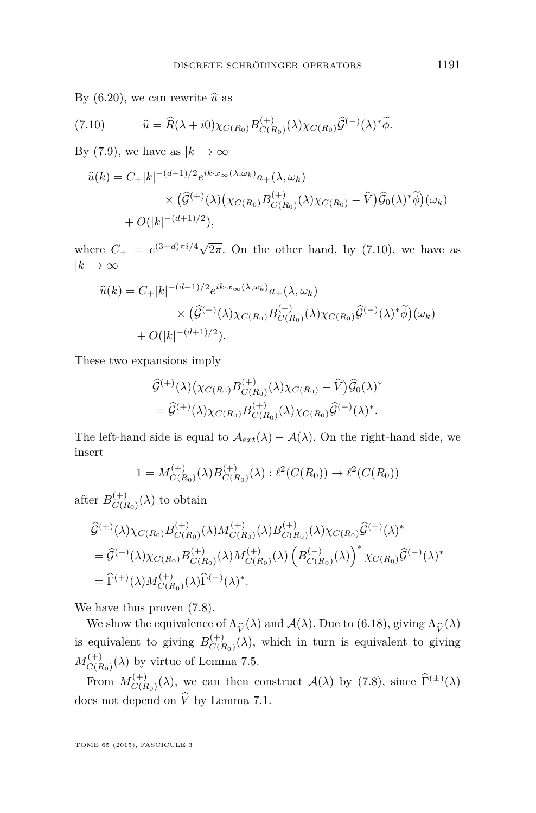By  $(6.20)$ , we can rewrite  $\hat{u}$  as

(7.10) 
$$
\widehat{u} = \widehat{R}(\lambda + i0)\chi_{C(R_0)}B_{C(R_0)}^{(+)}(\lambda)\chi_{C(R_0)}\widehat{\mathcal{G}}^{(-)}(\lambda)^*\widetilde{\phi}.
$$

By [\(7.9\)](#page-38-0), we have as  $|k| \to \infty$ 

$$
\begin{split} \widehat{u}(k) &= C_+ |k|^{-(d-1)/2} e^{ik \cdot x_\infty(\lambda, \omega_k)} a_+ (\lambda, \omega_k) \\ &\times \big(\widehat{\mathcal{G}}^{(+)}(\lambda) \big(\chi_{C(R_0)} B_{C(R_0)}^{(+)}(\lambda) \chi_{C(R_0)} - \widehat{V}\big) \widehat{\mathcal{G}}_0(\lambda)^* \widetilde{\phi}\big)(\omega_k) \\ &+ O(|k|^{-(d+1)/2}), \end{split}
$$

where  $C_+ = e^{(3-d)\pi i/4} \sqrt{}$  $2\pi$ . On the other hand, by  $(7.10)$ , we have as  $|k| \to \infty$ 

$$
\begin{split} \widehat{u}(k) &= C_{+}|k|^{-(d-1)/2} e^{ik \cdot x_{\infty}(\lambda, \omega_{k})} a_{+}(\lambda, \omega_{k}) \\ &\times \big(\widehat{\mathcal{G}}^{(+)}(\lambda) \chi_{C(R_{0})} B^{(+)}_{C(R_{0})}(\lambda) \chi_{C(R_{0})} \widehat{\mathcal{G}}^{(-)}(\lambda)^{*} \widetilde{\phi}\big)(\omega_{k}) \\ &+ O(|k|^{-(d+1)/2}). \end{split}
$$

These two expansions imply

$$
\hat{\mathcal{G}}^{(+)}(\lambda) \big( \chi_{C(R_0)} B_{C(R_0)}^{(+)}(\lambda) \chi_{C(R_0)} - \widehat{V} \big) \widehat{\mathcal{G}}_0(\lambda)^* \n= \widehat{\mathcal{G}}^{(+)}(\lambda) \chi_{C(R_0)} B_{C(R_0)}^{(+)}(\lambda) \chi_{C(R_0)} \widehat{\mathcal{G}}^{(-)}(\lambda)^*.
$$

The left-hand side is equal to  $\mathcal{A}_{ext}(\lambda) - \mathcal{A}(\lambda)$ . On the right-hand side, we insert

$$
1 = M_{C(R_0)}^{(+)}(\lambda)B_{C(R_0)}^{(+)}(\lambda) : \ell^2(C(R_0)) \to \ell^2(C(R_0))
$$

after  $B_{C(P)}^{(+)}$  $C(R_0)$ <sup>( $\lambda$ </sup>) to obtain

$$
\begin{split} &\widehat{\mathcal{G}}^{(+)}(\lambda)\chi_{C(R_{0})}B^{(+)}_{C(R_{0})}(\lambda)M^{(+)}_{C(R_{0})}(\lambda)B^{(+)}_{C(R_{0})}(\lambda)\chi_{C(R_{0})}\widehat{\mathcal{G}}^{(-)}(\lambda)^{*}\\ &=amp;\widehat{\mathcal{G}}^{(+)}(\lambda)\chi_{C(R_{0})}B^{(+)}_{C(R_{0})}(\lambda)M^{(+)}_{C(R_{0})}(\lambda)\left(B^{(-)}_{C(R_{0})}(\lambda)\right)^{*}\chi_{C(R_{0})}\widehat{\mathcal{G}}^{(-)}(\lambda)^{*}\\ &=amp;\widehat{\Gamma}^{(+)}(\lambda)M^{(+)}_{C(R_{0})}(\lambda)\widehat{\Gamma}^{(-)}(\lambda)^{*}.\end{split}
$$

We have thus proven [\(7.8\)](#page-38-0).

We show the equivalence of  $\Lambda_{\widehat{V}}(\lambda)$  and  $\mathcal{A}(\lambda)$ . Due to [\(6.18\)](#page-30-0), giving  $\Lambda_{\widehat{V}}(\lambda)$ <br>conjugate to giving  $B^{(+)}$  (*λ*), which in turn is equivalent to giving is equivalent to giving  $B_{C}^{(+)}$  $C(R_0)(\lambda)$ , which in turn is equivalent to giving  $M_{C/L}^{(+)}$  $C(F)$ <sub> $C(R_0)$ </sub> $(\lambda)$  by virtue of Lemma [7.5.](#page-38-0)

From  $M_{C(F)}^{(+)}$  $C(R_0)(\lambda)$ , we can then construct  $\mathcal{A}(\lambda)$  by [\(7.8\)](#page-38-0), since  $\hat{\Gamma}^{(\pm)}(\lambda)$ does not depend on  $\hat{V}$  by Lemma [7.1.](#page-36-0)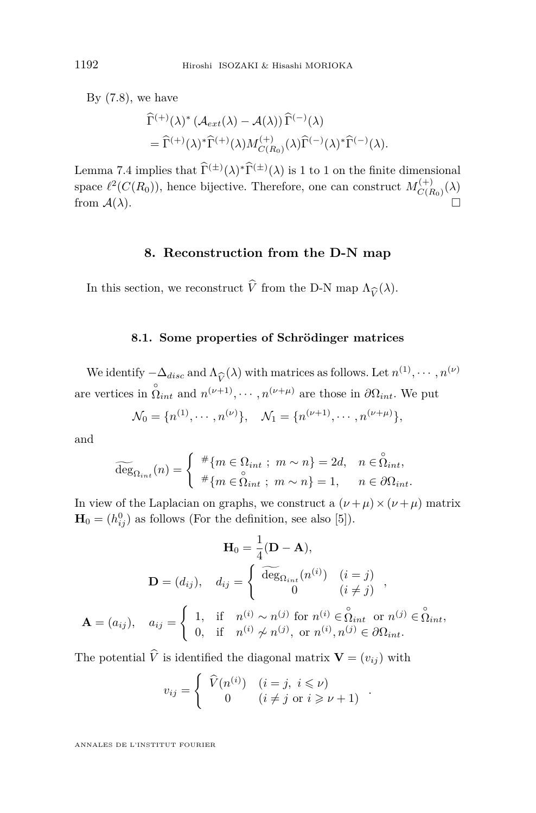By  $(7.8)$ , we have

$$
\begin{split} &\widehat{\Gamma}^{(+)}(\lambda)^* \left( \mathcal{A}_{ext}(\lambda) - \mathcal{A}(\lambda) \right) \widehat{\Gamma}^{(-)}(\lambda) \\ &= \widehat{\Gamma}^{(+)}(\lambda)^* \widehat{\Gamma}^{(+)}(\lambda) M_{C(R_0)}^{(+)}(\lambda) \widehat{\Gamma}^{(-)}(\lambda)^* \widehat{\Gamma}^{(-)}(\lambda). \end{split}
$$

Lemma [7.4](#page-37-0) implies that  $\hat{\Gamma}^{(\pm)}(\lambda)^*\hat{\Gamma}^{(\pm)}(\lambda)$  is 1 to 1 on the finite dimensional space  $\ell^2(C(R_0))$ , hence bijective. Therefore, one can construct  $M_{C(F)}^{(+)}$  $C(R_0)$ <sup>( $\lambda$ )</sup> from  $A(\lambda)$ .

#### **8. Reconstruction from the D-N map**

In this section, we reconstruct *V* from the D-N map  $\Lambda_{\widehat{V}}(\lambda)$ .

#### **8.1. Some properties of Schrödinger matrices**

We identify  $-\Delta_{disc}$  and  $\Lambda_{\widehat{V}}(\lambda)$  with matrices as follows. Let  $n^{(1)}, \dots, n^{(\nu)}$ <br>*i*,  $\stackrel{\circ}{\sim}$  *cm*,  $\stackrel{\circ}{\sim}$  *(v*+*l*) and there in 20. We not are vertices in  $\hat{\Omega}_{int}$  and  $n^{(\nu+1)}, \cdots, n^{(\nu+\mu)}$  are those in  $\partial \Omega_{int}$ . We put

$$
\mathcal{N}_0 = \{n^{(1)}, \cdots, n^{(\nu)}\}, \quad \mathcal{N}_1 = \{n^{(\nu+1)}, \cdots, n^{(\nu+\mu)}\},
$$

and

$$
\widetilde{\deg}_{\Omega_{int}}(n) = \begin{cases} \n\# \{ m \in \Omega_{int} ; \ m \sim n \} = 2d, & n \in \overset{\circ}{\Omega}_{int}, \\ \n\# \{ m \in \overset{\circ}{\Omega}_{int} ; \ m \sim n \} = 1, & n \in \partial\Omega_{int}. \n\end{cases}
$$

In view of the Laplacian on graphs, we construct a  $(\nu + \mu) \times (\nu + \mu)$  matrix  $\mathbf{H}_0 = (h_{ij}^0)$  as follows (For the definition, see also [\[5\]](#page-47-0)).

$$
\mathbf{H}_{0} = \frac{1}{4}(\mathbf{D} - \mathbf{A}),
$$

$$
\mathbf{D} = (d_{ij}), \quad d_{ij} = \begin{cases} \widetilde{\deg}_{\Omega_{int}}(n^{(i)}) & (i = j) \\ 0 & (i \neq j) \end{cases},
$$

$$
\mathbf{A} = (a_{ij}), \quad a_{ij} = \begin{cases} 1, & \text{if } n^{(i)} \sim n^{(j)} \text{ for } n^{(i)} \in \overset{\circ}{\Omega}_{int} \text{ or } n^{(j)} \in \overset{\circ}{\Omega}_{int}, \\ 0, & \text{if } n^{(i)} \not\sim n^{(j)}, \text{ or } n^{(i)}, n^{(j)} \in \partial\Omega_{int}. \end{cases}
$$

The potential  $\hat{V}$  is identified the diagonal matrix  $\mathbf{V} = (v_{ij})$  with

$$
v_{ij} = \begin{cases} \n\widehat{V}(n^{(i)}) & (i = j, \ i \leq \nu) \\ \n0 & (i \neq j \text{ or } i \geq \nu + 1) \n\end{cases}.
$$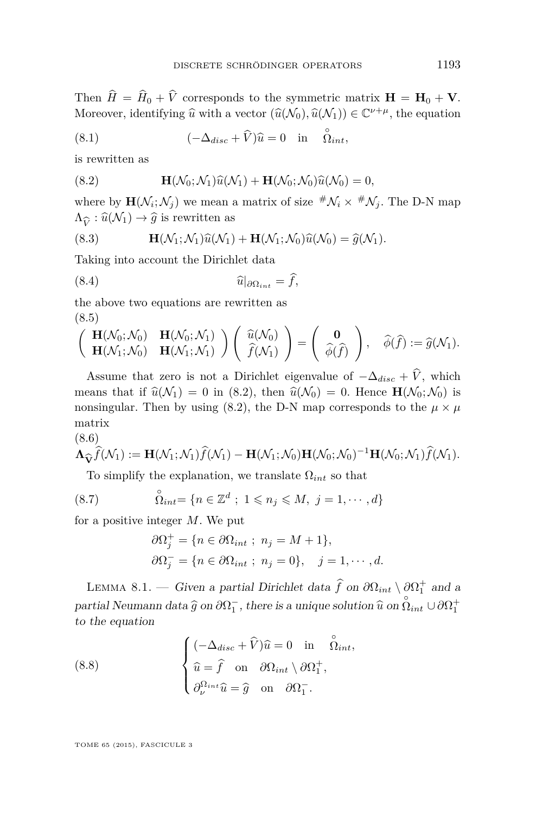<span id="page-41-0"></span>Then  $\hat{H} = \hat{H}_0 + \hat{V}$  corresponds to the symmetric matrix  $\mathbf{H} = \mathbf{H}_0 + \mathbf{V}$ . Moreover, identifying  $\widehat{u}$  with a vector  $(\widehat{u}(\mathcal{N}_0), \widehat{u}(\mathcal{N}_1)) \in \mathbb{C}^{\nu+\mu}$ , the equation

(8.1) 
$$
(-\Delta_{disc} + \widehat{V})\widehat{u} = 0 \text{ in } \widehat{\Omega}_{int},
$$

is rewritten as

(8.2) 
$$
\mathbf{H}(\mathcal{N}_0;\mathcal{N}_1)\widehat{u}(\mathcal{N}_1)+\mathbf{H}(\mathcal{N}_0;\mathcal{N}_0)\widehat{u}(\mathcal{N}_0)=0,
$$

where by  $\mathbf{H}(\mathcal{N}_i;\mathcal{N}_j)$  we mean a matrix of size  $^{\#}\mathcal{N}_i \times \^{\#}\mathcal{N}_j$ . The D-N map  $\Lambda_{\widehat{V}} : \widehat{u}(\mathcal{N}_1) \to \widehat{g}$  is rewritten as

(8.3) 
$$
\mathbf{H}(\mathcal{N}_1;\mathcal{N}_1)\widehat{u}(\mathcal{N}_1)+\mathbf{H}(\mathcal{N}_1;\mathcal{N}_0)\widehat{u}(\mathcal{N}_0)=\widehat{g}(\mathcal{N}_1).
$$

Taking into account the Dirichlet data

$$
\widehat{u}|_{\partial\Omega_{int}} = f,
$$

the above two equations are rewritten as (8.5)

$$
\begin{pmatrix}\n\mathbf{H}(\mathcal{N}_0; \mathcal{N}_0) & \mathbf{H}(\mathcal{N}_0; \mathcal{N}_1) \\
\mathbf{H}(\mathcal{N}_1; \mathcal{N}_0) & \mathbf{H}(\mathcal{N}_1; \mathcal{N}_1)\n\end{pmatrix}\n\begin{pmatrix}\n\widehat{u}(\mathcal{N}_0) \\
\widehat{f}(\mathcal{N}_1)\n\end{pmatrix} = \begin{pmatrix}\n\mathbf{0} \\
\widehat{\phi}(\widehat{f})\n\end{pmatrix}, \quad \widehat{\phi}(\widehat{f}) := \widehat{g}(\mathcal{N}_1).
$$

Assume that zero is not a Dirichlet eigenvalue of  $-\Delta_{disc} + \hat{V}$ , which means that if  $\hat{u}(\mathcal{N}_1) = 0$  in (8.2), then  $\hat{u}(\mathcal{N}_0) = 0$ . Hence  $\mathbf{H}(\mathcal{N}_0; \mathcal{N}_0)$  is nonsingular. Then by using (8.2), the D-N map corresponds to the  $\mu \times \mu$ matrix (8.6)

$$
\mathbf{\Lambda}_{\widehat{\mathbf{V}}}\widehat{\widehat{f}}(\mathcal{N}_1) := \mathbf{H}(\mathcal{N}_1;\mathcal{N}_1)\widehat{f}(\mathcal{N}_1) - \mathbf{H}(\mathcal{N}_1;\mathcal{N}_0)\mathbf{H}(\mathcal{N}_0;\mathcal{N}_0)^{-1}\mathbf{H}(\mathcal{N}_0;\mathcal{N}_1)\widehat{f}(\mathcal{N}_1).
$$

To simplify the explanation, we translate  $\Omega_{int}$  so that

(8.7) 
$$
\overset{\circ}{\Omega}_{int} = \{ n \in \mathbb{Z}^d \ ; \ 1 \leqslant n_j \leqslant M, \ j = 1, \cdots, d \}
$$

for a positive integer *M*. We put

$$
\partial \Omega_j^+ = \{ n \in \partial \Omega_{int} ; n_j = M + 1 \},
$$
  

$$
\partial \Omega_j^- = \{ n \in \partial \Omega_{int} ; n_j = 0 \}, \quad j = 1, \dots, d.
$$

LEMMA 8.1. — Given a partial Dirichlet data  $\hat{f}$  on  $\partial \Omega_{int} \setminus \partial \Omega_1^+$  and a partial Neumann data  $\hat{g}$  on  $\partial \Omega_1^-$ , there is a unique solution  $\hat{u}$  on  $\hat{\Omega}_{int} \cup \partial \Omega_1^+$ to the equation

(8.8) 
$$
\begin{cases} (-\Delta_{disc} + \widehat{V})\widehat{u} = 0 & \text{in } \widehat{\Omega}_{int}, \\ \widehat{u} = \widehat{f} & \text{on } \partial \Omega_{int} \setminus \partial \Omega_{1}^{+}, \\ \partial_{\nu}^{\Omega_{int}} \widehat{u} = \widehat{g} & \text{on } \partial \Omega_{1}^{-} . \end{cases}
$$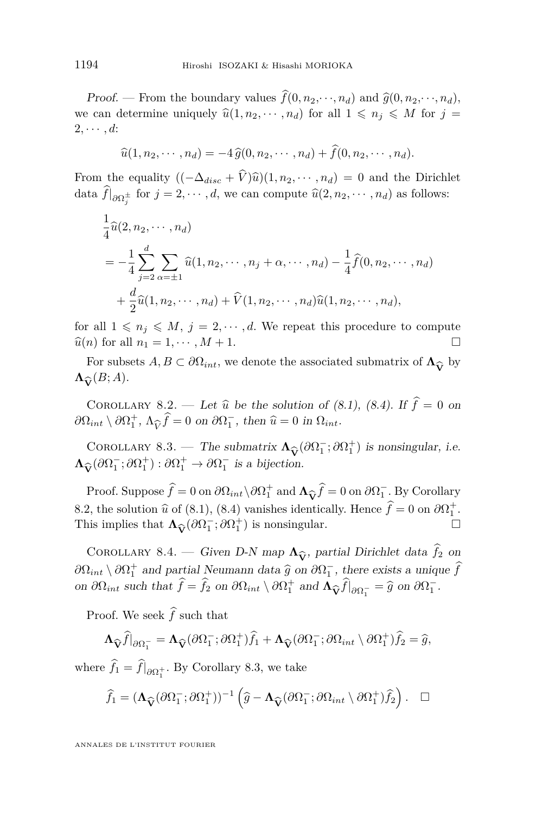<span id="page-42-0"></span>Proof. — From the boundary values  $\widehat{f}(0, n_2, \dots, n_d)$  and  $\widehat{g}(0, n_2, \dots, n_d)$ , we can determine uniquely  $\hat{u}(1, n_2, \dots, n_d)$  for all  $1 \leq n_i \leq M$  for  $j =$  $2, \cdots, d$ :

$$
\widehat{u}(1, n_2, \cdots, n_d) = -4 \widehat{g}(0, n_2, \cdots, n_d) + \widehat{f}(0, n_2, \cdots, n_d).
$$

From the equality  $((-\Delta_{disc} + \hat{V})\hat{u})(1, n_2, \dots, n_d) = 0$  and the Dirichlet data  $f|_{\partial\Omega_j^{\pm}}$  for  $j = 2, \dots, d$ , we can compute  $\widehat{u}(2, n_2, \dots, n_d)$  as follows:

$$
\frac{1}{4}\hat{u}(2, n_2, \dots, n_d)
$$
\n
$$
= -\frac{1}{4} \sum_{j=2}^d \sum_{\alpha=\pm 1} \hat{u}(1, n_2, \dots, n_j + \alpha, \dots, n_d) - \frac{1}{4} \hat{f}(0, n_2, \dots, n_d)
$$
\n
$$
+ \frac{d}{2}\hat{u}(1, n_2, \dots, n_d) + \hat{V}(1, n_2, \dots, n_d)\hat{u}(1, n_2, \dots, n_d),
$$

for all  $1 \leq n_j \leq M$ ,  $j = 2, \dots, d$ . We repeat this procedure to compute  $\widehat{u}(n)$  for all  $n_1 = 1, \cdots, M + 1$ .

For subsets  $A, B \subset \partial \Omega_{int}$ , we denote the associated submatrix of  $\Lambda_{\widehat{\mathbf{V}}}$  by  $\widehat{\mathbf{C}}(B; A)$ .  $\Lambda_{\widehat{\mathbf{V}}}(B;A)$ *.* 

COROLLARY 8.2. — Let  $\hat{u}$  be the solution of [\(8.1\)](#page-41-0), [\(8.4\)](#page-41-0). If  $\hat{f} = 0$  on  $\partial\Omega_{int} \setminus \partial\Omega_1^+, \Lambda_{\widehat{V}} \widehat{f} = 0$  on  $\partial\Omega_1^-,$  then  $\widehat{u} = 0$  in  $\Omega_{int}$ .

COROLLARY 8.3. — The submatrix  $\Lambda_{\widehat{V}}(\partial \Omega_1^-; \partial \Omega_1^+)$  is nonsingular, i.e.<br>  $\widehat{\alpha}(\partial \Omega_1^-; \partial \Omega_1^+) : \partial \Omega_1^+ \to \partial \Omega_1^-$  is a bijection.  $\Lambda_{\widehat{\mathbf{V}}}(\partial \Omega_1^-;\partial \Omega_1^+) : \partial \Omega_1^+ \to \partial \Omega_1^-$  is a bijection.

Proof. Suppose  $\hat{f} = 0$  on  $\partial \Omega_{int} \setminus \partial \Omega_1^+$  and  $\Lambda_{\widehat{V}} \hat{f} = 0$  on  $\partial \Omega_1^-$ . By Corollary<br>2 the solution  $\hat{u}$  of (8.1), (8.4) vanishes identically Hence  $\hat{f} = 0$  on  $\partial \Omega_1^+$ 8.2, the solution  $\hat{u}$  of [\(8.1\)](#page-41-0), [\(8.4\)](#page-41-0) vanishes identically. Hence  $\hat{f} = 0$  on  $\partial \Omega_1^+$ .<br>This implies that  $\Lambda_+(\partial \Omega^-_+,\partial \Omega^+)$  is poppingular This implies that  $\Lambda_{\widehat{V}}(\partial \Omega_1^-; \partial \Omega_1^+)$  is nonsingular.  $\Box$ 

COROLLARY 8.4. — Given D-N map  $\Lambda_{\widehat{V}}$ , partial Dirichlet data  $\widehat{f}_2$  on<br> $\Lambda_{\widehat{V}}$  and partial Neumann data  $\widehat{g}$  on  $\partial O^-$  there exists a unique  $\widehat{f}$  $\partial\Omega_{int} \setminus \partial\Omega_1^+$  and partial Neumann data  $\hat{g}$  on  $\partial\Omega_1^-$ , there exists a unique  $\hat{f}$ on  $\partial\Omega_{int}$  such that  $\hat{f} = \hat{f}_2$  on  $\partial\Omega_{int} \setminus \partial\Omega_1^+$  and  $\Lambda_{\widehat{V}} \hat{f}|_{\partial\Omega_1^-} = \hat{g}$  on  $\partial\Omega_1^-$ .

Proof. We seek  $\hat{f}$  such that

$$
\Lambda_{\widehat{\mathbf{V}}}\widehat{f}|_{\partial\Omega_1^-} = \Lambda_{\widehat{\mathbf{V}}}(\partial\Omega_1^-;\partial\Omega_1^+)\widehat{f}_1 + \Lambda_{\widehat{\mathbf{V}}}(\partial\Omega_1^-;\partial\Omega_{int}\setminus\partial\Omega_1^+)\widehat{f}_2 = \widehat{g},
$$

where  $f_1 = f|_{\partial \Omega_1^+}$ . By Corollary 8.3, we take

$$
\widehat{f}_1 = (\Lambda_{\widehat{\mathbf{V}}}(\partial \Omega_1^-;\partial \Omega_1^+))^{-1} (\widehat{g} - \Lambda_{\widehat{\mathbf{V}}}(\partial \Omega_1^-;\partial \Omega_{int} \setminus \partial \Omega_1^+)\widehat{f}_2).
$$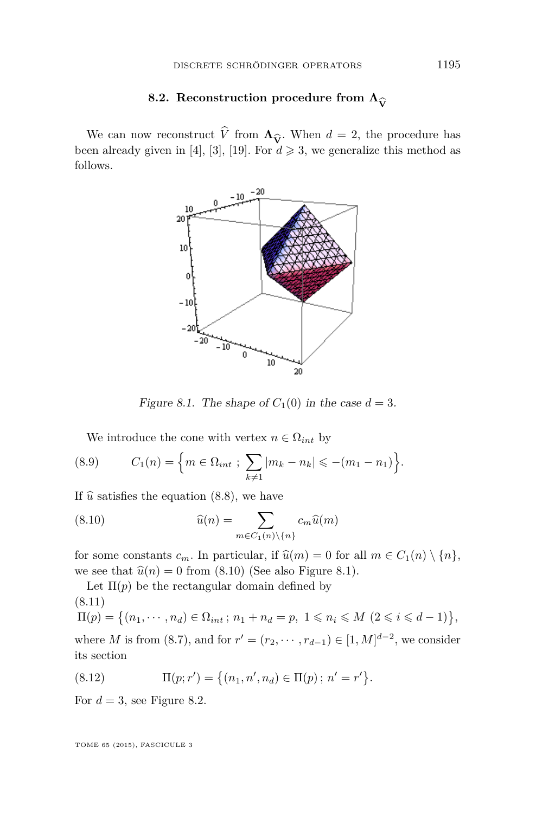#### **8.2.** Reconstruction procedure from  $\Lambda_{\widehat{\mathbf{V}}}$

<span id="page-43-0"></span>We can now reconstruct *V* from  $\Lambda_{\hat{V}}$ . When  $d = 2$ , the procedure has en already given in [4], [3], [19]. For  $d \geq 3$ , we generalize this method as been already given in [\[4\]](#page-47-0), [\[3\]](#page-47-0), [\[19\]](#page-48-0). For  $d \geq 3$ , we generalize this method as follows.



Figure 8.1. The shape of  $C_1(0)$  in the case  $d = 3$ .

We introduce the cone with vertex  $n \in \Omega_{int}$  by

(8.9) 
$$
C_1(n) = \left\{ m \in \Omega_{int} ; \sum_{k \neq 1} |m_k - n_k| \leqslant -(m_1 - n_1) \right\}.
$$

If  $\hat{u}$  satisfies the equation [\(8.8\)](#page-41-0), we have

(8.10) 
$$
\widehat{u}(n) = \sum_{m \in C_1(n) \setminus \{n\}} c_m \widehat{u}(m)
$$

for some constants  $c_m$ . In particular, if  $\hat{u}(m) = 0$  for all  $m \in C_1(n) \setminus \{n\}$ , we see that  $\hat{u}(n) = 0$  from (8.10) (See also Figure 8.1).

Let  $\Pi(p)$  be the rectangular domain defined by (8.11)  $\Pi(p) = \{(n_1, \dots, n_d) \in \Omega_{int}; n_1 + n_d = p, 1 \leq n_i \leq M \ (2 \leq i \leq d - 1)\},\$ where *M* is from [\(8.7\)](#page-41-0), and for  $r' = (r_2, \dots, r_{d-1}) \in [1, M]^{d-2}$ , we consider its section

(8.12) 
$$
\Pi(p; r') = \{(n_1, n', n_d) \in \Pi(p) ; n' = r'\}.
$$

For  $d = 3$ , see Figure [8.2.](#page-44-0)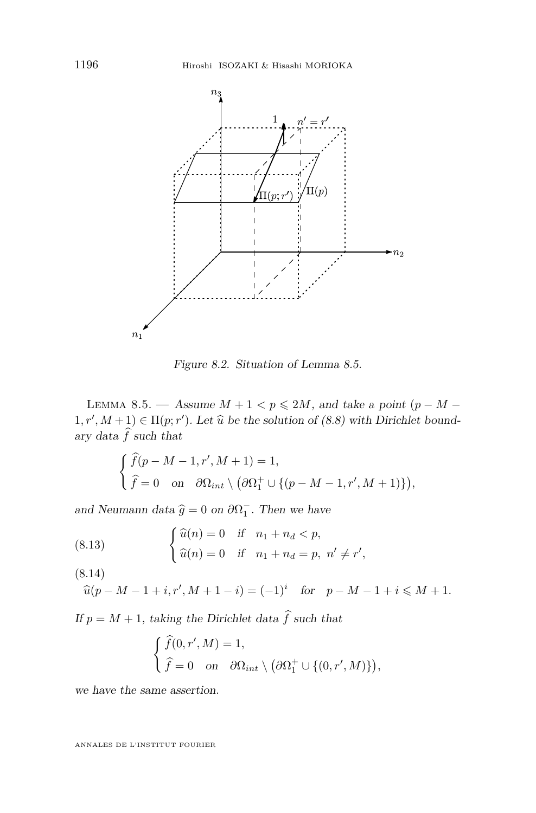<span id="page-44-0"></span>

Figure 8.2. Situation of Lemma 8.5.

LEMMA 8.5. → Assume  $M + 1 < p \le 2M$ , and take a point ( $p - M 1, r', M+1) \in \Pi(p; r')$ . Let  $\hat{u}$  be the solution of [\(8.8\)](#page-41-0) with Dirichlet bound-<br>one data  $\hat{f}$  such that ary data  $\hat{f}$  such that

$$
\begin{cases} \widehat{f}(p-M-1,r',M+1) = 1, \\ \widehat{f} = 0 \quad \text{on} \quad \partial \Omega_{int} \setminus (\partial \Omega_1^+ \cup \{(p-M-1,r',M+1)\}), \end{cases}
$$

and Neumann data  $\hat{g} = 0$  on  $\partial \Omega_1^-$ . Then we have

(8.13) 
$$
\begin{cases} \hat{u}(n) = 0 & \text{if } n_1 + n_d < p, \\ \hat{u}(n) = 0 & \text{if } n_1 + n_d = p, n' \neq r' \end{cases}
$$

(8.14)

$$
\widehat{u}(p - M - 1 + i, r', M + 1 - i) = (-1)^i
$$
 for  $p - M - 1 + i \le M + 1$ .

*,*

If  $p = M + 1$ , taking the Dirichlet data  $\hat{f}$  such that

$$
\begin{cases} \widehat{f}(0,r',M) = 1, \\ \widehat{f} = 0 \quad \text{on} \quad \partial \Omega_{int} \setminus (\partial \Omega_1^+ \cup \{(0,r',M)\}), \end{cases}
$$

we have the same assertion.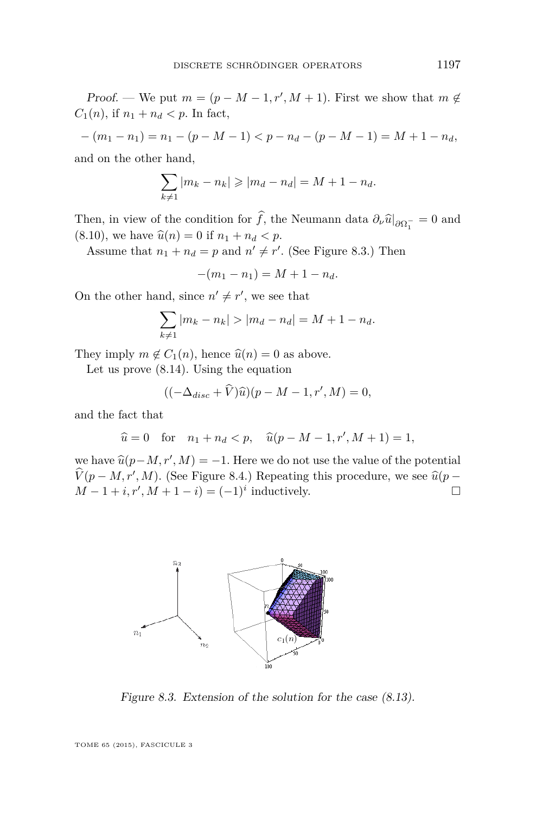Proof. — We put  $m = (p - M - 1, r', M + 1)$ . First we show that  $m \notin$ *C*<sub>1</sub>(*n*), if  $n_1 + n_d < p$ . In fact,

$$
-(m_1 - n_1) = n_1 - (p - M - 1) < p - n_d - (p - M - 1) = M + 1 - n_d,
$$

and on the other hand,

$$
\sum_{k\neq 1} |m_k - n_k| \geq |m_d - n_d| = M + 1 - n_d.
$$

Then, in view of the condition for *f*, the Neumann data  $\partial_{\nu} \hat{u}|_{\partial \Omega_1^-} = 0$  and  $(0, 10)$  $(8.10)$ , we have  $\hat{u}(n) = 0$  if  $n_1 + n_d < p$ .

Assume that  $n_1 + n_d = p$  and  $n' \neq r'$ . (See Figure 8.3.) Then

$$
-(m_1 - n_1) = M + 1 - n_d.
$$

On the other hand, since  $n' \neq r'$ , we see that

$$
\sum_{k\neq 1} |m_k - n_k| > |m_d - n_d| = M + 1 - n_d.
$$

They imply  $m \notin C_1(n)$ , hence  $\hat{u}(n) = 0$  as above.

Let us prove [\(8.14\)](#page-44-0). Using the equation

$$
((-\Delta_{disc} + \widehat{V})\widehat{u})(p - M - 1, r', M) = 0,
$$

and the fact that

$$
\hat{u} = 0
$$
 for  $n_1 + n_d < p$ ,  $\hat{u}(p - M - 1, r', M + 1) = 1$ ,

we have  $\hat{u}(p-M, r', M) = -1$ . Here we do not use the value of the potential  $\hat{u}(p-M, r', M)$  (See Figure 2.4.) Perception this proceedure, we see  $\hat{u}(p, m, m')$  $\hat{V}(p-M,r',M)$ . (See Figure [8.4.](#page-46-0)) Repeating this procedure, we see  $\hat{u}(p-M, 1+i, s', M+1-i)$ *M* − 1 + *i*,  $r'$ ,  $M$  + 1 − *i*) = (−1)<sup>*i*</sup> inductively.  $\Box$ 



Figure 8.3. Extension of the solution for the case [\(8.13\)](#page-44-0).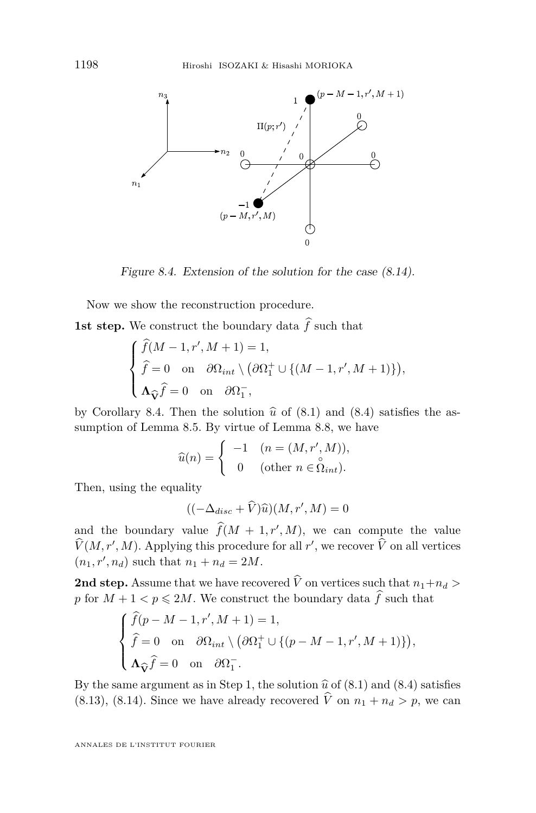<span id="page-46-0"></span>

Figure 8.4. Extension of the solution for the case [\(8.14\)](#page-44-0).

Now we show the reconstruction procedure.

**1st step.** We construct the boundary data  $\hat{f}$  such that

$$
\begin{cases}\n\widehat{f}(M-1,r',M+1) = 1, \\
\widehat{f} = 0 \text{ on } \partial\Omega_{int} \setminus (\partial\Omega_1^+ \cup \{(M-1,r',M+1)\}), \\
\Lambda_{\widehat{V}} \widehat{f} = 0 \text{ on } \partial\Omega_1^-, \\
\end{cases}
$$

by Corollary [8.4.](#page-42-0) Then the solution  $\hat{u}$  of [\(8.1\)](#page-41-0) and [\(8.4\)](#page-41-0) satisfies the as-<br>cumption of Lamma 8.5. By virtue of Lamma 8.8, we have sumption of Lemma [8.5.](#page-44-0) By virtue of Lemma [8.8,](#page-41-0) we have

$$
\widehat{u}(n) = \begin{cases}\n-1 & (n = (M, r', M)), \\
0 & (\text{other } n \in \widehat{\Omega}_{int}).\n\end{cases}
$$

Then, using the equality

$$
((-\Delta_{disc} + \widehat{V})\widehat{u})(M, r', M) = 0
$$

and the boundary value  $\widehat{f}(M + 1, r', M)$ , we can compute the value  $\hat{V}(M, r', M)$ . Applying this procedure for all *r'*, we recover  $\hat{V}$  on all vertices  $(n_1, r', n_d)$  such that  $n_1 + n_d = 2M$ .

**2nd step.** Assume that we have recovered  $\hat{V}$  on vertices such that  $n_1+n_d$ *p* for  $M + 1 < p \le 2M$ . We construct the boundary data  $\hat{f}$  such that

$$
\begin{cases}\n\widehat{f}(p - M - 1, r', M + 1) = 1, \\
\widehat{f} = 0 \text{ on } \partial\Omega_{int} \setminus (\partial\Omega_1^+ \cup \{(p - M - 1, r', M + 1)\}), \\
\Lambda_{\widehat{V}} \widehat{f} = 0 \text{ on } \partial\Omega_1^-.\n\end{cases}
$$

By the same argument as in Step 1, the solution  $\hat{u}$  of [\(8.1\)](#page-41-0) and [\(8.4\)](#page-41-0) satisfies [\(8.13\)](#page-44-0), [\(8.14\)](#page-44-0). Since we have already recovered  $\hat{V}$  on  $n_1 + n_d > p$ , we can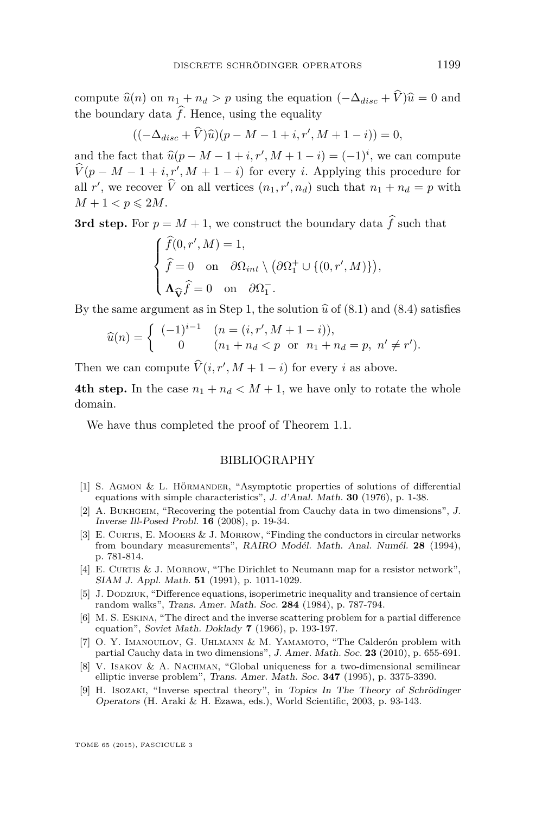<span id="page-47-0"></span>compute  $\hat{u}(n)$  on  $n_1 + n_d > p$  using the equation  $(-\Delta_{disc} + \hat{V})\hat{u} = 0$  and the boundary data  $\hat{f}$ . Hence, using the equality

$$
((-\Delta_{disc} + \widehat{V})\widehat{u})(p - M - 1 + i, r', M + 1 - i)) = 0,
$$

and the fact that  $\widehat{u}(p - M - 1 + i, r', M + 1 - i) = (-1)^i$ , we can compute  $V(p-M-1+i, r', M+1-i)$  for every *i*. Applying this procedure for all *r'*, we recover  $\hat{V}$  on all vertices  $(n_1, r', n_d)$  such that  $n_1 + n_d = p$  with  $M+1 < p \leqslant 2M$ .

**3rd step.** For  $p = M + 1$ , we construct the boundary data  $\hat{f}$  such that

$$
\begin{cases}\n\hat{f}(0, r', M) = 1, \\
\hat{f} = 0 \text{ on } \partial\Omega_{int} \setminus (\partial\Omega_1^+ \cup \{(0, r', M)\}), \\
\Lambda_{\widehat{\mathbf{V}}}\hat{f} = 0 \text{ on } \partial\Omega_1^-.\n\end{cases}
$$

By the same argument as in Step 1, the solution  $\hat{u}$  of [\(8.1\)](#page-41-0) and [\(8.4\)](#page-41-0) satisfies

$$
\widehat{u}(n) = \begin{cases}\n(-1)^{i-1} & (n = (i, r', M + 1 - i)), \\
0 & (n_1 + n_d < p \text{ or } n_1 + n_d = p, n' \neq r').\n\end{cases}
$$

Then we can compute  $\hat{V}(i, r', M + 1 - i)$  for every *i* as above.

**4th step.** In the case  $n_1 + n_d < M + 1$ , we have only to rotate the whole domain.

We have thus completed the proof of Theorem [1.1.](#page-3-0)

#### BIBLIOGRAPHY

- [1] S. Agmon & L. Hörmander, "Asymptotic properties of solutions of differential equations with simple characteristics", J. d'Anal. Math. **30** (1976), p. 1-38.
- [2] A. Bukhgeim, "Recovering the potential from Cauchy data in two dimensions", J. Inverse Ill-Posed Probl. **16** (2008), p. 19-34.
- [3] E. CURTIS, E. MOOERS & J. MORROW, "Finding the conductors in circular networks from boundary measurements", RAIRO Modél. Math. Anal. Numél. **28** (1994), p. 781-814.
- [4] E. CURTIS & J. MORROW, "The Dirichlet to Neumann map for a resistor network", SIAM J. Appl. Math. **51** (1991), p. 1011-1029.
- [5] J. Dodziuk, "Difference equations, isoperimetric inequality and transience of certain random walks", Trans. Amer. Math. Soc. **284** (1984), p. 787-794.
- [6] M. S. Eskina, "The direct and the inverse scattering problem for a partial difference equation", Soviet Math. Doklady **7** (1966), p. 193-197.
- [7] O. Y. IMANOUILOV, G. UHLMANN & M. YAMAMOTO, "The Calderón problem with partial Cauchy data in two dimensions", J. Amer. Math. Soc. **23** (2010), p. 655-691.
- [8] V. Isakov & A. Nachman, "Global uniqueness for a two-dimensional semilinear elliptic inverse problem", Trans. Amer. Math. Soc. **347** (1995), p. 3375-3390.
- [9] H. Isozaki, "Inverse spectral theory", in Topics In The Theory of Schrödinger Operators (H. Araki & H. Ezawa, eds.), World Scientific, 2003, p. 93-143.